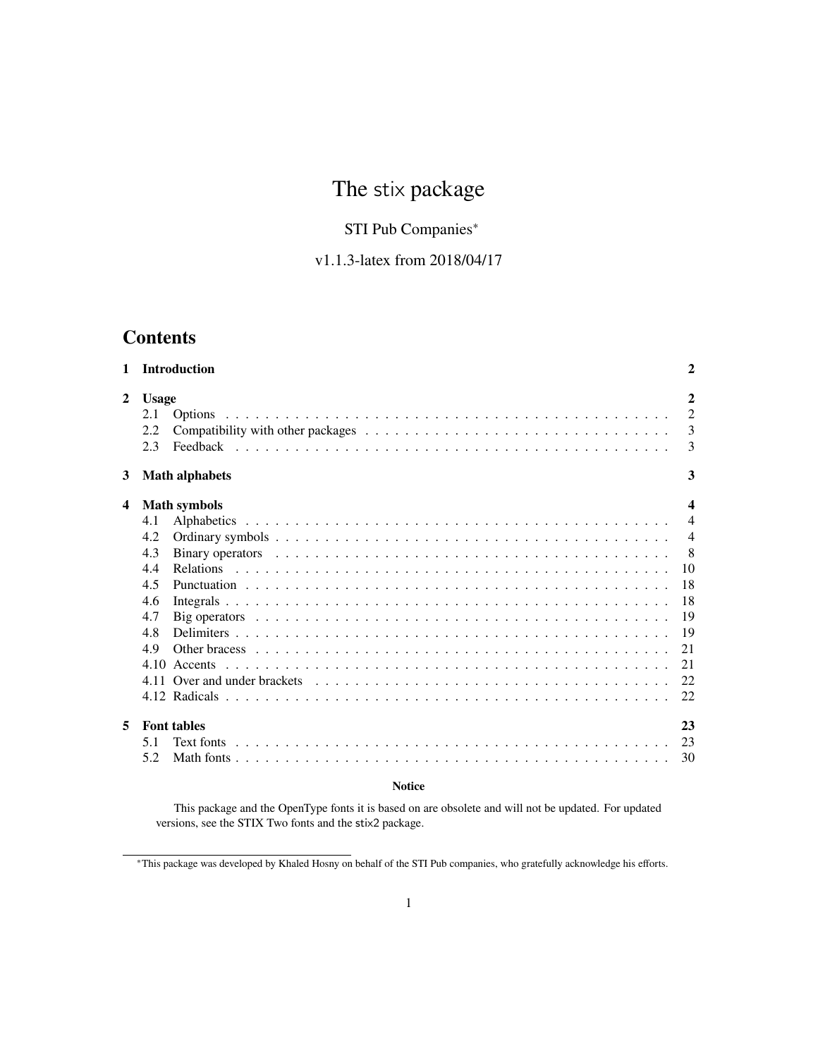# The stix package

# STI Pub Companies<sup>∗</sup>

# v1.1.3-latex from 2018/04/17

# **Contents**

| $\mathbf{1}$            | <b>Introduction</b>                                                                                                          | $\mathbf{2}$     |
|-------------------------|------------------------------------------------------------------------------------------------------------------------------|------------------|
| $\overline{2}$          | <b>Usage</b>                                                                                                                 | $\mathbf{2}$     |
|                         | 2.1                                                                                                                          | $\overline{2}$   |
|                         | 2.2                                                                                                                          | 3                |
|                         | 2.3                                                                                                                          | 3                |
| 3                       | <b>Math alphabets</b>                                                                                                        | 3                |
| $\overline{\mathbf{4}}$ | <b>Math symbols</b>                                                                                                          | $\boldsymbol{4}$ |
|                         | 4.1                                                                                                                          | $\overline{4}$   |
|                         | 4.2                                                                                                                          | $\overline{4}$   |
|                         | 4.3                                                                                                                          | -8               |
|                         | 4.4                                                                                                                          | 10               |
|                         | 4.5                                                                                                                          | 18               |
|                         | 4.6                                                                                                                          | 18               |
|                         | Big operators $\dots \dots \dots \dots \dots \dots \dots \dots \dots \dots \dots \dots \dots \dots \dots \dots \dots$<br>4.7 | 19               |
|                         | 4.8                                                                                                                          | 19               |
|                         | 4.9                                                                                                                          | 21               |
|                         | 4.10                                                                                                                         | 21               |
|                         |                                                                                                                              | 22.              |
|                         |                                                                                                                              | 22               |
| 5                       | <b>Font tables</b>                                                                                                           | 23               |
|                         | 5.1                                                                                                                          | 23               |
|                         | 5.2                                                                                                                          | 30               |
|                         |                                                                                                                              |                  |

## **Notice**

This package and the OpenType fonts it is based on are obsolete and will not be updated. For updated versions, see the STIX Two fonts and the stix2 package.

<sup>∗</sup>This package was developed by Khaled Hosny on behalf of the STI Pub companies, who gratefully acknowledge his efforts.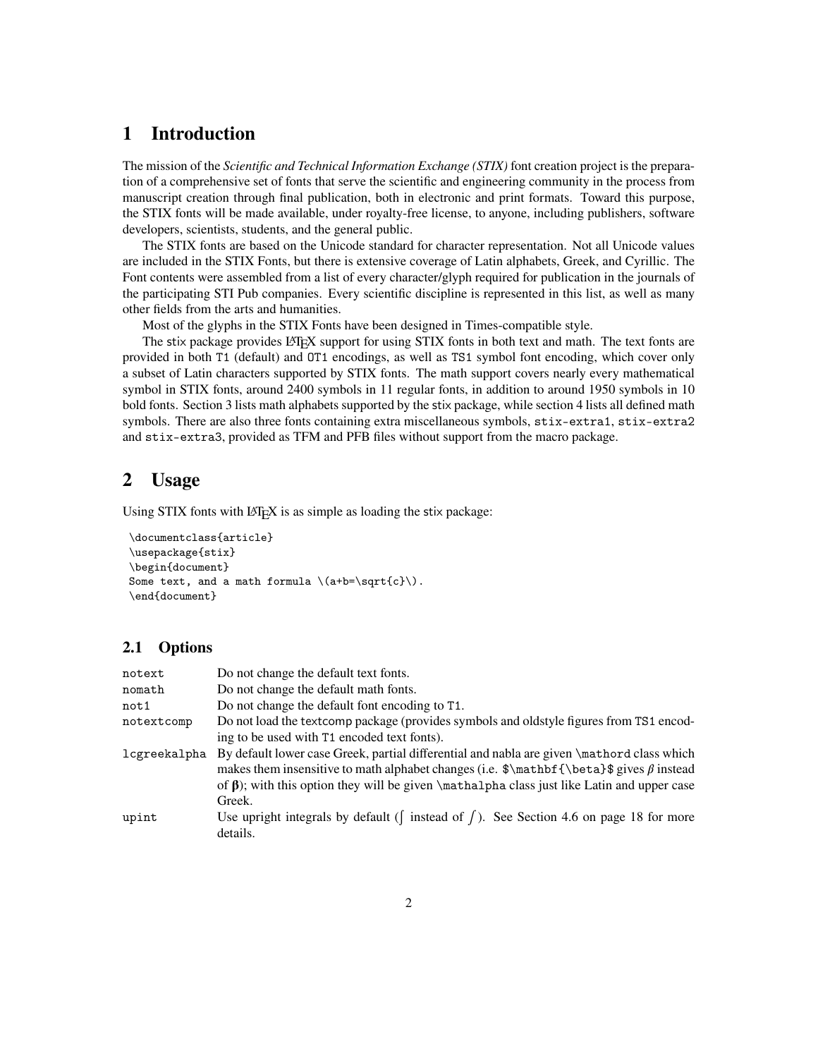# <span id="page-1-0"></span>**1 Introduction**

The mission of the *Scientific and Technical Information Exchange (STIX)* font creation project is the preparation of a comprehensive set of fonts that serve the scientific and engineering community in the process from manuscript creation through final publication, both in electronic and print formats. Toward this purpose, the STIX fonts will be made available, under royalty-free license, to anyone, including publishers, software developers, scientists, students, and the general public.

The STIX fonts are based on the Unicode standard for character representation. Not all Unicode values are included in the STIX Fonts, but there is extensive coverage of Latin alphabets, Greek, and Cyrillic. The Font contents were assembled from a list of every character/glyph required for publication in the journals of the participating STI Pub companies. Every scientific discipline is represented in this list, as well as many other fields from the arts and humanities.

Most of the glyphs in the STIX Fonts have been designed in Times-compatible style.

The stix package provides LATEX support for using STIX fonts in both text and math. The text fonts are provided in both T1 (default) and OT1 encodings, as well as TS1 symbol font encoding, which cover only a subset of Latin characters supported by STIX fonts. The math support covers nearly every mathematical symbol in STIX fonts, around 2400 symbols in 11 regular fonts, in addition to around 1950 symbols in 10 bold fonts. Section [3](#page-2-2) lists math alphabets supported by the stix package, while section [4](#page-3-0) lists all defined math symbols. There are also three fonts containing extra miscellaneous symbols, stix-extra1, stix-extra2 and stix-extra3, provided as TFM and PFB files without support from the macro package.

# <span id="page-1-1"></span>**2 Usage**

Using STIX fonts with LAT<sub>E</sub>X is as simple as loading the stix package:

```
\documentclass{article}
\usepackage{stix}
\begin{document}
Some text, and a math formula \(a+b=\sqrt{c}).
\end{document}
```
## <span id="page-1-2"></span>**2.1 Options**

| notext       | Do not change the default text fonts.                                                                                                                                                                                                                                                                      |
|--------------|------------------------------------------------------------------------------------------------------------------------------------------------------------------------------------------------------------------------------------------------------------------------------------------------------------|
| nomath       | Do not change the default math fonts.                                                                                                                                                                                                                                                                      |
| not 1        | Do not change the default font encoding to T1.                                                                                                                                                                                                                                                             |
| notextcomp   | Do not load the textcomp package (provides symbols and oldstyle figures from TS1 encod-                                                                                                                                                                                                                    |
|              | ing to be used with T1 encoded text fonts).                                                                                                                                                                                                                                                                |
| lcgreekalpha | By default lower case Greek, partial differential and nabla are given \mathord class which<br>makes them insensitive to math alphabet changes (i.e. $\mathbf{\beta}\$ gives $\beta$ instead<br>of $\beta$ ); with this option they will be given \mathalpha class just like Latin and upper case<br>Greek. |
| upint        | Use upright integrals by default ( $\int$ instead of $\int$ ). See Section 4.6 on page 18 for more<br>details.                                                                                                                                                                                             |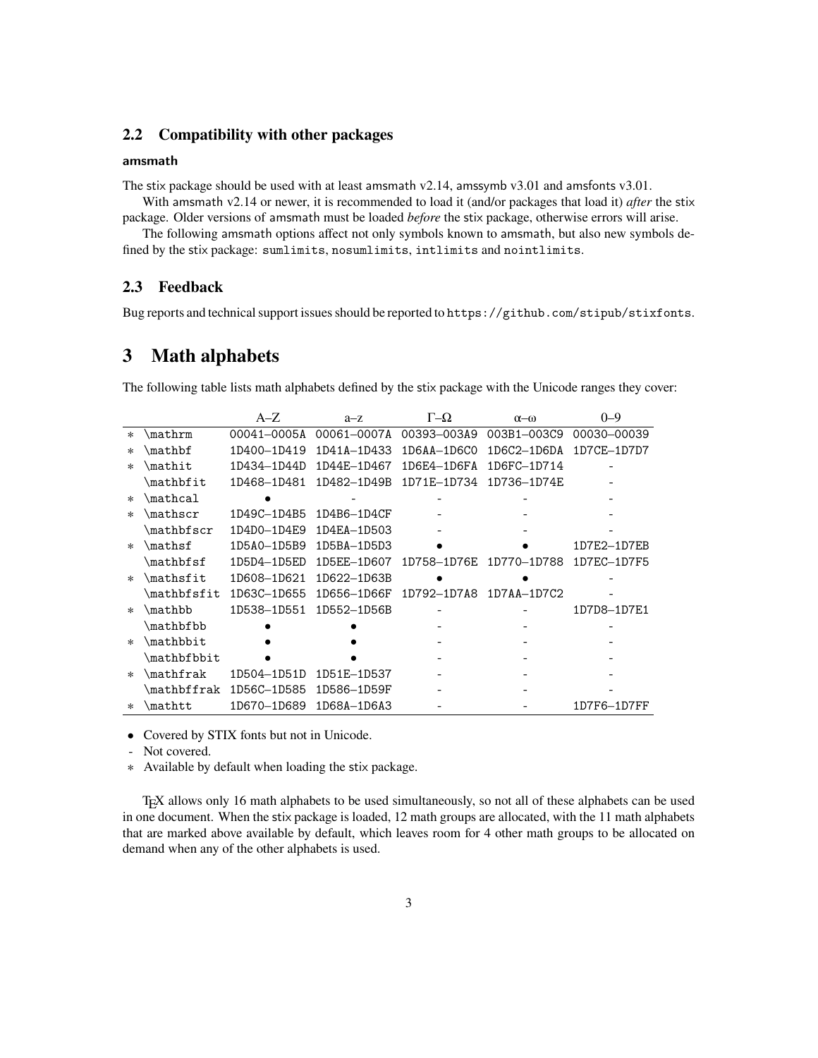# <span id="page-2-0"></span>**2.2 Compatibility with other packages**

#### amsmath

The stix package should be used with at least amsmath v2.14, amssymb v3.01 and amsfonts v3.01.

With amsmath v2.14 or newer, it is recommended to load it (and/or packages that load it) *after* the stix package. Older versions of amsmath must be loaded *before* the stix package, otherwise errors will arise.

The following amsmath options affect not only symbols known to amsmath, but also new symbols defined by the stix package: sumlimits, nosumlimits, intlimits and nointlimits.

## <span id="page-2-1"></span>**2.3 Feedback**

Bug reports and technical support issues should be reported to <https://github.com/stipub/stixfonts>.

# <span id="page-2-2"></span>**3 Math alphabets**

The following table lists math alphabets defined by the stix package with the Unicode ranges they cover:

|        |                                  | $A-Z$       | $a - z$     | $\Gamma$ - $\Omega$ | $\alpha$ -ω     | $0 - 9$     |
|--------|----------------------------------|-------------|-------------|---------------------|-----------------|-------------|
| $\ast$ | \mathrm                          | 00041-0005A | 00061-0007A | 00393-003A9         | 003B1-003C9     | 00030-00039 |
| $\ast$ | \mathbf                          | 1D400-1D419 | 1D41A-1D433 | 1D6AA-1D6CO         | $1D6C2 - 1D6DA$ | 1D7CE-1D7D7 |
| $\ast$ | $\mathbf{m}$ athit               | 1D434-1D44D | 1D44E-1D467 | 1D6E4-1D6FA         | 1D6FC-1D714     |             |
|        | $\mathcal{L}$                    | 1D468-1D481 | 1D482-1D49B | 1D71E-1D734         | 1D736-1D74E     |             |
| $\ast$ | $\mathcal{L}$                    |             |             |                     |                 |             |
| $\ast$ | $\mathcal{L}_{\text{mathscr}}$   | 1D49C-1D4B5 | 1D4B6-1D4CF |                     |                 |             |
|        | $\mathcal{L}_{\text{mathbfscr}}$ | 1D4D0-1D4E9 | 1D4EA-1D503 |                     |                 |             |
| $\ast$ | \mathsf                          | 1D5A0-1D5B9 | 1D5BA-1D5D3 |                     |                 | 1D7E2-1D7EB |
|        | $\mathcal{L}_{\text{math}}$      | 1D5D4-1D5ED | 1D5EE-1D607 | 1D758-1D76E         | 1D770-1D788     | 1D7EC-1D7F5 |
| $\ast$ | \mathsfit                        | 1D608-1D621 | 1D622-1D63B |                     |                 |             |
|        | \mathbfsfit                      | 1D63C-1D655 | 1D656-1D66F | 1D792-1D7A8         | $1D7AA-1D7C2$   |             |
| $\ast$ | \mathbb                          | 1D538-1D551 | 1D552-1D56B |                     |                 | 1D7D8-1D7E1 |
|        | \mathbfbb                        |             |             |                     |                 |             |
| $\ast$ | \mathbbit                        |             |             |                     |                 |             |
|        | \mathbfbbit                      |             |             |                     |                 |             |
| $\ast$ | \mathfrak                        | 1D504-1D51D | 1D51E-1D537 |                     |                 |             |
|        | mathbffrak                       | 1D56C-1D585 | 1D586-1D59F |                     |                 |             |
| $\ast$ | \mathtt                          | 1D670-1D689 | 1D68A-1D6A3 |                     |                 | 1D7F6-1D7FF |

• Covered by STIX fonts but not in Unicode.

- Not covered.

∗ Available by default when loading the stix package.

TEX allows only 16 math alphabets to be used simultaneously, so not all of these alphabets can be used in one document. When the stix package is loaded, 12 math groups are allocated, with the 11 math alphabets that are marked above available by default, which leaves room for 4 other math groups to be allocated on demand when any of the other alphabets is used.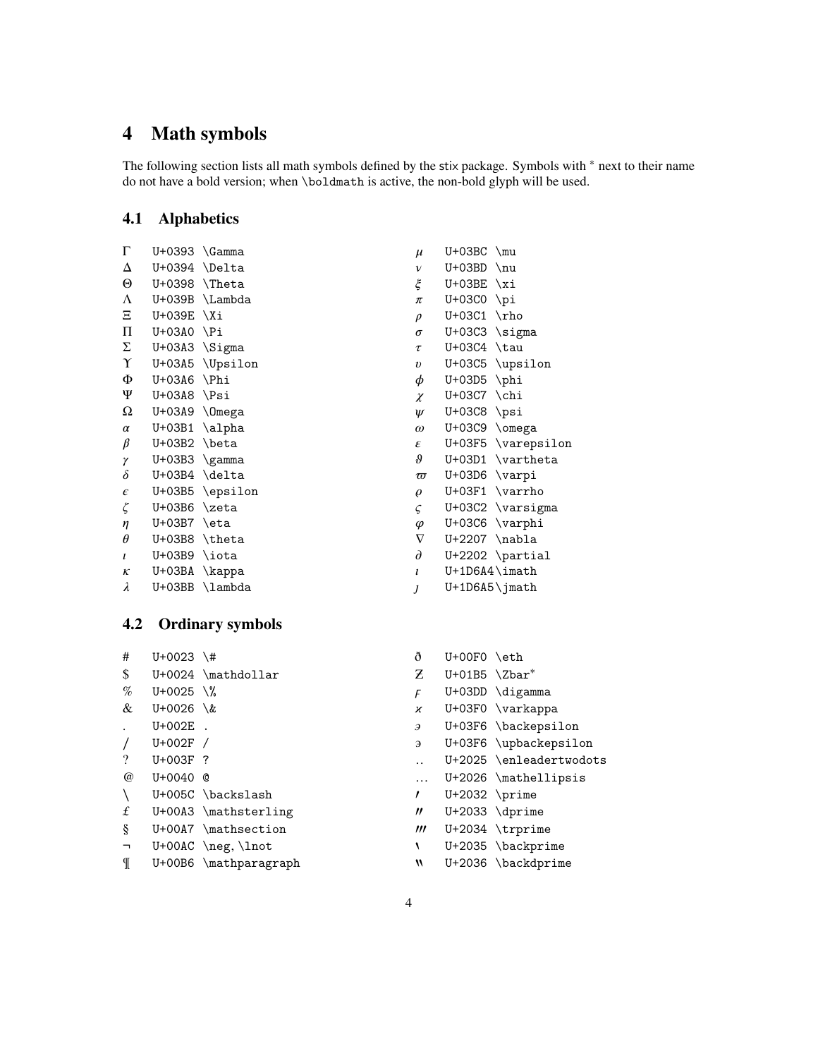# <span id="page-3-0"></span>**4 Math symbols**

The following section lists all math symbols defined by the stix package. Symbols with <sup>∗</sup> next to their name do not have a bold version; when \boldmath is active, the non-bold glyph will be used.

# <span id="page-3-1"></span>**4.1 Alphabetics**

| Г            | U+0393   | <b>\Gamma</b> |
|--------------|----------|---------------|
| Δ            | U+0394   | <b>\Delta</b> |
| Θ            | U+0398   | $\Lambda$     |
| $\Lambda$    | U+039B   | \Lambda       |
| Ξ            | U+039E   | \Xi           |
| Π            | U+03A0   | ∖Pi           |
| Σ            | U+03A3   | \Sigma        |
| Υ            | U+03A5   | \Upsilon      |
| Φ            | U+03A6   | <b>\Phi</b>   |
| Ψ            | U+03A8   | \Psi          |
| Ω            | U+03A9   | <b>\Omega</b> |
| $\alpha$     | U+03B1   | \alpha        |
| β            | U+03B2   | \beta         |
| γ            | U+03B3   | \gamma        |
| δ            | U+03B4   | \delta        |
| $\epsilon$   | U+03B5   | \epsilon      |
| ζ            | U+03B6   | \zeta         |
| $\eta$       | U+03B7   | \eta          |
| θ            | U+03B8   | \theta        |
| $\mathbf{I}$ | U+03B9   | \iota         |
| $\kappa$     | U+03BA   | \kappa        |
| λ            | $U+O3BB$ | \lambda       |

| $\mu$            | U+03BC             | $\mu$       |
|------------------|--------------------|-------------|
| $\mathcal V$     | U+03BD             | $\nu$       |
| ξ                | U+03BE             | \xi         |
| π                | U+03C0             | \pi         |
| $\rho$           | U+03C1             | $\n \rho$   |
| σ                | U+03C3             | \sigma      |
| $\tau$           | U+03C4             | \tau        |
| $\boldsymbol{v}$ | U+03C5             | \upsilon    |
| φ                | U+03D5             | \phi        |
| $\chi$           | U+03C7             | $\chi$ chi  |
| $\psi$           | U+03C8             | \psi        |
| $\omega$         | U+03C9             | \omega      |
| ε                | U+03F5             | \varepsilon |
| 9                | U+03D1             | \vartheta   |
| $\varpi$         | U+03D6             | \varpi      |
| $\varrho$        | U+03F1             | \varrho     |
| ς                | U+03C2             | \varsigma   |
| $\varphi$        | U+03C6             | $\varphi$   |
| $\nabla$         | U+2207             | \nabla      |
| д                | U+2202             | \partial    |
| l                | $U+1D6A4\in$ imath |             |
| J                | $U+1D6A5\$ jmath   |             |
|                  |                    |             |

# <span id="page-3-2"></span>**4.2 Ordinary symbols**

| #                      | $U + 0023$ \# |                        | ð                       | $U+00F0$ \eth             |                         |
|------------------------|---------------|------------------------|-------------------------|---------------------------|-------------------------|
| \$                     |               | U+0024 \mathdollar     | Z.                      | $U+01B5 \ \lambda Zbar^*$ |                         |
| %                      | $U + 0025$ \% |                        | F                       |                           | U+03DD \digamma         |
| &                      | $U + 0026$ \& |                        | x                       |                           | $U+03F0 \ \vartheta$    |
|                        | $U+002E$ .    |                        | Э                       |                           | U+03F6 \backepsilon     |
| $\prime$               | $U+002F$ /    |                        | Э                       |                           | U+03F6 \upbackepsilon   |
| $\gamma$               | $U + 003F$ ?  |                        |                         |                           | U+2025 \enleadertwodots |
| $^{\omega}$            | $U + 0040$ @  |                        | $\cdots$                |                           | $U+2026$ \mathellipsis  |
| $\setminus$            |               | U+005C \backslash      | ,                       | $U+2032$ \prime           |                         |
| £                      |               | $U+00A3$ \mathsterling | $^{\prime\prime}$       |                           | $U+2033 \ \d{prime}$    |
| ş                      |               | U+00A7 \mathsection    | $^{\prime\prime\prime}$ |                           | U+2034 \trprime         |
| $\mathbf{\mathcal{L}}$ |               | $U+OOAC \neq, \lnot$   |                         |                           | U+2035 \backprime       |
| ¶                      |               | U+00B6 \mathparagraph  | W                       |                           | U+2036 \backdprime      |
|                        |               |                        |                         |                           |                         |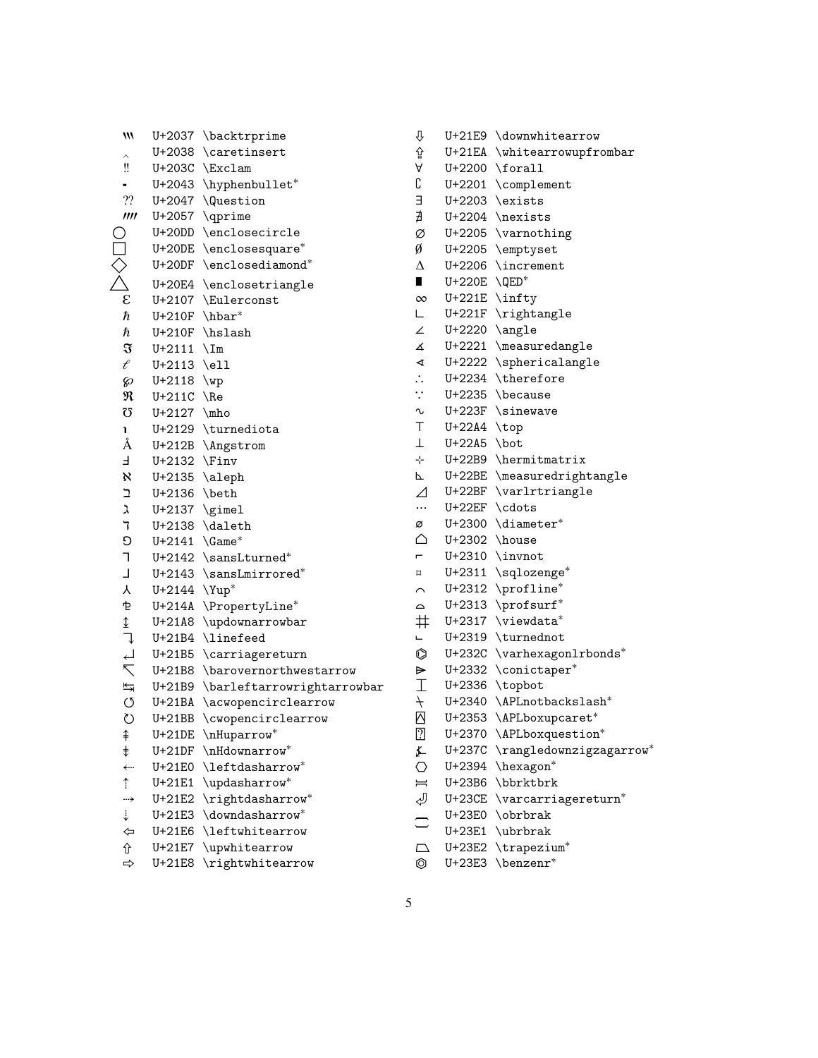| M                            |                 | U+2037 \backtrprime           |
|------------------------------|-----------------|-------------------------------|
| $\widehat{\phantom{1}}$      |                 | U+2038 \caretinsert           |
| ‼                            |                 | U+203C \Exclam                |
|                              |                 | U+2043 \hyphenbullet*         |
| $\boldsymbol ?\boldsymbol ?$ | U+2047          | <i><u><b>Question</b></u></i> |
| III                          | U+2057          | <b>\qprime</b>                |
|                              |                 | U+20DD \enclosecircle         |
|                              |                 | U+20DE \enclosesquare*        |
|                              | U+20DF          | \enclosediamond*              |
|                              | U+20E4          | \enclosetriangle              |
| ε                            | U+2107          | \Eulerconst                   |
| ħ                            | U+210F          | \hbar*                        |
| ħ                            | U+210F          | \hslash                       |
| $\mathfrak{F}$               | $U + 2111$      | $\Im$                         |
| ť                            | $U + 2113$      | $\ell$                        |
| 60                           | $U + 2118$      | $\wedge$                      |
| R                            | $U+211C$        | $\Re$                         |
| Ω                            | $U + 2127$      | $\nho$                        |
| 1                            | U+2129          | \turnediota                   |
| Å                            | U+212B          | \Angstrom                     |
| F                            | U+2132          | $\n\$ {Fin}v                  |
| $\aleph$                     | U+2135          | \aleph                        |
| ב<br>ג                       | U+2136          | \beth                         |
|                              | $U+2137$ \gimel |                               |
| ד<br>ס<br>ד                  | U+2138          | \daleth                       |
|                              | $U + 2141$      | $\Gamma^*$                    |
|                              | $U + 2142$      | \sansLturned*                 |
| L                            | U+2143          | \sansLmirrored*               |
| Υ                            | U+2144          | $\Upsilon$                    |
| ቲ                            | U+214A          | \PropertyLine*                |
|                              | U+21A8          | \updownarrowbar               |
|                              | U+21B4          | \linefeed                     |
| <b>ロブレイナー</b>                | U+21B5          | \carriagereturn               |
|                              | U+21B8          | \barovernorthwestarrow        |
|                              | U+21B9          | \barleftarrowrightarrowbar    |
|                              | U+21BA          | \acwopencirclearrow           |
| $\circlearrowright$          | $U+21BB$        | \cwopencirclearrow            |
| ⇞                            | $U+21DE$        | \nHuparrow*                   |
| $\ddagger$                   | U+21DF          | \nHdownarrow*                 |
| ←…                           | U+21E0          | \leftdasharrow*               |
| $\hat{\mathbf{r}}$           | U+21E1          | \updasharrow*                 |
| →                            | U+21E2          | \rightdasharrow*              |
| $\ddot{\div}$                | U+21E3          | \downdasharrow*               |
| ⇦                            | U+21E6          | \leftwhitearrow               |
| ⇧                            | U+21E7          | \upwhitearrow                 |

⇨ U+21E8 \rightwhitearrow

|    | A                        |                    | $U+2200$ \forall                     |
|----|--------------------------|--------------------|--------------------------------------|
|    | С                        |                    | U+2201 \complement                   |
|    | Е                        |                    | $U+2203$ \exists                     |
|    | ∄                        |                    | $U+2204$ \nexists                    |
|    | Ø                        |                    | U+2205 \varnothing                   |
|    | Ø                        |                    | U+2205 \emptyset                     |
|    | $\Delta$                 |                    | U+2206 \increment                    |
|    | $\blacksquare$           | $U+220E$ \QED*     |                                      |
|    | $\infty$                 |                    | $U+221E \in \int$                    |
|    | L.                       |                    | U+221F \rightangle                   |
|    | ∠                        |                    | $U+2220$ \angle                      |
|    | 4                        |                    | U+2221 \measuredangle                |
|    | $\blacktriangleleft$     |                    | U+2222 \sphericalangle               |
|    | $\ddot{\cdot}$           |                    | U+2234 \therefore                    |
|    | $\ddot{\cdot}$           |                    | $U+2235$ \because                    |
|    | $\sim$                   |                    | $U+223F$ \sinewave                   |
|    | T.                       | U+22A4 \top        |                                      |
|    | $\bot$                   | $U+22A5$ \bot      |                                      |
|    | ⊹ -                      |                    | U+22B9 \hermitmatrix                 |
|    | Ρ.                       |                    | U+22BE \measuredrightangle           |
|    | $\overline{\mathcal{L}}$ |                    | U+22BF \varlrtriangle                |
|    |                          | U+22EF \cdots      |                                      |
|    | ø                        |                    | U+2300 \diameter*                    |
|    | △                        | $U+2302$ \house    |                                      |
|    | $\blacksquare$           |                    | $U+2310$ \invnot                     |
|    | $\square$                |                    | U+2311 \sqlozenge*                   |
|    | $\sim$                   |                    | U+2312 \profline*                    |
|    | $\sim$                   |                    | U+2313 \profsurf*                    |
|    |                          |                    | # U+2317 \viewdata*                  |
|    | ш.                       |                    | U+2319 \turnednot                    |
|    | $\circ$                  |                    | U+232C \varhexagonlrbonds*           |
|    |                          |                    | $\triangleright$ U+2332 \conictaper* |
| ar |                          | $I$ U+2336 \topbot |                                      |
|    | $+$                      |                    | U+2340 \APLnotbackslash*             |
|    |                          |                    | Ø U+2353 \APLboxupcaret*             |
|    |                          |                    | 7 U+2370 \APLboxquestion*            |
|    | ≰                        | U+237C             | \rangledownzigzagarrow*              |
|    | O                        |                    | U+2394 \hexagon*                     |
|    | $=$                      |                    | U+23B6 \bbrktbrk                     |
|    | رلې                      |                    | U+23CE \varcarriagereturn*           |
|    |                          |                    | U+23E0 \obrbrak                      |
|    |                          |                    | U+23E1 \ubrbrak                      |
|    | $\Box$                   |                    | U+23E2 \trapezium*                   |
|    | Ô                        |                    | $U+23E3$ \benzenr*                   |

⇩ U+21E9 \downwhitearrow ⇪ U+21EA \whitearrowupfrombar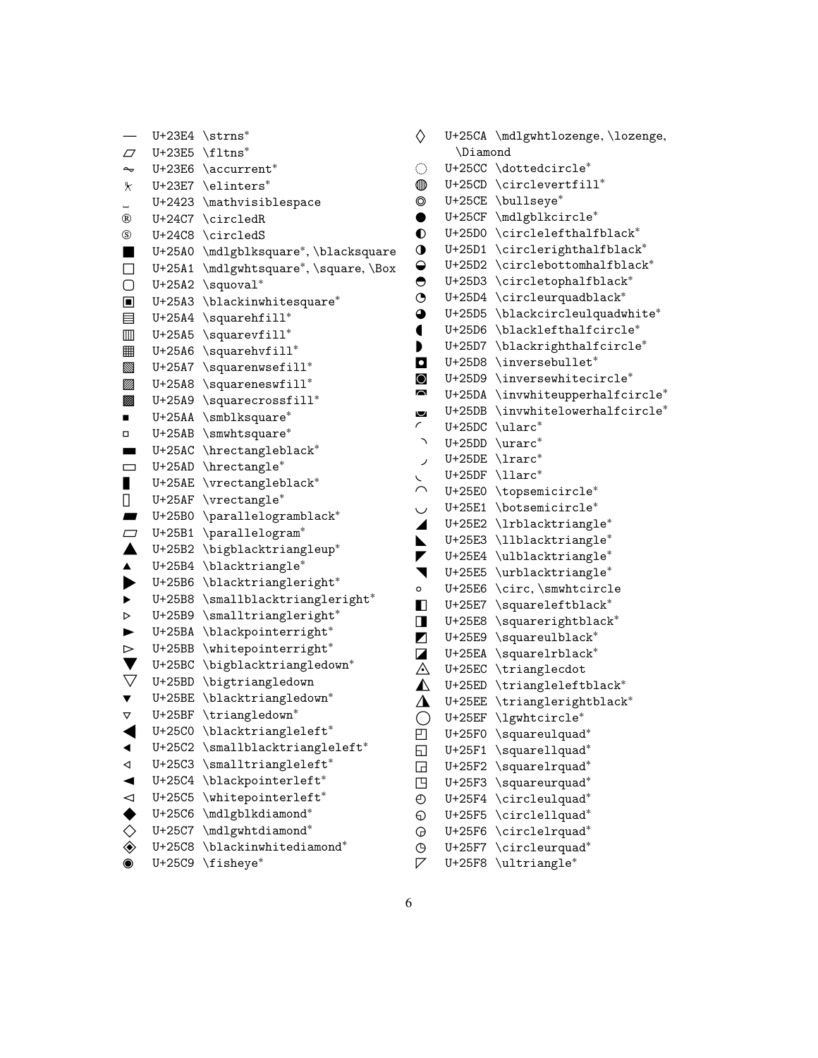⏤ U+23E4 \strns<sup>∗</sup> ⏥ U+23E5 \fltns<sup>∗</sup> ⏦ U+23E6 \accurrent<sup>∗</sup> ⏧ U+23E7 \elinters<sup>∗</sup> ␣ U+2423 \mathvisiblespace Ⓡ U+24C7 \circledR Ⓢ U+24C8 \circledS ■ U+25A0 \mdlgblksquare<sup>∗</sup> , \blacksquare ◑ U+25D1 \circlerighthalfblack<sup>∗</sup> □ U+25A1 \mdlgwhtsquare<sup>∗</sup> , \square, \Box ▢ U+25A2 \squoval<sup>∗</sup> ▣ U+25A3 \blackinwhitesquare<sup>∗</sup> ▤ U+25A4 \squarehfill<sup>∗</sup> ▥ U+25A5 \squarevfill<sup>∗</sup> ▦ U+25A6 \squarehvfill<sup>∗</sup> ▧ U+25A7 \squarenwsefill<sup>∗</sup> ▨ U+25A8 \squareneswfill<sup>∗</sup> ▩ U+25A9 \squarecrossfill<sup>∗</sup> ■ U+25AA \smblksquare<sup>\*</sup> ▫ U+25AB \smwhtsquare<sup>∗</sup> ▬ U+25AC \hrectangleblack<sup>∗</sup> ▭ U+25AD \hrectangle<sup>∗</sup> ▮ U+25AE \vrectangleblack<sup>∗</sup> ▯ U+25AF \vrectangle<sup>∗</sup> ▰ U+25B0 \parallelogramblack<sup>∗</sup> ▱ U+25B1 \parallelogram<sup>∗</sup> ▲ U+25B2 \bigblacktriangleup<sup>∗</sup> ▴ U+25B4 \blacktriangle<sup>∗</sup> ▶ U+25B6 \blacktriangleright<sup>∗</sup> ▸ U+25B8 \smallblacktriangleright<sup>∗</sup> ▹ U+25B9 \smalltriangleright<sup>∗</sup> ► U+25BA \blackpointerright<sup>∗</sup> ▻ U+25BB \whitepointerright<sup>∗</sup> ▼ U+25BC \bigblacktriangledown<sup>∗</sup>  $\nabla$  U+25BD \bigtriangledown ▾ U+25BE \blacktriangledown<sup>∗</sup> ▿ U+25BF \triangledown<sup>∗</sup> ◀ U+25C0 \blacktriangleleft<sup>∗</sup> ◂ U+25C2 \smallblacktriangleleft<sup>∗</sup> ◃ U+25C3 \smalltriangleleft<sup>∗</sup> ◄ U+25C4 \blackpointerleft<sup>∗</sup> ◅ U+25C5 \whitepointerleft<sup>∗</sup> ◆ U+25C6 \mdlgblkdiamond<sup>∗</sup> ◇ U+25C7 \mdlgwhtdiamond<sup>∗</sup> ◈ U+25C8 \blackinwhitediamond<sup>∗</sup>

◉ U+25C9 \fisheye<sup>∗</sup>

◊ U+25CA \mdlgwhtlozenge, \lozenge, \Diamond ◌ U+25CC \dottedcircle<sup>∗</sup> ◍ U+25CD \circlevertfill<sup>∗</sup> ◎ U+25CE \bullseye<sup>∗</sup> ● U+25CF \mdlgblkcircle<sup>∗</sup> ◐ U+25D0 \circlelefthalfblack<sup>∗</sup> ◒ U+25D2 \circlebottomhalfblack<sup>∗</sup> ◓ U+25D3 \circletophalfblack<sup>∗</sup> ◔ U+25D4 \circleurquadblack<sup>∗</sup> ◕ U+25D5 \blackcircleulquadwhite<sup>∗</sup> ◖ U+25D6 \blacklefthalfcircle<sup>∗</sup> ◗ U+25D7 \blackrighthalfcircle<sup>∗</sup> ◘ U+25D8 \inversebullet<sup>∗</sup> ◙ U+25D9 \inversewhitecircle<sup>∗</sup> ◚ U+25DA \invwhiteupperhalfcircle<sup>∗</sup> ◛ U+25DB \invwhitelowerhalfcircle<sup>∗</sup> ◜ U+25DC \ularc<sup>∗</sup> ◝ U+25DD \urarc<sup>∗</sup> ◞ U+25DE \lrarc<sup>∗</sup> ◟ U+25DF \llarc<sup>∗</sup> ◠ U+25E0 \topsemicircle<sup>∗</sup> ◡ U+25E1 \botsemicircle<sup>∗</sup> ◢ U+25E2 \lrblacktriangle<sup>∗</sup> ◣ U+25E3 \llblacktriangle<sup>∗</sup> ◤ U+25E4 \ulblacktriangle<sup>∗</sup> ◥ U+25E5 \urblacktriangle<sup>∗</sup> ◦ U+25E6 \circ, \smwhtcircle ◧ U+25E7 \squareleftblack<sup>∗</sup> ◨ U+25E8 \squarerightblack<sup>∗</sup> ◩ U+25E9 \squareulblack<sup>∗</sup> ◪ U+25EA \squarelrblack<sup>∗</sup> ◬ U+25EC \trianglecdot ◭ U+25ED \triangleleftblack<sup>∗</sup> ◮ U+25EE \trianglerightblack<sup>∗</sup> ◯ U+25EF \lgwhtcircle<sup>∗</sup> ◰ U+25F0 \squareulquad<sup>∗</sup> ◱ U+25F1 \squarellquad<sup>∗</sup> ◲ U+25F2 \squarelrquad<sup>∗</sup> ◳ U+25F3 \squareurquad<sup>∗</sup> ◴ U+25F4 \circleulquad<sup>∗</sup> ◵ U+25F5 \circlellquad<sup>∗</sup> ◶ U+25F6 \circlelrquad<sup>∗</sup> ◷ U+25F7 \circleurquad<sup>∗</sup>

◸ U+25F8 \ultriangle<sup>∗</sup>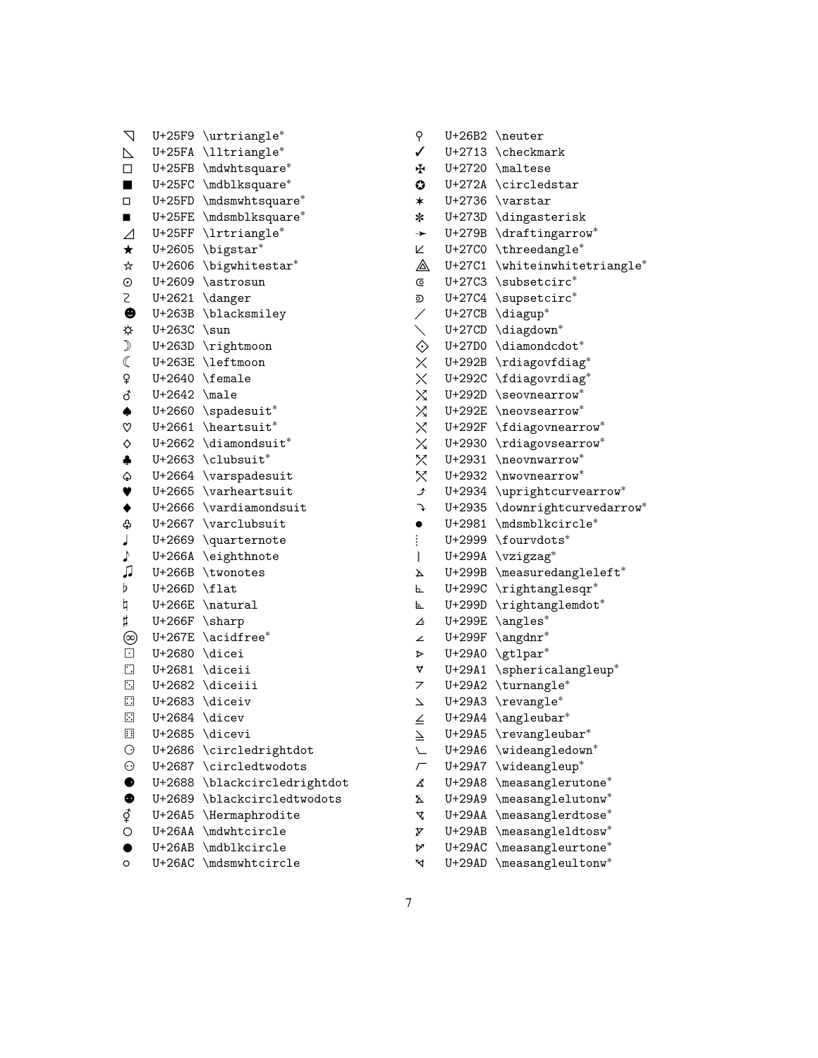| $\nabla$                   |                 |                                            |
|----------------------------|-----------------|--------------------------------------------|
|                            |                 | U+25F9 \urtriangle*<br>U+25FA \lltriangle* |
| $\triangleright$<br>$\Box$ |                 | U+25FB \mdwhtsquare*                       |
| $\blacksquare$             |                 | U+25FC \mdblksquare*                       |
| $\Box$                     |                 | U+25FD \mdsmwhtsquare*                     |
| п                          |                 | U+25FE \mdsmblksquare*                     |
|                            |                 | U+25FF $\lvert$ 1rtriangle*                |
| $\varDelta$<br>$\star$     |                 | $U+2605$ \bigstar*                         |
| $\star$                    |                 | U+2606 \bigwhitestar*                      |
| $\odot$                    |                 | U+2609 \astrosun                           |
| 2                          |                 | $U+2621$ \danger                           |
| $\pmb{\Theta}$             |                 | U+263B \blacksmiley                        |
|                            | $U+263C$ \sun   |                                            |
| $\mathcal{D}$              |                 | U+263D \rightmoon                          |
| $\mathbb C$                |                 | U+263E \leftmoon                           |
| ¥                          |                 | U+2640 \female                             |
|                            | $U+2642$ \male  |                                            |
| ♂◆♡                        |                 | $U+2660$ \spadesuit*                       |
|                            |                 | $U+2661$ \heartsuit <sup>*</sup>           |
| $\Diamond$                 |                 | $U+2662$ \diamondsuit*                     |
| $\clubsuit$                |                 | U+2663 \clubsuit*                          |
| $\hat{\varphi}$            |                 | U+2664 \varspadesuit                       |
| $\blacktriangledown$       |                 | U+2665 \varheartsuit                       |
| $\blacklozenge$            |                 | U+2666 \vardiamondsuit                     |
| ቆ                          |                 | U+2667 \varclubsuit                        |
| J                          | U+2669          | $\qquad$                                   |
| $\blacklozenge$            | U+266A          | \eighthnote                                |
| ♫                          | U+266B          | \twonotes                                  |
| b                          | U+266D          | \flat                                      |
| þ                          |                 | U+266E \natural                            |
| $\sharp$                   | $U+266F$ \sharp |                                            |
| ©<br>⊡                     |                 | U+267E $\setminus$ acidfree*               |
|                            | U+2680 \dicei   |                                            |
| $\blacksquare$             |                 | U+2681 \diceii                             |
| $\overline{\phantom{a}}$   |                 | U+2682 \diceiii                            |
| $\blacksquare$             |                 | U+2683 $\dagger$ diceiv                    |
| $\Box$                     | U+2684          | \dicev                                     |
| ⊞                          | U+2685          | \dicevi                                    |
| $\odot$                    | U+2686          | \circledrightdot                           |
| $\odot$                    | U+2687          | $\circled{\texttt{twodots}}$               |
| $\bullet$                  | U+2688          | \blackcircledrightdot                      |
|                            | U+2689          | \blackcircledtwodots                       |
|                            | U+26A5          | \Hermaphrodite                             |
|                            | U+26AA          | \mdwhtcircle                               |
| $\bullet$                  | $U+26AB$        | \mdblkcircle                               |

⚬ U+26AC \mdsmwhtcircle

| ⊬                        | U+2720   | \maltese                                                                                                                                                                                                                                                                                                                                                                                                                                                                                                                                                |
|--------------------------|----------|---------------------------------------------------------------------------------------------------------------------------------------------------------------------------------------------------------------------------------------------------------------------------------------------------------------------------------------------------------------------------------------------------------------------------------------------------------------------------------------------------------------------------------------------------------|
| 0                        | U+272A   | \circledstar                                                                                                                                                                                                                                                                                                                                                                                                                                                                                                                                            |
| $\ast$                   | U+2736   | \varstar                                                                                                                                                                                                                                                                                                                                                                                                                                                                                                                                                |
| *                        | U+273D   | \dingasterisk                                                                                                                                                                                                                                                                                                                                                                                                                                                                                                                                           |
| →                        | U+279B   | \draftingarrow*                                                                                                                                                                                                                                                                                                                                                                                                                                                                                                                                         |
| K                        | U+27C0   | \threedangle*                                                                                                                                                                                                                                                                                                                                                                                                                                                                                                                                           |
| ◬                        | U+27C1   | \whiteinwhitetriangle*                                                                                                                                                                                                                                                                                                                                                                                                                                                                                                                                  |
| C                        | U+27C3   | \subsetcirc*                                                                                                                                                                                                                                                                                                                                                                                                                                                                                                                                            |
| ⊚                        | U+27C4   | \supsetcirc*                                                                                                                                                                                                                                                                                                                                                                                                                                                                                                                                            |
| NXXXXXX V                | U+27CB   | \diagup*                                                                                                                                                                                                                                                                                                                                                                                                                                                                                                                                                |
|                          | $U+27CD$ | \diagdown*                                                                                                                                                                                                                                                                                                                                                                                                                                                                                                                                              |
|                          | U+27D0   | $\lambda^*$                                                                                                                                                                                                                                                                                                                                                                                                                                                                                                                                             |
|                          | U+292B   | \rdiagovfdiag*                                                                                                                                                                                                                                                                                                                                                                                                                                                                                                                                          |
|                          | U+292C   | \fdiagovrdiag*                                                                                                                                                                                                                                                                                                                                                                                                                                                                                                                                          |
|                          | U+292D   | \seovnearrow*                                                                                                                                                                                                                                                                                                                                                                                                                                                                                                                                           |
|                          | U+292E   | \neovsearrow*                                                                                                                                                                                                                                                                                                                                                                                                                                                                                                                                           |
|                          | U+292F   | $\verb \fdiagovnearrow ^*$                                                                                                                                                                                                                                                                                                                                                                                                                                                                                                                              |
|                          | U+2930   | \rdiagovsearrow*                                                                                                                                                                                                                                                                                                                                                                                                                                                                                                                                        |
| X                        | U+2931   | \neovnwarrow*                                                                                                                                                                                                                                                                                                                                                                                                                                                                                                                                           |
| ダット                      | U+2932   | \nwovnearrow*                                                                                                                                                                                                                                                                                                                                                                                                                                                                                                                                           |
|                          | U+2934   | \uprightcurvearrow*                                                                                                                                                                                                                                                                                                                                                                                                                                                                                                                                     |
|                          | U+2935   | \downrightcurvedarrow*                                                                                                                                                                                                                                                                                                                                                                                                                                                                                                                                  |
| $\bullet$                | U+2981   | \mdsmblkcircle*                                                                                                                                                                                                                                                                                                                                                                                                                                                                                                                                         |
| $\vdots$                 | U+2999   | \fourvdots*                                                                                                                                                                                                                                                                                                                                                                                                                                                                                                                                             |
| ≹                        | U+299A   | $\forall$ zigzag*                                                                                                                                                                                                                                                                                                                                                                                                                                                                                                                                       |
| A                        | U+299B   | \measuredangleleft*                                                                                                                                                                                                                                                                                                                                                                                                                                                                                                                                     |
| 乚                        | U+299C   | $\verb \rightanglesqr* $                                                                                                                                                                                                                                                                                                                                                                                                                                                                                                                                |
| ⊾                        | U+299D   | \rightanglemdot*                                                                                                                                                                                                                                                                                                                                                                                                                                                                                                                                        |
| ∠                        | U+299E   | \angles*                                                                                                                                                                                                                                                                                                                                                                                                                                                                                                                                                |
| ∠                        | U+299F   | \angdnr*                                                                                                                                                                                                                                                                                                                                                                                                                                                                                                                                                |
| Þ                        | U+29A0   | \gtlpar*                                                                                                                                                                                                                                                                                                                                                                                                                                                                                                                                                |
| ∀                        | U+29A1   | \sphericalangleup*                                                                                                                                                                                                                                                                                                                                                                                                                                                                                                                                      |
| 7                        | U+29A2   | \turnangle*                                                                                                                                                                                                                                                                                                                                                                                                                                                                                                                                             |
| $\overline{\phantom{0}}$ | U+29A3   | \revangle*                                                                                                                                                                                                                                                                                                                                                                                                                                                                                                                                              |
|                          | U+29A4   | $\angle$ angleubar*                                                                                                                                                                                                                                                                                                                                                                                                                                                                                                                                     |
| $\leq$                   | U+29A5   | $\verb+\revangleubar++$                                                                                                                                                                                                                                                                                                                                                                                                                                                                                                                                 |
|                          | U+29A6   | \wideangledown*                                                                                                                                                                                                                                                                                                                                                                                                                                                                                                                                         |
| Г                        | U+29A7   | \wideangleup*                                                                                                                                                                                                                                                                                                                                                                                                                                                                                                                                           |
| 4                        | U+29A8   | $\verb \measure  are \verb %  and \verb %  is \verb %  for the \verb %  for the \verb %  for the \verb %  for the \verb %  for the \verb %  for the \verb %  for the \verb %  for the \verb %  for the \verb %  for the \verb %  for the \verb %  for the \verb %  for the \verb %  for the \verb %  for the \verb %  for the \verb %  for the \verb %  for the \verb %  for the \verb %  for the \verb %  for the \verb %  for the \verb %  for the \verb %  for the \verb %  for the \verb %  for the \verb %  for the \verb %  for the \verb %  for$ |
| Δ                        | U+29A9   | \measanglelutonw*                                                                                                                                                                                                                                                                                                                                                                                                                                                                                                                                       |
| ₹                        | U+29AA   | \measanglerdtose*                                                                                                                                                                                                                                                                                                                                                                                                                                                                                                                                       |
| ጆ                        | U+29AB   | $\verb+\measangleldtosw*+$                                                                                                                                                                                                                                                                                                                                                                                                                                                                                                                              |
| ৮                        | $U+29AC$ | \measangleurtone*                                                                                                                                                                                                                                                                                                                                                                                                                                                                                                                                       |
| ₹                        | U+29AD   | \measangleultonw*                                                                                                                                                                                                                                                                                                                                                                                                                                                                                                                                       |
|                          |          |                                                                                                                                                                                                                                                                                                                                                                                                                                                                                                                                                         |

⚲ U+26B2 \neuter ✓ U+2713 \checkmark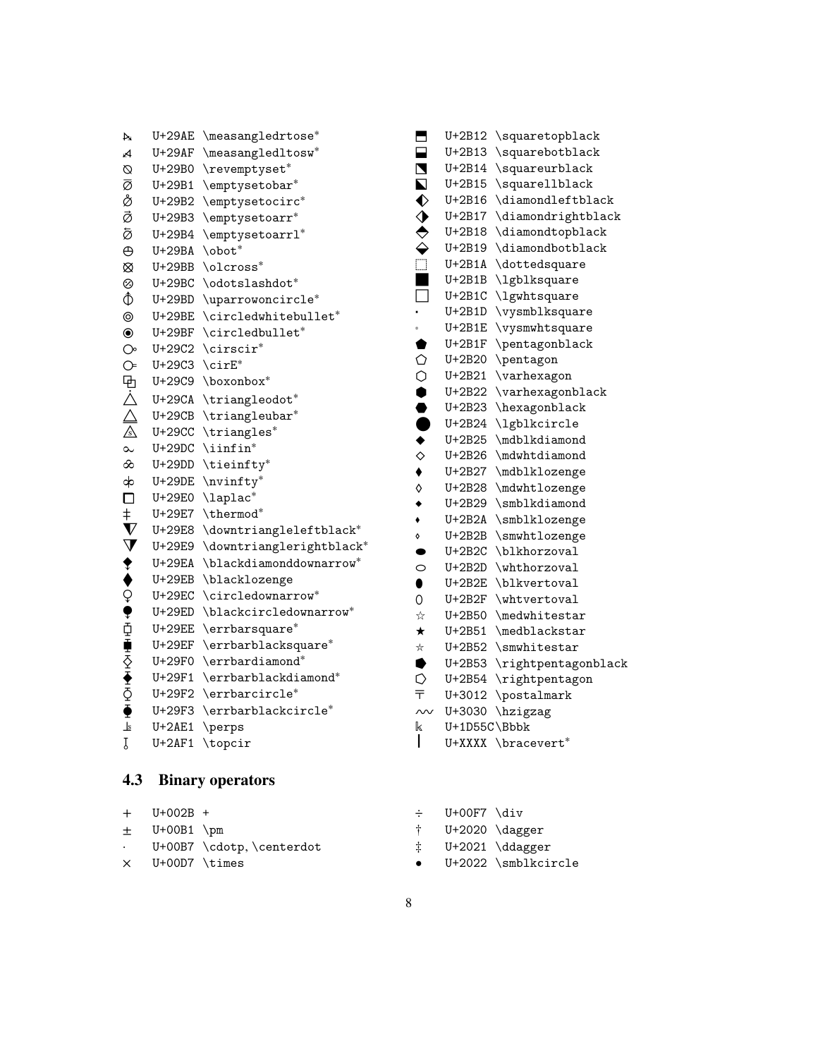| + U+002B +             |                            |
|------------------------|----------------------------|
| $\pm$ U+00B1 \pm       |                            |
|                        | . U+00B7 \cdotp,\centerdot |
| $\times$ U+00D7 \times |                            |
|                        |                            |

## <span id="page-7-0"></span>**4.3 Binary operators**

 $+$  $\pm$ 

| A                       | $U+29AE$      | \measangledrtose*        |
|-------------------------|---------------|--------------------------|
| A                       | U+29AF        | \measangledltosw*        |
| Ø                       | U+29B0        | \revemptyset*            |
| ø                       | U+29B1        | \emptysetobar*           |
| å                       | U+29B2        | \emptysetocirc*          |
| ø                       | U+29B3        | \emptysetoarr*           |
| ø                       | U+29B4        | \emptysetoarrl*          |
| $\Theta$                | $U+29BA$      | \obot*                   |
| $\otimes$               | $U+29BB$      | \olcross*                |
| ⊗                       | $U+29BC$      | \odotslashdot*           |
| $\hat{\Phi}$            | $U+29BD$      | \uparrowoncircle*        |
| $^{\circ}$              | $U+29BE$      | \circledwhitebullet*     |
| $\bf \odot$             | $U+29BF$      | \circledbullet*          |
| $\circlearrowright$     | U+29C2        | $\text{circuit}^*$       |
| $\circledcirc$          | U+29C3        | $\text{circ}$            |
| 电人人                     | U+29C9        | \boxonbox*               |
|                         | $U+29CA$      | \triangleodot*           |
|                         | U+29CB        | \triangleubar*           |
|                         | U+29CC        | \triangles*              |
| $\sim$                  | $U+29DC$      | $\in$ iinfin*            |
| $\infty$                | $U+29DD$      | \tieinfty*               |
| ф                       | $U+29DE$      | \nvinfty*                |
| $\Box$                  | U+29E0        | \laplac*                 |
| $\ddagger$              | U+29E7        | \thermod*                |
| $\boldsymbol{\nabla}$   | U+29E8        | \downtriangleleftblack*  |
| $\dot{\mathbf{\nabla}}$ | U+29E9        | \downtrianglerightblack* |
|                         | U+29EA        | \blackdiamonddownarrow*  |
|                         | $U+29EB$      | \blacklozenge            |
|                         | $U+29EC$      | \circledownarrow*        |
|                         | $U+29ED$      | \blackcircledownarrow*   |
|                         | <b>U+29EE</b> | \errbarsquare*           |
|                         | U+29EF        | \errbarblacksquare*      |
|                         | U+29F0        | \errbardiamond*          |
|                         | U+29F1        | \errbarblackdiamond*     |
| <b>◆◆♀♥☆重◇◆◇●</b>       | U+29F2        | \errbarcircle*           |
|                         | U+29F3        | \errbarblackcircle*      |
| $\frac{1}{2}$           | $U+2AE1$      | \perps                   |
| Ţ                       | $U+2AF1$      | \topcir                  |

|           | U+UUF/ \Q1V |                                 |
|-----------|-------------|---------------------------------|
|           |             | $U+2020 \ \text{dagger}$        |
| İ.        |             | $U+2021 \ \ddot{\text{dagger}}$ |
| $\bullet$ |             | U+2022 \smblkcircle             |

- 8
- $\div$  II+00F7 \di
- *⬯* U+2B2F \whtvertoval *⭐* U+2B50 \medwhitestar *⭑* U+2B51 \medblackstar *⭒* U+2B52 \smwhitestar *〒* U+3012 \postalmark *〰* U+3030 \hzigzag  $\begin{bmatrix} 1 & 0+1D55C \end{bmatrix}$  Wednesdam that  $U+XXX$ U+XXXX \bracevert<sup>\*</sup>
- *v* U+2B12 \squaretopblack *⬓* U+2B13 \squarebotblack *⬔* U+2B14 \squareurblack *⬕* U+2B15 \squarellblack *⬖* U+2B16 \diamondleftblack *⬗* U+2B17 \diamondrightblack *⬘* U+2B18 \diamondtopblack *⬙* U+2B19 \diamondbotblack *⬚* U+2B1A \dottedsquare *⬛* U+2B1B \lgblksquare *⬜* U+2B1C \lgwhtsquare *⬝* U+2B1D \vysmblksquare *⬞* U+2B1E \vysmwhtsquare *⬟* U+2B1F \pentagonblack *⬠* U+2B20 \pentagon *⬡* U+2B21 \varhexagon *⬢* U+2B22 \varhexagonblack *⬣* U+2B23 \hexagonblack *⬤* U+2B24 \lgblkcircle ◆ U+2B25 \mdblkdiamond *⬦* U+2B26 \mdwhtdiamond *⬧* U+2B27 \mdblklozenge *⬨* U+2B28 \mdwhtlozenge *⬩* U+2B29 \smblkdiamond *⬪* U+2B2A \smblklozenge *⬫* U+2B2B \smwhtlozenge *⬬* U+2B2C \blkhorzoval *⬭* U+2B2D \whthorzoval *⬮* U+2B2E \blkvertoval *⭓* U+2B53 \rightpentagonblack *⭔* U+2B54 \rightpentagon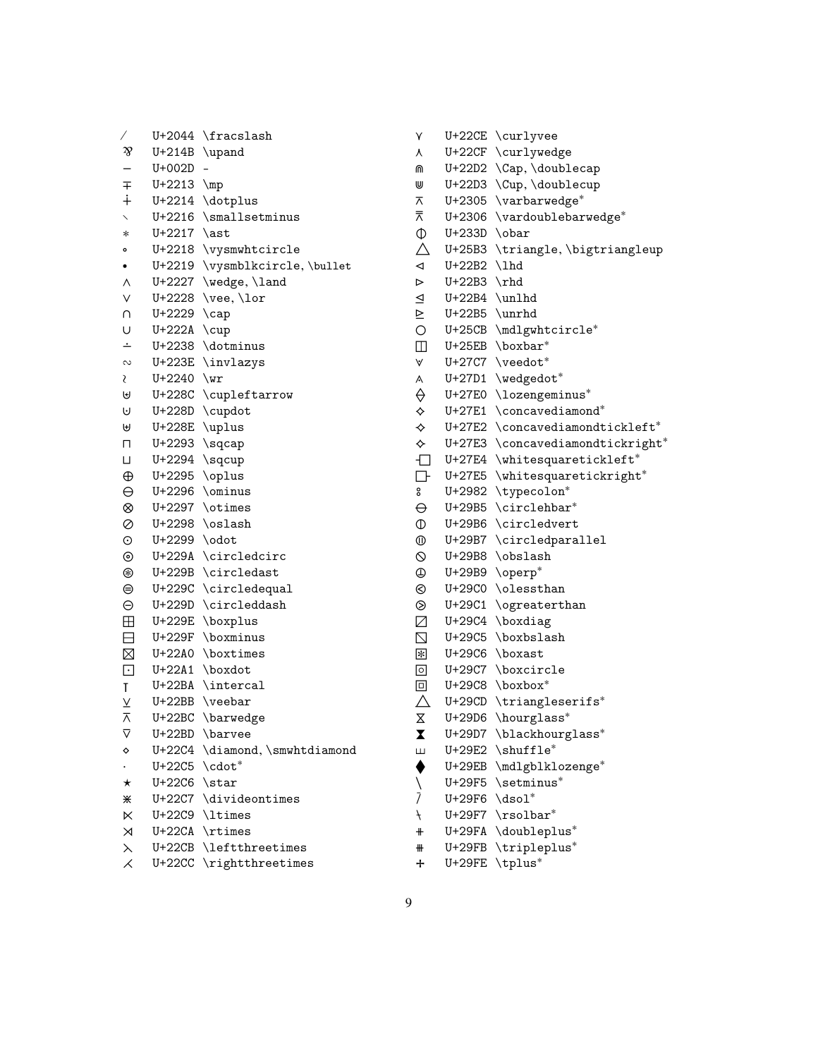| Γ                        | U+2044   | \fracslash              |
|--------------------------|----------|-------------------------|
| z                        | U+214B   | \upand                  |
| $\overline{a}$           | U+002D   |                         |
| $\mp$                    | U+2213   | $\n\mu$                 |
| $\ddot{+}$               | U+2214   | \dotplus                |
|                          | U+2216   | \smallsetminus          |
| $\ast$                   | U+2217   | \ast                    |
| ۰                        | U+2218   | \vysmwhtcircle          |
|                          | U+2219   | \vysmblkcircle, \bullet |
| ٨                        | U+2227   | \wedge, \land           |
| $\vee$                   | U+2228   | \vee, \lor              |
| U                        | U+2229   | $\cap$                  |
| U                        | U+222A   | $\cup$                  |
| $\overline{\phantom{0}}$ | U+2238   | \dotminus               |
| $\sim$                   | U+223E   | \invlazys               |
| S                        | U+2240   | $\sqrt{wr}$             |
| ⊌                        | U+228C   | \cupleftarrow           |
| U                        | U+228D   | \cupdot                 |
| ⊎                        | U+228E   | \uplus                  |
| п                        | U+2293   | \sqcap                  |
| П                        | U+2294   | \sqcup                  |
| $\oplus$                 | U+2295   | \oplus                  |
| $\ominus$                | U+2296   | \ominus                 |
| $^{\circ}$               |          | U+2297 \otimes          |
| $\oslash$                |          | $U+2298 \text{osh}$     |
| $\odot$                  | U+2299   | \odot                   |
| $^{\circ}$               | U+229A   | \circledcirc            |
| ⊛                        | U+229B   | \circledast             |
| ⊜                        | U+229C   | \circledequal           |
| $\ominus$                | U+229D   | \circleddash            |
| $\boxplus$               | U+229E   | \boxplus                |
| $\Box$                   | U+229F   | \boxminus               |
| $\boxtimes$              | U+22A0   | \boxtimes               |
| $\overline{\mathbf{L}}$  | U+22A1   | \boxdot                 |
| T                        | U+22BA   | \intercal               |
|                          | U+22BB   | $\vee$ eebar            |
| $\overline{\wedge}$      | U+22BC   | \barwedge               |
| ⊽                        | U+22BD   | \barvee                 |
| ♦                        | U+22C4   | \diamond, \smwhtdiamond |
|                          | U+22C5   | \cdot*                  |
| $^\star$                 | U+22C6   | \star                   |
| ⋇                        | U+22C7   | \divideontimes          |
| K                        | U+22C9   | \ltimes                 |
| ⋊                        | U+22CA   | \rtimes                 |
| $\lambda$                | $U+22CB$ | \leftthreetimes         |
| $\overline{\mathcal{X}}$ | U+22CC   | \rightthreetimes        |
|                          |          |                         |

| ٨                    | U+22CF             | \curlywedge                      |
|----------------------|--------------------|----------------------------------|
| ⋒                    | U+22D2             | \Cap, \doublecap                 |
| ⋓                    | U+22D3             | \Cup, \doublecup                 |
| ᅎ                    | U+2305             | \varbarwedge*                    |
| ⊼                    | U+2306             | \vardoublebarwedge*              |
| $\Phi$               | U+233D             | \obar                            |
| Δ                    | U+25B3             | \triangle,\bigtriangleup         |
| $\blacktriangleleft$ | U+22B2             | \lhd                             |
| ⊳                    | U+22B3             | $\theta$                         |
| $\trianglelefteq$    | U+22B4             | \unlhd                           |
|                      | $U+22B5 \ \mu rhd$ |                                  |
| $\frac{1}{2}$        |                    | U+25CB \mdlgwhtcircle*           |
| $\Box$               |                    | $U+25EB$ \boxbar*                |
| ٧                    |                    | U+27C7 \veedot*                  |
| A                    | U+27D1             | \wedgedot*                       |
|                      | U+27E0             | \lozengeminus*                   |
| ⇔⇔                   | U+27E1             | \concavediamond*                 |
|                      | U+27E2             | $\verb \concavediamondtickleft"$ |
| $\hat{\mathbf{r}}$   | U+27E3             | \concavediamondtickright*        |
| $\Box$               | U+27E4             | \whitesquaretickleft*            |
| $\Box$               | U+27E5             | \whitesquaretickright*           |
| °                    | U+2982             | \typecolon*                      |
| $\ominus$            | U+29B5             | \circlehbar*                     |
| $\mathbb O$          | U+29B6             | \circledvert                     |
| $^\circledR$         | U+29B7             | \circledparallel                 |
| $\circ$              | U+29B8             | \obslash                         |
| $\oplus$             | U+29B9             | \operp*                          |
| $\odot$              | U+29C0             | \olessthan                       |
| $\circledcirc$       | U+29C1             | \ogreaterthan                    |
| $\boxtimes$          | U+29C4             | \boxdiag                         |
| $\boxtimes$          | U+29C5             | \boxbslash                       |
| $\ast$               | U+29C6             | \boxast                          |
| $\circ$              | U+29C7             | \boxcircle                       |
| $\Box$               | U+29C8             | \boxbox*                         |
| $\triangle$          | U+29CD             | \triangleserifs*                 |
| Χ                    | U+29D6             | \hourglass*                      |
| X                    | U+29D7             | \blackhourglass*                 |
| Ш                    | U+29E2             | \shuffle*                        |
|                      | <b>U+29EB</b>      | \mdlgblklozenge*                 |
| $\sqrt{\frac{1}{7}}$ | U+29F5             | \setminus*                       |
|                      | U+29F6             | \dsol <sup>*</sup>               |
| $\overline{t}$       | U+29F7             | $\verb \rsolbar $                |
| $\ddagger$           | U+29FA             | \doubleplus*                     |
| ₩                    | U+29FB             | \tripleplus*                     |

⋎ U+22CE \curlyvee

⧾ U+29FE \tplus<sup>∗</sup>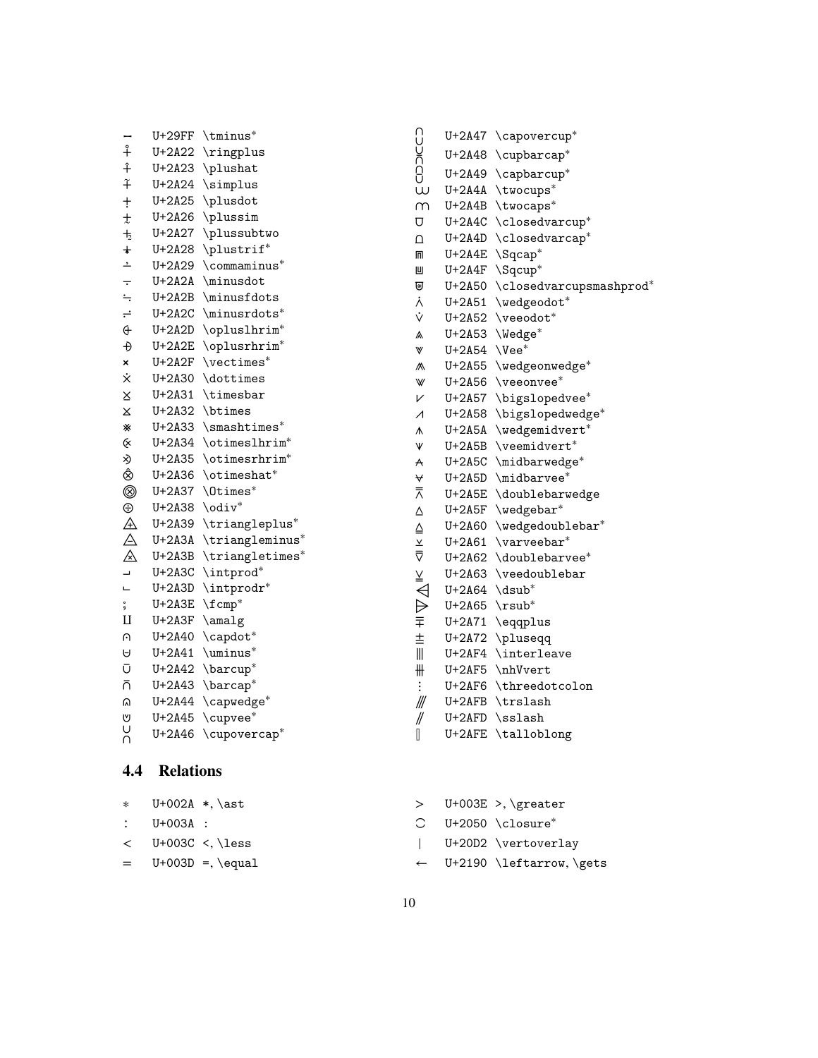| $\cdots$ $\cdots$     |                                       |
|-----------------------|---------------------------------------|
| * U+002A *,\ast       | $>$ U+003E >, \greater                |
| $: U+003A :$          | $C$ U+2050 \closure*                  |
| $<$ U+003C $<$ , less | $ $ U+20D2 \vertoverlay               |
| $=$ U+003D =, \equal  | $\leftarrow$ U+2190 \leftarrow, \gets |
|                       |                                       |

10

# <span id="page-9-0"></span>**4.4 Relations**

⩄ U+2A44 \capwedge ∗ ⩅ U+2A45 \cupvee ∗ ⩆ U+2A46 \cupovercap ∗

⧿ U+29FF \tminus ∗ ⨢ U+2A22 \ringplus ⨣ U+2A23 \plushat ⨤ U+2A24 \simplus ⨥ U+2A25 \plusdot  $t$  U+2A26 \plussim  $+<sub>2</sub>$  U+2A27 \plussubtwo ⨨ U+2A28 \plustrif<sup>∗</sup> ⨩ U+2A29 \commaminus ∗ ⨪ U+2A2A \minusdot ⨫ U+2A2B \minusfdots ⨬ U+2A2C \minusrdots ∗ ⨭ U+2A2D \opluslhrim ∗

| Ð           |                             | U+2A2E \oplusrhrim*      | W                        | $U+2A54$ \Vee*              |                       |
|-------------|-----------------------------|--------------------------|--------------------------|-----------------------------|-----------------------|
| ×           |                             | $U+2A2F$ \vectimes*      | ∧                        |                             | U+2A55 \wedgeonwedge* |
| ż.          |                             | $U+2A30$ \dottimes       | W                        |                             | $U+2A56$ \veeonvee*   |
| X           |                             | $U+2A31$ \timesbar       | V                        |                             | U+2A57 \bigslopedvee* |
| X           |                             | U+2A32 \btimes           | $\overline{\mathcal{A}}$ |                             | U+2A58 \bigslopedwedg |
| ⋇           |                             | $U+2A33$ \smashtimes*    | ∧                        |                             | U+2A5A \wedgemidvert* |
| Q.          |                             | U+2A34 \otimeslhrim*     | V                        |                             | U+2A5B \veemidvert*   |
| ×)          |                             | U+2A35 \otimesrhrim*     | $\forall$                |                             | U+2A5C \midbarwedge*  |
| Ô,          |                             | $U+2A36$ \otimeshat*     | ∀                        |                             | $U+2A5D$ \midbarvee*  |
| ◉           |                             | $U+2A37$ $Otimes*$       | 示                        |                             | U+2A5E \doublebarwedg |
| ⊕           | $U+2A38 \ \dot{v}$          |                          | Δ                        |                             | $U+2A5F$ \wedgebar*   |
| $\mathbb A$ |                             | U+2A39 \triangleplus*    | ≙                        |                             | U+2A60 \wedgedoubleba |
| $\triangle$ |                             | U+2A3A \triangleminus*   | $\underline{\mathsf{v}}$ |                             | $U+2A61$ \varveebar*  |
| $\mathbb A$ |                             | U+2A3B \triangletimes*   | $\overline{\nabla}$      |                             | U+2A62 \doublebarvee* |
| L,          |                             | U+2A3C \intprod*         | ≚                        |                             | U+2A63 \veedoublebar  |
| щ           |                             | U+2A3D \intprodr*        | ◁                        | $U+2A64$ \dsub <sup>*</sup> |                       |
| 。<br>9      | $U+2A3E$ \fcmp <sup>*</sup> |                          | $\Rightarrow$            | $U+2A65$ \rsub <sup>*</sup> |                       |
| Ц           |                             | $U+2A3F \lambda_2$       | 亍                        |                             | U+2A71 \eqqplus       |
| υ.          |                             | U+2A40 \capdot*          | 主                        |                             | U+2A72 \pluseqq       |
| A           |                             | $U+2A41$ \uminus*        | $\mathbb{I}$             |                             | U+2AF4 \interleave    |
| Ū           |                             | $U+2A42 \hbox{barcup}^*$ | ╫                        |                             | $U+2AF5 \nhVvert$     |
| ñ           |                             | U+2A43 \barcap*          |                          |                             | U+2AF6 \threedotcolon |
|             |                             |                          |                          |                             |                       |

| ω                        |                              | U+2A4A \twocups*               |
|--------------------------|------------------------------|--------------------------------|
| m                        |                              | U+2A4B \twocaps*               |
| U                        |                              | U+2A4C \closedvarcup*          |
| $\Omega$                 |                              | U+2A4D \closedvarcap*          |
| m                        |                              | U+2A4E \Sqcap*                 |
| Ш                        |                              | U+2A4F \Sqcup*                 |
| ₩                        |                              | U+2A50 \closedvarcupsmashprod* |
| λ                        |                              | U+2A51 \wedgeodot*             |
| Ý                        |                              | U+2A52 \veeodot*               |
| $\mathbb{\lambda}$       |                              | U+2A53 \Wedge*                 |
| W                        | $U+2A54$ \Vee*               |                                |
|                          |                              | U+2A55 \wedgeonwedge*          |
| W                        |                              | U+2A56 \veeonvee*              |
| V                        |                              | U+2A57 \bigslopedvee*          |
| $\overline{\mathcal{A}}$ |                              | U+2A58 \bigslopedwedge*        |
| Λ                        |                              | U+2A5A \wedgemidvert*          |
| Ψ                        |                              | U+2A5B \veemidvert*            |
| A                        |                              | U+2A5C \midbarwedge*           |
| ∀                        |                              | U+2A5D \midbarvee*             |
| ⊼                        |                              | U+2A5E \doublebarwedge         |
|                          |                              | U+2A5F \wedgebar*              |
| さくくえん きょう                |                              | U+2A60 \wedgedoublebar*        |
|                          | U+2A61                       | $\vartheta^*$                  |
|                          |                              | U+2A62 \doublebarvee*          |
|                          |                              | U+2A63 \veedoublebar           |
|                          | $U+2A64 \quad \text{dsub}^*$ |                                |
|                          | $U+2A65$ \rsub <sup>*</sup>  |                                |
|                          |                              | U+2A71 \eqqplus                |
| $\overline{\pm}$         |                              | U+2A72 \pluseqq                |
| $\mathbb{I}$             |                              | U+2AF4 \interleave             |
| ╫                        |                              | U+2AF5 \nhVvert                |
| $\vdots$                 |                              | U+2AF6 \threedotcolon          |
| ///                      |                              | U+2AFB \trslash                |
| //                       | U+2AFD                       | \sslash                        |

*⫾* U+2AFE \talloblong

∩ U+2A47 \capovercup\* ⩈ U+2A48 \cupbarcap ∗ ⩉ U+2A49 \capbarcup ∗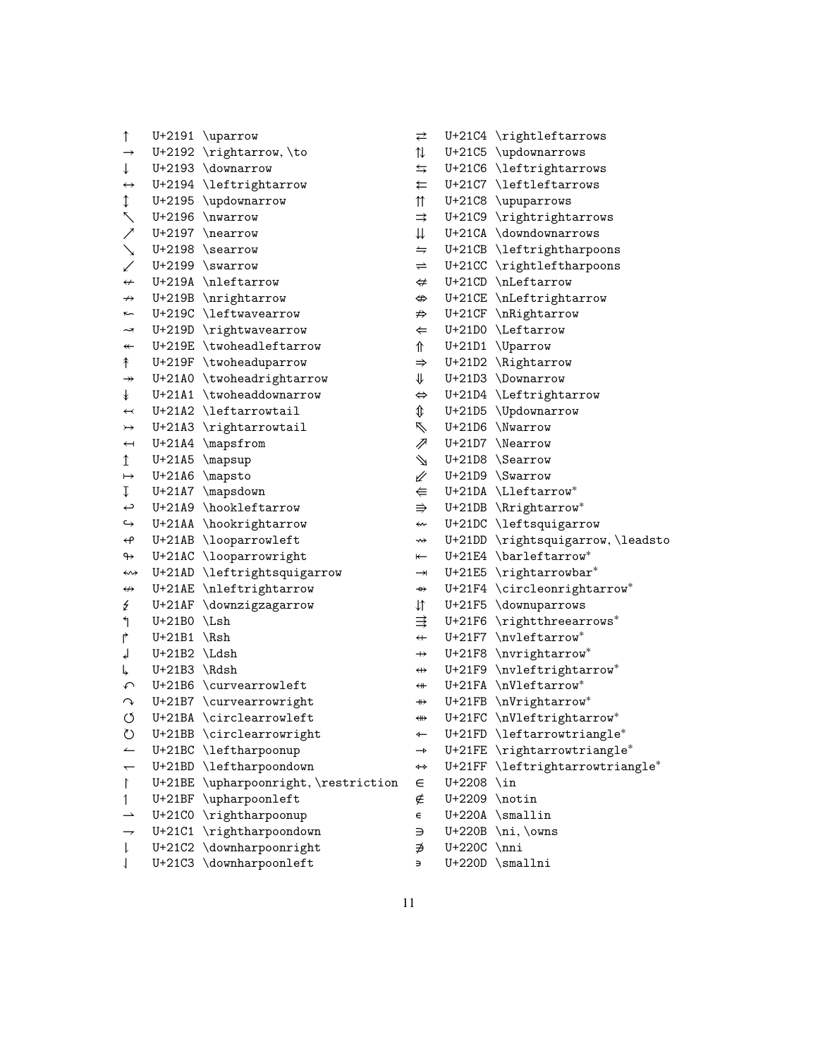→ U+2192 \rightarrow, \to ↓ U+2193 \downarrow ↔ U+2194 \leftrightarrow ↕ U+2195 \updownarrow ↖ U+2196 \nwarrow ↗ U+2197 \nearrow ↘ U+2198 \searrow ↙ U+2199 \swarrow  $\leftrightarrow$  U+219A \nleftarrow ↛ U+219B \nrightarrow ↜ U+219C \leftwavearrow ↝ U+219D \rightwavearrow ↞ U+219E \twoheadleftarrow ↟ U+219F \twoheaduparrow  $\rightarrow$  U+21A0 \twoheadrightarrow ↡ U+21A1 \twoheaddownarrow  $\leftarrow$  U+21A2 \leftarrowtail ↣ U+21A3 \rightarrowtail ↤ U+21A4 \mapsfrom ↥ U+21A5 \mapsup ↦ U+21A6 \mapsto ↧ U+21A7 \mapsdown ↩ U+21A9 \hookleftarrow ↪ U+21AA \hookrightarrow ↫ U+21AB \looparrowleft ↬ U+21AC \looparrowright ↭ U+21AD \leftrightsquigarrow ↮ U+21AE \nleftrightarrow ↯ U+21AF \downzigzagarrow ↰ U+21B0 \Lsh ↱ U+21B1 \Rsh ↲ U+21B2 \Ldsh ↳ U+21B3 \Rdsh ↶ U+21B6 \curvearrowleft ↷ U+21B7 \curvearrowright ↺ U+21BA \circlearrowleft ↻ U+21BB \circlearrowright ↼ U+21BC \leftharpoonup ← U+21BD \leftharpoondown ↾ U+21BE \upharpoonright, \restriction ∈ U+2208 \in ↿ U+21BF \upharpoonleft  $\rightarrow$  U+21CO \rightharpoonup  $\rightarrow$  U+21C1 \rightharpoondown ⇂ U+21C2 \downharpoonright

⇃ U+21C3 \downharpoonleft

↑ U+2191 \uparrow

⇆ U+21C6 \leftrightarrows ⇇ U+21C7 \leftleftarrows ⇈ U+21C8 \upuparrows ⇉ U+21C9 \rightrightarrows ⇊ U+21CA \downdownarrows  $\leftrightharpoons$  U+21CB \leftrightharpoons ⇌ U+21CC \rightleftharpoons ⇍ U+21CD \nLeftarrow ⇎ U+21CE \nLeftrightarrow ⇏ U+21CF \nRightarrow ⇐ U+21D0 \Leftarrow ⇑ U+21D1 \Uparrow ⇒ U+21D2 \Rightarrow ⇓ U+21D3 \Downarrow ⇔ U+21D4 \Leftrightarrow ⇕ U+21D5 \Updownarrow ⇖ U+21D6 \Nwarrow ⇗ U+21D7 \Nearrow ⇘ U+21D8 \Searrow ⇙ U+21D9 \Swarrow ⇚ U+21DA \Lleftarrow<sup>∗</sup> ⇛ U+21DB \Rrightarrow<sup>∗</sup> ⇜ U+21DC \leftsquigarrow ⇝ U+21DD \rightsquigarrow, \leadsto ⇤ U+21E4 \barleftarrow<sup>∗</sup> → U+21E5 \rightarrowbar<sup>\*</sup> ⇴ U+21F4 \circleonrightarrow<sup>∗</sup> → U+21F4 \circleonrightarrow\*<br>
↓↑ U+21F5 \downuparrows ⇶ U+21F6 \rightthreearrows<sup>∗</sup> ⇷ U+21F7 \nvleftarrow<sup>∗</sup> ⇸ U+21F8 \nvrightarrow<sup>∗</sup> ⇹ U+21F9 \nvleftrightarrow<sup>∗</sup> ⇺ U+21FA \nVleftarrow<sup>∗</sup> ⇻ U+21FB \nVrightarrow<sup>∗</sup> ⇼ U+21FC \nVleftrightarrow<sup>∗</sup> ⇽ U+21FD \leftarrowtriangle<sup>∗</sup> ⇾ U+21FE \rightarrowtriangle<sup>∗</sup> ⇿ U+21FF \leftrightarrowtriangle<sup>∗</sup> ∉ U+2209 \notin ∊ U+220A \smallin ∋ U+220B \ni, \owns ∌ U+220C \nni ∍ U+220D \smallni

⇄ U+21C4 \rightleftarrows ⇅ U+21C5 \updownarrows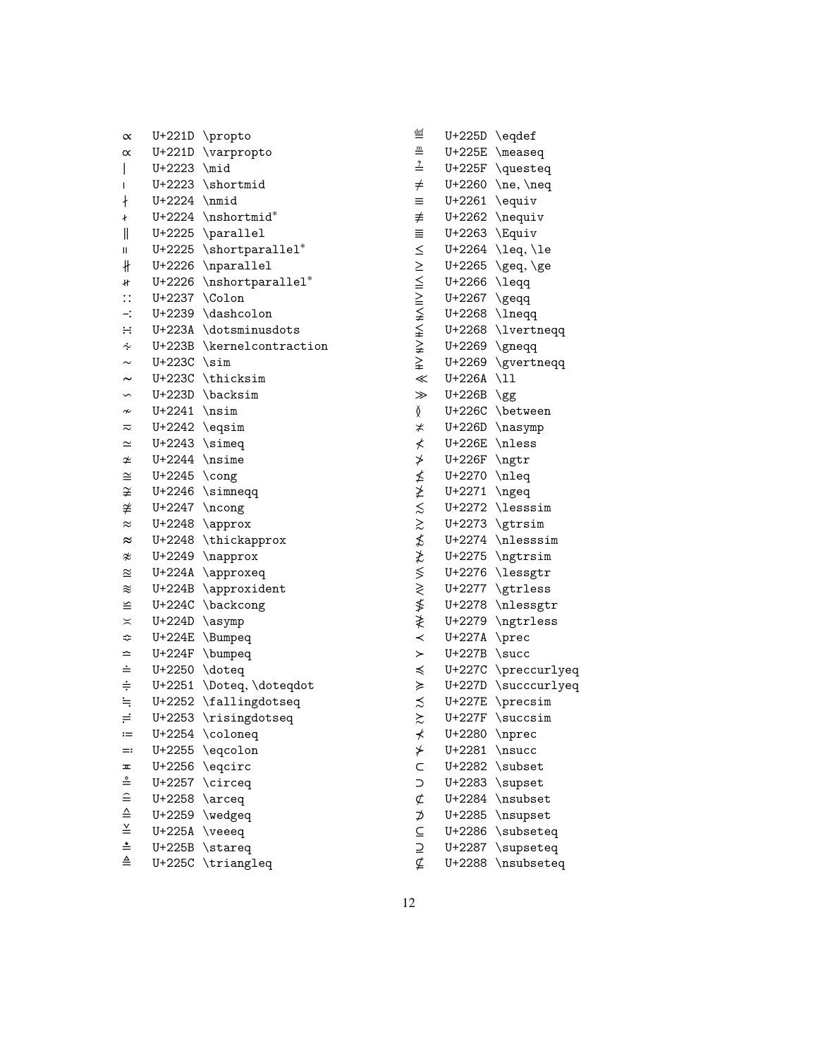| $\propto$                                                                                                                                   | U+221D   | \propto            |
|---------------------------------------------------------------------------------------------------------------------------------------------|----------|--------------------|
| $\propto$                                                                                                                                   | U+221D   | \varpropto         |
| I                                                                                                                                           | U+2223   | $\mid$             |
| I                                                                                                                                           | U+2223   | \shortmid          |
| ł                                                                                                                                           | U+2224   | $\n\times$         |
| ł                                                                                                                                           | U+2224   | \nshortmid*        |
| II                                                                                                                                          | U+2225   | \parallel          |
| П                                                                                                                                           | U+2225   | \shortparallel*    |
| ∦                                                                                                                                           | U+2226   | \nparallel         |
| łł                                                                                                                                          | U+2226   | \nshortparallel*   |
| $\vdots$                                                                                                                                    | U+2237   | \Colon             |
| $\div$                                                                                                                                      | U+2239   | \dashcolon         |
| $\div$                                                                                                                                      | U+223A   | \dotsminusdots     |
| ∻                                                                                                                                           | U+223B   | \kernelcontraction |
| $\sim$                                                                                                                                      | U+223C   | $\sin$             |
| $\tilde{\phantom{a}}$                                                                                                                       | U+223C   | \thicksim          |
| S                                                                                                                                           | U+223D   | \backsim           |
| $\nsim$                                                                                                                                     | U+2241   | nsim               |
| ≂                                                                                                                                           | U+2242   | \eqsim             |
| $\simeq$                                                                                                                                    | U+2243   | $\sum$             |
| ≄                                                                                                                                           | U+2244   | \nsime             |
| $\cong$                                                                                                                                     | U+2245   | $\c{ong}$          |
| ≆                                                                                                                                           | U+2246   | \simneqq           |
| ≇                                                                                                                                           | U+2247   | $\ncong$           |
| $\approx$                                                                                                                                   | U+2248   | \approx            |
| $\approx$                                                                                                                                   | U+2248   | \thickapprox       |
| z                                                                                                                                           | U+2249   | \napprox           |
| $\approx$                                                                                                                                   | U+224A   | \approxeq          |
| ≋                                                                                                                                           | U+224B   | \approxident       |
| ≌                                                                                                                                           | U+224C   | \backcong          |
| $\asymp$                                                                                                                                    | U+224D   | \asymp             |
| ≎                                                                                                                                           | U+224E   | \Bumpeq            |
| ≏                                                                                                                                           | U+224F   | \bumpeq            |
| $\dot{=}$                                                                                                                                   | U+2250   | \doteq             |
| $\div$                                                                                                                                      | U+2251   | \Doteq, \doteqdot  |
| $\stackrel{\cdot}{=}$                                                                                                                       | U+2252   | \fallingdotseq     |
| $\equiv$                                                                                                                                    | U+2253   | \risingdotseq      |
| $:=$                                                                                                                                        | U+2254   | \coloneq           |
| =:                                                                                                                                          | U+2255   | \eqcolon           |
| ᅐ                                                                                                                                           | U+2256   | \eqcirc            |
|                                                                                                                                             | U+2257   | \circeq            |
| $\stackrel{\text{a}}{=} \stackrel{\text{b}}{=} \stackrel{\text{c}}{=} \stackrel{\text{c}}{=} \stackrel{\text{d}}{=} \stackrel{\text{d}}{=}$ | U+2258   | $\arceq$           |
|                                                                                                                                             | U+2259   | \wedgeq            |
|                                                                                                                                             | U+225A   | \veeeq             |
|                                                                                                                                             | $U+225B$ | \stareq            |
|                                                                                                                                             | U+225C   | \triangleq         |
|                                                                                                                                             |          |                    |

| $\stackrel{\text{def}}{=}$  | U+225D        | \eqdef                     |
|-----------------------------|---------------|----------------------------|
| ≞                           | U+225E        | \measeq                    |
| $\stackrel{?}{=}$           | U+225F        | \questeq                   |
| $\neq$                      | U+2260        | \ne, \neq                  |
| $\equiv$                    | $U + 2261$    | \equiv                     |
| ≢                           | U+2262        | \nequiv                    |
| ≣                           | $U + 2263$    | \Equiv                     |
|                             | U+2264        | \leq, \le                  |
|                             | $U + 2265$    | \geq, \ge                  |
|                             | U+2266        | \leqq                      |
| ∨! ∧! ∨!! ∧!! ∨\# ∨# ∧# ≪ ≫ | $U + 2267$    | \geqq                      |
|                             | U+2268        | \lneqq                     |
|                             | U+2268        | \lvertneqq                 |
|                             | U+2269        | \gneqq                     |
|                             | U+2269        | \gvertneqq                 |
|                             | U+226A        | \11                        |
|                             | U+226B        | \gg                        |
| Ď                           | U+226C        | \between                   |
| $\star$                     | U+226D        | \nasymp                    |
| ≮                           | <b>U+226E</b> | \nless                     |
| ≯                           | U+226F        | $\eta$                     |
| ≰                           | U+2270        | \nleq                      |
| ≱                           | $U + 2271$    | \ngeq                      |
|                             | U+2272        | \lesssim                   |
| $\frac{2}{2}$               | U+2273        | \gtrsim                    |
| ≴                           | U+2274        | \nlesssim                  |
| ≵                           | U+2275        | \ngtrsim                   |
|                             | U+2276        | \lessgtr                   |
| $\frac{1}{2}$               | U+2277        | \gtrless                   |
| ≸                           | U+2278        | \nlessgtr                  |
| ≹                           | U+2279        | \ngtrless                  |
| $\prec$                     | U+227A        | $\backslash \mathrm{prec}$ |
| $\geq$                      | U+227B        | $\sqrt{\text{succ}}$       |
| $\preccurlyeq$              | U+227C        | \preccurlyeq               |
| ≽                           | U+227D        | \succcurlyeq               |
| $\frac{1}{2}$               | U+227E        | \precsim                   |
|                             | U+227F        | \succsim                   |
| ⊀                           | U+2280        | $\infty$                   |
| ⊁                           | U+2281        | \nsucc                     |
|                             | U+2282        | \subset                    |
| C<br>D                      | U+2283        | \supset                    |
|                             | U+2284        | \nsubset                   |
| ⊄ ⊅ ⊆ ⊇ ⊈                   | $U + 2285$    | \nsupset                   |
|                             | U+2286        | \subseteq                  |
|                             | U+2287        | \supseteq                  |
|                             | U+2288        | \nsubseteq                 |
|                             |               |                            |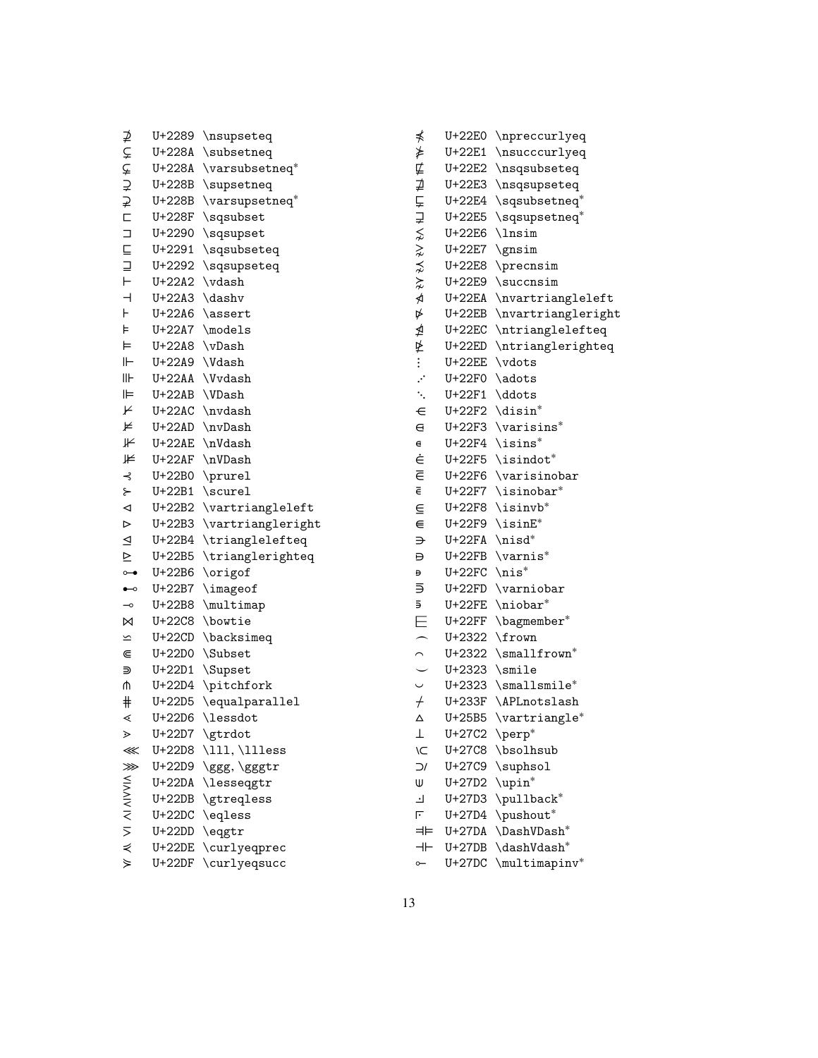|                          | U+2289   | \nsupseteq        |
|--------------------------|----------|-------------------|
| すいけい エロコロ                | U+228A   | \subsetneq        |
|                          | U+228A   | \varsubsetneq*    |
|                          | U+228B   | \supsetneq        |
|                          | U+228B   | \varsupsetneq*    |
|                          | U+228F   | \sqsubset         |
|                          | U+2290   | \sqsupset         |
|                          | U+2291   | \sqsubseteq       |
| $\equiv$                 | U+2292   | \sqsupseteq       |
|                          | U+22A2   | \vdash            |
| $\overline{\phantom{0}}$ | $U+22A3$ | \dashv            |
| Н                        | U+22A6   | \assert           |
| ⊧                        | U+22A7   | \models           |
| ⊨                        | $U+22A8$ | \vDash            |
| ⊩                        | U+22A9   | \Vdash            |
| llŀ                      | U+22AA   | \Vvdash           |
| ⊫                        | U+22AB   | \VDash            |
| ⊬                        | U+22AC   | \nvdash           |
| ⊭                        | U+22AD   | \nvDash           |
| ⊮                        | U+22AE   | \nVdash           |
| ⊯                        | U+22AF   | \nVDash           |
| ⊰                        | U+22B0   | \prurel           |
| ح                        | U+22B1   | \scurel           |
| ◁                        | U+22B2   | \vartriangleleft  |
| $\triangleright$         | U+22B3   | \vartriangleright |
| $\triangleq$             | U+22B4   | \trianglelefteq   |
| $\geq$                   | U+22B5   | \trianglerighteq  |
| $\overline{ }$           | U+22B6   | \origof           |
| $\overline{\phantom{0}}$ | U+22B7   | \imageof          |
| $\multimap$              | U+22B8   | \multimap         |
| ⊠                        | U+22C8   | \bowtie           |
| $\overline{\phantom{a}}$ | $U+22CD$ | \backsimeq        |
| $\in$                    | U+22D0   | \Subset           |
| ⋑                        | U+22D1   | \Supset           |
| ሰ                        | U+22D4   | \pitchfork        |
| $\#$                     | $U+22D5$ | \equalparallel    |
| ⋖                        | $U+22D6$ | \lessdot          |
| ⋗                        | U+22D7   | \gtrdot           |
| ⋘                        | U+22D8   | \111, \111ess     |
| ⋙                        | U+22D9   | \ggg, \gggtr      |
|                          | $U+22DA$ | \lesseqgtr        |
|                          | $U+22DB$ | \gtreqless        |
| AI VI AI AIVVIA          | $U+22DC$ | \eqless           |
|                          | $U+22DD$ | \eqgtr            |
|                          | $U+22DE$ | \curlyeqprec      |

⋟ U+22DF \curlyeqsucc

| ⋠                        |               | U+22E0                                | \npreccurlyeq          |
|--------------------------|---------------|---------------------------------------|------------------------|
| ⋡                        |               | U+22E1                                | \nsucccurlyeq          |
|                          |               | U+22E2                                | \nsqsubseteq           |
|                          |               | U+22E3                                | \nsqsupseteq           |
|                          |               | U+22E4                                | \sqsubsetneq*          |
|                          |               | U+22E5                                | \sqsupsetneq*          |
|                          |               | U+22E6                                | \lnsim                 |
|                          |               | U+22E7                                | \gnsim                 |
|                          |               | U+22E8                                | \precnsim              |
| 乒 はんしょく ミング マイル          |               | U+22E9                                | \succnsim              |
|                          |               | $U+22EA$                              | \nvartriangleleft      |
|                          |               | $U+22EB$                              | \nvartriangleright     |
| ⋬                        |               | $U+22EC$                              | \ntrianglelefteq       |
|                          |               | U+22ED                                | \ntrianglerighteq      |
| 毕…                       |               | $U+22EE$                              | \vdots                 |
|                          |               | U+22F0                                | \adots                 |
| $\ddot{\cdot}$ .         |               | $U+22F1$                              | \ddots                 |
| $\in$                    |               | U+22F2                                | \disin*                |
| $\in$                    |               | U+22F3                                | $\vartheta^*$          |
| $\epsilon$               |               | U+22F4                                | \isins*                |
| Ė                        |               | U+22F5                                | \isindot*              |
| $\overline{\epsilon}$    |               | U+22F6                                | \varisinobar           |
| $\bar{\epsilon}$         |               | U+22F7                                | \isinobar*             |
| ⋸                        |               | U+22F8                                | \isinvb*               |
| ⋹                        |               | U+22F9                                | $\sin E^*$             |
| ⋺                        |               | U+22FA                                | \nisd*                 |
| Đ                        |               | U+22FB                                | $\vartheta$            |
| Đ                        |               | U+22FC                                | $\text{nis}^*$         |
| ⋽                        |               | U+22FD                                | \varniobar             |
| ā,                       |               | U+22FE                                | \niobar*               |
| Ε                        |               | U+22FF                                | \bagmember*            |
|                          |               | U+2322                                | \frown                 |
| $\overline{\phantom{0}}$ |               | U+2322                                | \smallfrown*           |
|                          |               | U+2323                                | \smile                 |
|                          | $\frac{1}{2}$ | U+2323                                | \smallsmile*           |
| $\overline{t}$           |               | U+233F                                | \APLnotslash           |
| Δ                        |               | U+25B5                                | $\vartheta^*$          |
| ⊥                        |               | U+27C2                                | $\perp$                |
|                          | ÌС            |                                       | U+27C8 \bsolhsub       |
|                          | $\supset$     |                                       | U+27C9 \suphsol        |
| W                        |               | $U+27D2 \quad \uparrow \rightarrow^*$ |                        |
| Ŀ                        |               | U+27D3                                | \pullback <sup>*</sup> |
| F                        |               | U+27D4                                | \pushout*              |
|                          | ⊨⊨            | $U+27DA$                              | \DashVDash*            |
|                          | ⊣⊢            | $U+27DB$                              | \dashVdash*            |
| $\sim$                   |               | $U+27DC$                              | \multimapinv*          |
|                          |               |                                       |                        |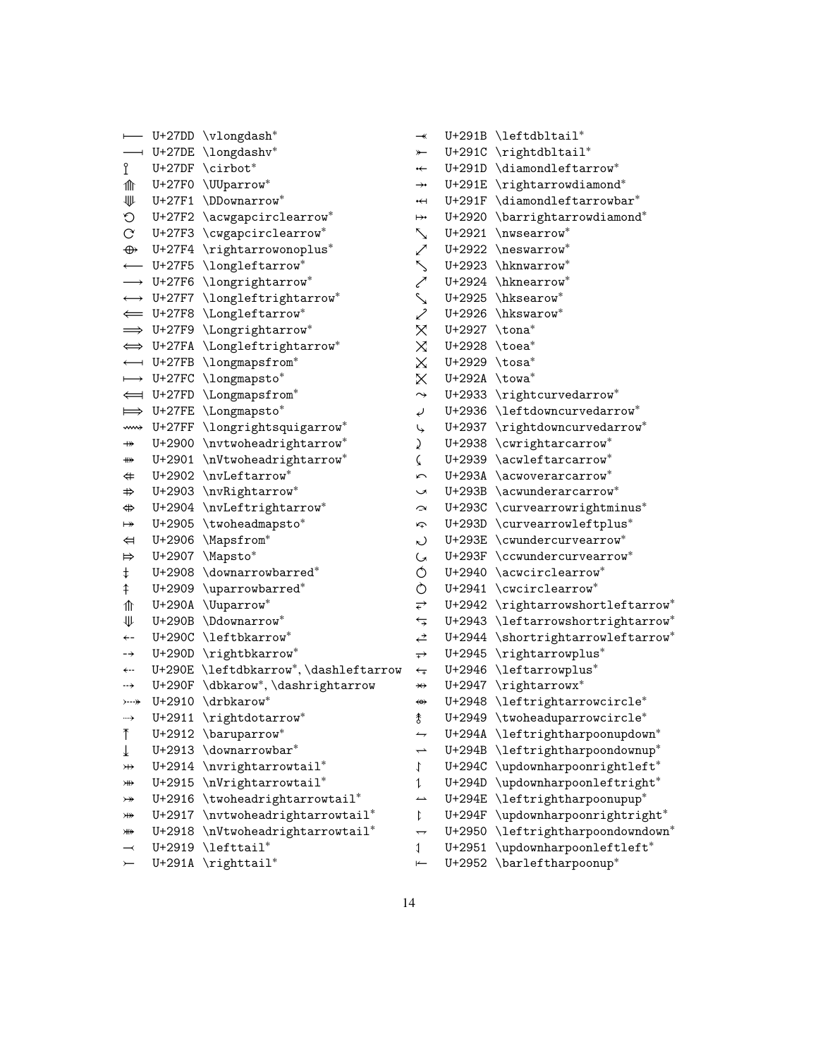⟝ U+27DD \vlongdash<sup>∗</sup> ⟞ U+27DE \longdashv<sup>∗</sup> ⟟ U+27DF \cirbot<sup>∗</sup> ⟰ U+27F0 \UUparrow<sup>∗</sup> ⟱ U+27F1 \DDownarrow<sup>∗</sup> ⟲ U+27F2 \acwgapcirclearrow<sup>∗</sup> ⟳ U+27F3 \cwgapcirclearrow<sup>∗</sup> ⟴ U+27F4 \rightarrowonoplus<sup>∗</sup> ← U+27F5 \longleftarrow\* ⟶ U+27F6 \longrightarrow<sup>∗</sup> ⟷ U+27F7 \longleftrightarrow<sup>∗</sup> ⟸ U+27F8 \Longleftarrow<sup>∗</sup> ⟹ U+27F9 \Longrightarrow<sup>∗</sup> ⟺ U+27FA \Longleftrightarrow<sup>∗</sup> ⟻ U+27FB \longmapsfrom<sup>∗</sup> ⟼ U+27FC \longmapsto<sup>∗</sup> ⟽ U+27FD \Longmapsfrom<sup>∗</sup> ⟾ U+27FE \Longmapsto<sup>∗</sup> ⟿ U+27FF \longrightsquigarrow<sup>∗</sup> *⤀* U+2900 \nvtwoheadrightarrow<sup>∗</sup> *⤁* U+2901 \nVtwoheadrightarrow<sup>∗</sup> *⤂* U+2902 \nvLeftarrow<sup>∗</sup> *⤃* U+2903 \nvRightarrow<sup>∗</sup> *⤄* U+2904 \nvLeftrightarrow<sup>∗</sup> *⤅* U+2905 \twoheadmapsto<sup>∗</sup> *⤆* U+2906 \Mapsfrom<sup>∗</sup> *⤇* U+2907 \Mapsto<sup>∗</sup> *⤈* U+2908 \downarrowbarred<sup>∗</sup> *⤉* U+2909 \uparrowbarred<sup>∗</sup> ⤊ U+290A \Uuparrow<sup>∗</sup> ⤋ U+290B \Ddownarrow<sup>∗</sup> *⤌* U+290C \leftbkarrow<sup>∗</sup> *⤍* U+290D \rightbkarrow<sup>∗</sup> *⤎* U+290E \leftdbkarrow<sup>∗</sup> , \dashleftarrow *⥆* U+2946 \leftarrowplus<sup>∗</sup> *⤏* U+290F \dbkarow<sup>∗</sup> , \dashrightarrow *⤐* U+2910 \drbkarow<sup>∗</sup> *⤑* U+2911 \rightdotarrow<sup>∗</sup> *⤒* U+2912 \baruparrow<sup>∗</sup> *⤓* U+2913 \downarrowbar<sup>∗</sup> *⤔* U+2914 \nvrightarrowtail<sup>∗</sup> *⤕* U+2915 \nVrightarrowtail<sup>∗</sup> *⤖* U+2916 \twoheadrightarrowtail<sup>∗</sup> *⤗* U+2917 \nvtwoheadrightarrowtail<sup>∗</sup> *⤘* U+2918 \nVtwoheadrightarrowtail<sup>∗</sup> *⤙* U+2919 \lefttail<sup>∗</sup>

*⤚* U+291A \righttail<sup>∗</sup>

*⤜* U+291C \rightdbltail<sup>∗</sup> *⤝* U+291D \diamondleftarrow<sup>∗</sup> → U+291E \rightarrowdiamond<sup>\*</sup> *⤟* U+291F \diamondleftarrowbar<sup>∗</sup> *⤠* U+2920 \barrightarrowdiamond<sup>∗</sup> *⤡* U+2921 \nwsearrow<sup>∗</sup> *⤢* U+2922 \neswarrow<sup>∗</sup> *⤣* U+2923 \hknwarrow<sup>∗</sup> *⤤* U+2924 \hknearrow<sup>∗</sup> *⤥* U+2925 \hksearow<sup>∗</sup> *⤦* U+2926 \hkswarow<sup>∗</sup> *⤧* U+2927 \tona<sup>∗</sup> *⤨* U+2928 \toea<sup>∗</sup> *⤩* U+2929 \tosa<sup>∗</sup> *⤪* U+292A \towa<sup>∗</sup> *⤳* U+2933 \rightcurvedarrow<sup>∗</sup> *⤶* U+2936 \leftdowncurvedarrow<sup>∗</sup> *⤷* U+2937 \rightdowncurvedarrow<sup>∗</sup> *⤸* U+2938 \cwrightarcarrow<sup>∗</sup> *⤹* U+2939 \acwleftarcarrow<sup>∗</sup> *⤺* U+293A \acwoverarcarrow<sup>∗</sup> *⤻* U+293B \acwunderarcarrow<sup>∗</sup> *⤼* U+293C \curvearrowrightminus<sup>∗</sup> *⤽* U+293D \curvearrowleftplus<sup>∗</sup> *⤾* U+293E \cwundercurvearrow<sup>∗</sup> *⤿* U+293F \ccwundercurvearrow<sup>∗</sup> *⥀* U+2940 \acwcirclearrow<sup>∗</sup> *⥁* U+2941 \cwcirclearrow<sup>∗</sup> *⥂* U+2942 \rightarrowshortleftarrow<sup>∗</sup> *⥃* U+2943 \leftarrowshortrightarrow<sup>∗</sup> *⥄* U+2944 \shortrightarrowleftarrow<sup>∗</sup> *⥅* U+2945 \rightarrowplus<sup>∗</sup> *⥇* U+2947 \rightarrowx<sup>∗</sup> *⥈* U+2948 \leftrightarrowcircle<sup>∗</sup> *⥉* U+2949 \twoheaduparrowcircle<sup>∗</sup> *⥊* U+294A \leftrightharpoonupdown<sup>∗</sup> *⥋* U+294B \leftrightharpoondownup<sup>∗</sup> *⥌* U+294C \updownharpoonrightleft<sup>∗</sup> *⥍* U+294D \updownharpoonleftright<sup>∗</sup> *⥎* U+294E \leftrightharpoonupup<sup>∗</sup> *⥏* U+294F \updownharpoonrightright<sup>∗</sup> *⥐* U+2950 \leftrightharpoondowndown<sup>∗</sup> *⥑* U+2951 \updownharpoonleftleft<sup>∗</sup>

*⤛* U+291B \leftdbltail<sup>∗</sup>

*⥒* U+2952 \barleftharpoonup<sup>∗</sup>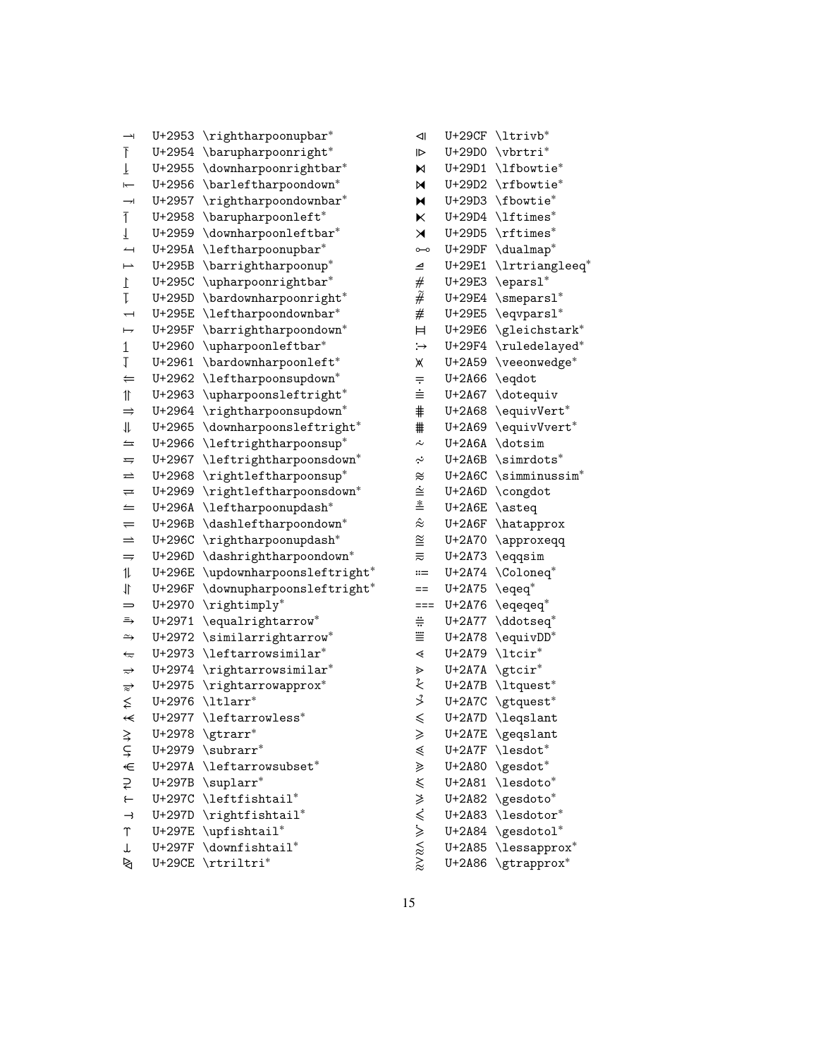| $\rightarrow$              | U+2953        | \rightharpoonupbar*                       |
|----------------------------|---------------|-------------------------------------------|
| Ŧ                          | U+2954        | \barupharpoonright*                       |
| Ţ                          | U+2955        | \downharpoonrightbar*                     |
| $\overline{}$              | U+2956        | \barleftharpoondown <sup>*</sup>          |
| $\rightarrow$              | U+2957        | \rightharpoondownbar*                     |
| $\overline{1}$             | U+2958        | \barupharpoonleft*                        |
| 1                          | U+2959        | \downharpoonleftbar*                      |
| $\leftarrow$               | U+295A        | \leftharpoonupbar*                        |
| $\mapsto$                  | U+295B        | \barrightharpoonup*                       |
| $\mathbf{1}$               | U+295C        | \upharpoonrightbar*                       |
| $\mathsf T$                | U+295D        | \bardownharpoonright*                     |
| $\overline{\phantom{0}}$   | U+295E        | \leftharpoondownbar*                      |
| $\mapsto$                  | U+295F        | \barrightharpoondown*                     |
| $\mathbf 1$                | U+2960        | $\upmu$ rpoonleftbar*                     |
| 1                          | U+2961        | \bardownharpoonleft*                      |
| $\Leftarrow$               | U+2962        | \leftharpoonsupdown*                      |
| $\mathbb{I}$               | U+2963        | \upharpoonsleftright*                     |
| $\Rightarrow$              | U+2964        | \rightharpoonsupdown*                     |
| 卝                          | U+2965        | \downharpoonsleftright*                   |
| $\leftrightharpoons$       | U+2966        | \leftrightharpoonsup*                     |
| ᆕ                          | U+2967        | \leftrightharpoonsdown*                   |
| ⇄                          | U+2968        | \rightleftharpoonsup*                     |
| $\rightleftharpoons$       | U+2969        | \rightleftharpoonsdown*                   |
| ⇐                          | U+296A        | $\left\{ \right\}$                        |
| $\!=$                      | U+296B        | \dashleftharpoondown*                     |
| $\Rightarrow$              | U+296C        | \rightharpoonupdash*                      |
| $\Rightarrow$              | U+296D        | \dashrightharpoondown*                    |
| 11                         | U+296E        | \updownharpoonsleftright*                 |
| 11                         | U+296F        | \downupharpoonsleftright*                 |
| $=$                        | U+2970        | \rightimply*                              |
| ⇛                          | U+2971        | \equalrightarrow*                         |
| $\rightarrow$              | U+2972        | \similarrightarrow*                       |
| $\overleftarrow{\sim}$     | U+2973        | \leftarrowsimilar*                        |
| $\Rightarrow$              | U+2974        | \rightarrowsimilar*                       |
| $\overrightarrow{\approx}$ | U+2975        | \rightarrowapprox*                        |
| ≨                          | U+2976        | \ltlarr*                                  |
| $\Leftarrow$               | U+2977        | \leftarrowless*                           |
|                            |               | $U+2978 \qquad \qquad \text{U+2978}$      |
| とこそ                        |               | $U+2979$ \subrarr*                        |
|                            | U+297A        | $\left\backslash\right.$ Leftarrowsubset* |
| ₹                          |               | $U+297B \ \suplarr^*$                     |
| $\leftarrow$               | U+297C        | $\left\{ \right\}$                        |
| $\rightarrow$              |               | U+297D \rightfishtail*                    |
| Υ                          | U+297E        | \upfishtail*                              |
| Τ                          | U+297F        | \downfishtail*                            |
| ₹                          | <b>U+29CE</b> | \rtriltri*                                |

| ⊲∣                                          | U+29CF        | \ltrivb*                                                                                                                                           |
|---------------------------------------------|---------------|----------------------------------------------------------------------------------------------------------------------------------------------------|
| 1⊳                                          | U+29D0        | \vbrtri*                                                                                                                                           |
| N                                           | U+29D1        | \lfbowtie*                                                                                                                                         |
| M                                           | U+29D2        | \rfbowtie*                                                                                                                                         |
| M                                           | U+29D3        | \fbowtie*                                                                                                                                          |
| K                                           | U+29D4        | \lftimes*                                                                                                                                          |
| ⋊                                           | U+29D5        | \rftimes*                                                                                                                                          |
| $\circ\hspace{-1.7mm}-\hspace{-1.7mm}\circ$ | $U+29DF$      | \dualmap*                                                                                                                                          |
| ⊿                                           | U+29E1        | $\text{lrtriangleeq}^*$                                                                                                                            |
| #                                           | U+29E3        | $\text{keparsl}^*$                                                                                                                                 |
| $\widetilde{\#}$                            | U+29E4        | $\simeq$                                                                                                                                           |
| #                                           | U+29E5        | \eqvparsl*                                                                                                                                         |
| Ħ                                           | U+29E6        | \gleichstark*                                                                                                                                      |
| $\div$                                      | U+29F4        | \ruledelayed*                                                                                                                                      |
| Ж                                           | $U+2A59$      | \veeonwedge*                                                                                                                                       |
| $\equiv$                                    | U+2A66        | \eqdot                                                                                                                                             |
| ≐                                           | U+2A67        | \dotequiv                                                                                                                                          |
| ⋕                                           | U+2A68        | \equivVert*                                                                                                                                        |
| ₩                                           | U+2A69        | \equivVvert*                                                                                                                                       |
| $\dot{\sim}$                                | U+2A6A        | \dotsim                                                                                                                                            |
| نہ<br>.                                     | $U+2A6B$      | \simrdots*                                                                                                                                         |
| $\approx$                                   | $U+2A6C$      | $\sin\text{minussim}^*$                                                                                                                            |
| $\dot{\cong}$                               | $U+2A6D$      | \congdot                                                                                                                                           |
| ≛                                           | <b>U+2A6E</b> | \asteq                                                                                                                                             |
| $\hat{\approx}$                             | $U+2A6F$      | \hatapprox                                                                                                                                         |
| $\cong$                                     | U+2A70        | \approxeqq                                                                                                                                         |
| $\equiv$                                    | $U+2A73$      | \eqqsim                                                                                                                                            |
| $\ddot{=}$                                  | U+2A74        | $\setminus$ Coloneq*                                                                                                                               |
| ==                                          | $U+2A75$      | $\verb \eq $                                                                                                                                       |
| ===                                         | U+2A76        | $\texttt{\textbackslash}$ eqeqeq $^*$                                                                                                              |
| ≑                                           | U+2A77        | \ddotseq <sup>*</sup>                                                                                                                              |
| ≝                                           | $U+2A78$      | \equivDD*                                                                                                                                          |
| ∢                                           | U+2A79        | $\text{ltcir}^*$                                                                                                                                   |
| ⋗                                           | $U+2A7A$      | $\setminus$ gtcir*                                                                                                                                 |
| そふ                                          | $U+2A7B$      | \ltquest*                                                                                                                                          |
|                                             | $U+2A7C$      | \gtquest*                                                                                                                                          |
| ≤                                           | $U+2A7D$      | \leqslant                                                                                                                                          |
| ≥                                           | U+2A7E        | $\hspace{0.1em}\rule{0.7pt}{0.8em}\hspace{0.1em}\text{\hspace{0.1em}}$ $\hspace{0.1em}\text{\hspace{0.1em}}$ $\hspace{0.1em}\text{\hspace{0.1em}}$ |
|                                             | $U+2A7F$      | \lesdot*                                                                                                                                           |
|                                             | U+2A80        | \gesdot*                                                                                                                                           |
| www.w.w.w.w.w                               | U+2A81        | \lesdoto*                                                                                                                                          |
|                                             | U+2A82        | \gesdoto*                                                                                                                                          |
|                                             | U+2A83        | $\backslash$ lesdotor*                                                                                                                             |
|                                             | U+2A84        | \gesdotol*                                                                                                                                         |
|                                             | U+2A85        | $\verb \less $ lessapprox $^*$                                                                                                                     |
|                                             | U+2A86        | \gtrapprox*                                                                                                                                        |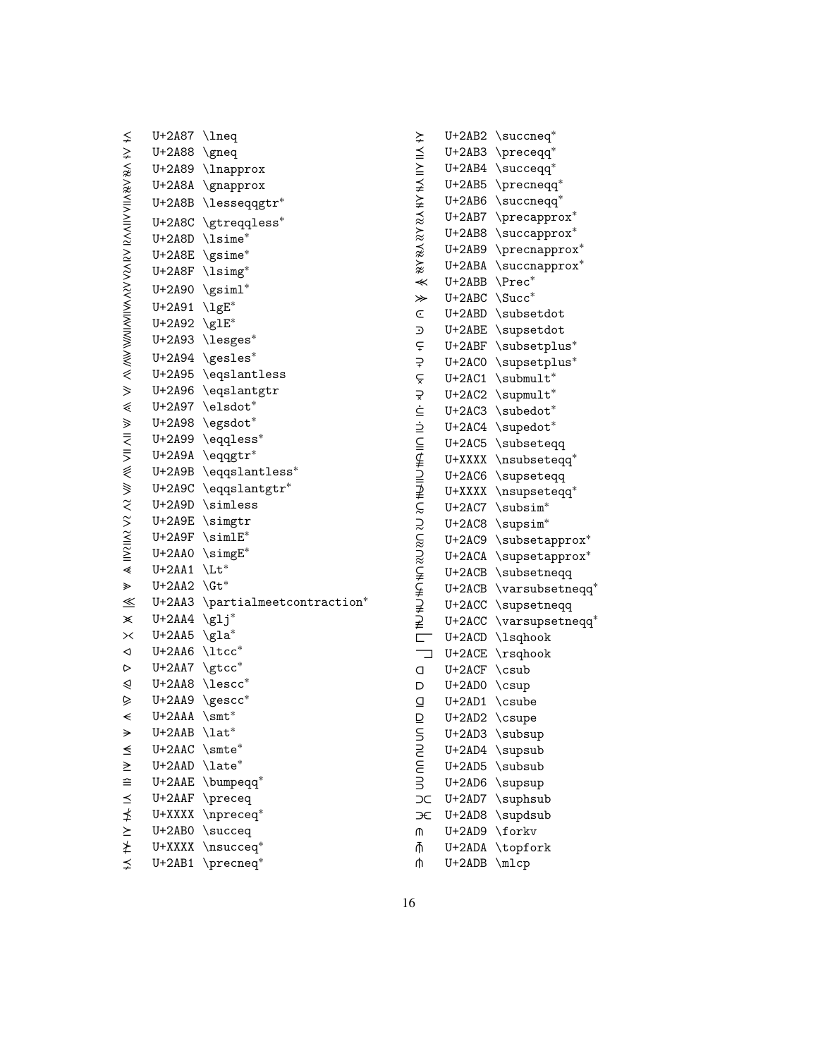|                      | $U+2A87$ \lneq         |                                 |
|----------------------|------------------------|---------------------------------|
|                      | U+2A88                 | $\qquad$                        |
|                      |                        | U+2A89 \lnapprox                |
|                      | U+2A8A                 | $\qquad$                        |
|                      | U+2A8B                 | $\lambda$ lesseqqgtr $^*$       |
|                      |                        | U+2A8C \gtreqqless*             |
|                      |                        | U+2A8D \lsime*                  |
|                      |                        | U+2A8E \gsime*                  |
|                      |                        | U+2A8F \lsimg*                  |
|                      |                        | $U+2A90 \ \sqrt{gsiml^*}$       |
|                      | U+2A91 \lgE*           |                                 |
|                      | U+2A92 \glE*           |                                 |
|                      |                        | U+2A93 \lesges*                 |
|                      |                        | U+2A94 \gesles*                 |
|                      |                        | U+2A95 \eqslantless             |
|                      |                        | U+2A96 \eqslantgtr              |
|                      |                        | U+2A97 \elsdot*                 |
|                      | U+2A98                 | \egsdot*                        |
|                      | U+2A99                 | \eqqless*                       |
|                      | U+2A9A                 | \eqqgtr*                        |
|                      |                        | U+2A9B \eqqslantless*           |
|                      |                        | U+2A9C \eqqslantgtr*            |
|                      |                        | U+2A9D \simless                 |
|                      |                        | U+2A9E \simgtr                  |
|                      |                        | $U+2A9F$ \simlE*                |
|                      |                        | U+2AA0 \simgE*                  |
|                      | $U+2AA1$               | $\mathcal{L}$ t $*$             |
|                      | $U+2AA2 \ \text{Gt}^*$ |                                 |
| $\leq$               |                        | U+2AA3 \partialmeetcontraction* |
| $\times$             | $U+2AA4$               | $\gtrsim 1j^*$                  |
| $\times$             | U+2AA5 \gla*           |                                 |
| $\blacktriangleleft$ | U+2AA6 \ltcc*          |                                 |
| $\triangleright$     | U+2AA7 \gtcc*          |                                 |
| ⋞                    | U+2AA8                 | $\backslash \texttt{lescc*}$    |
| ⊵                    | $U+2AA9$               | $\backslash$ gescc $^*$         |
| $\prec$              | U+2AAA                 | $\mathrm{smt}^*$                |
| →                    | U+2AAB                 | $\lambda$ lat $^*$              |
| ≤                    | $U+2AAC$               | $\setminus$ smte*               |
| $\geq$               | U+2AAD                 | \late*                          |
|                      | U+2AAE                 | \bumpeqq <sup>*</sup>           |
|                      | $U+2AAF$               | \preceq                         |
|                      | U+XXXX                 | $\n\cdot e$                     |
|                      | U+2AB0                 | \succeq                         |
|                      | U+XXXX                 | $\text{N}$                      |
|                      | $U+2AB1$               | \precneq*                       |

|                         | $U+2AB2$   | $\setminus$ succneq*      |
|-------------------------|------------|---------------------------|
|                         | $U+2AB3$   | $\backslash$ preceqq $^*$ |
| XXXXXXXXXXXXXXXX        | $U+2AB4$   | $\verb \succ $            |
|                         | $U+2AB5$   | $\verb \precreeq"\$       |
|                         | $U+2AB6$   | $\verb \succ $            |
|                         | $U+2AB7$   | $\perp$                   |
|                         | $U+2AB8$   | $\verb \succ $            |
|                         | $U+2AB9$   | $\perp$                   |
|                         | U+2ABA     | $\verb \succ $            |
|                         | U+2ABB     | \Prec*                    |
| $*$                     | $U+2ABC$   | \Succ*                    |
|                         | $U+2ABD$   | \subsetdot                |
|                         | $U+2ABE$   | \supsetdot                |
|                         | $U+2ABF$   | \subsetplus*              |
|                         | $U+2ACO$   | \supsetplus*              |
|                         | $U+2AC1$   | $\sum_{t^*}$              |
|                         | $U+2AC2$   | \supmult*                 |
|                         | $U+2AC3$   | \subedot*                 |
|                         | $U+2AC4$   | \supedot*                 |
|                         | $U+2AC5$   | \subseteqq                |
|                         | U+XXXX     | \nsubseteqq*              |
|                         | $U+2AC6$   | \supseteqq                |
|                         | U+XXXX     | \nsupseteqq*              |
|                         | $U+2AC7$   | \subsim*                  |
|                         | $U+2AC8$   | \supsim*                  |
|                         | $U+2AC9$   | $\verb \subsetapprox ^*$  |
|                         | $U+2ACA$   | \supsetapprox*            |
|                         | $U+2ACB$   | \subsetneqq               |
|                         | $U+2ACB$   | $\verb \varsightsetneg $  |
|                         | $U+2ACC$   | \supsetneqq               |
|                         | $U+2ACC$   | \varsupsetneqq*           |
|                         | $U+2ACD$   | \lsqhook                  |
|                         | $U+2ACE$   | $\x$ sqhook               |
| a                       | $U+2ACF$   | \csub                     |
| D                       | $U+2ADO$   | $\setminus$ c $\sup$      |
| $\overline{\mathsf{Q}}$ | $U+2AD1$   | \csube                    |
| $\overline{\mathsf{D}}$ | $U+2AD2$   | \csupe                    |
|                         | $U + 2AD3$ | \subsup                   |
|                         | $U+2AD4$   | \supsub                   |
|                         | $U+2AD5$   | \subsub                   |
|                         | $U+2AD6$   | \supsup                   |
| y no uu un no           | $U+2AD7$   | \suphsub                  |
| Æ                       | $U + 2AD8$ | \supdsub                  |
| ጠ                       | $U+2AD9$   | \forkv                    |
| ⋔                       | U+2ADA     | \topfork                  |

*⫛* U+2ADB \mlcp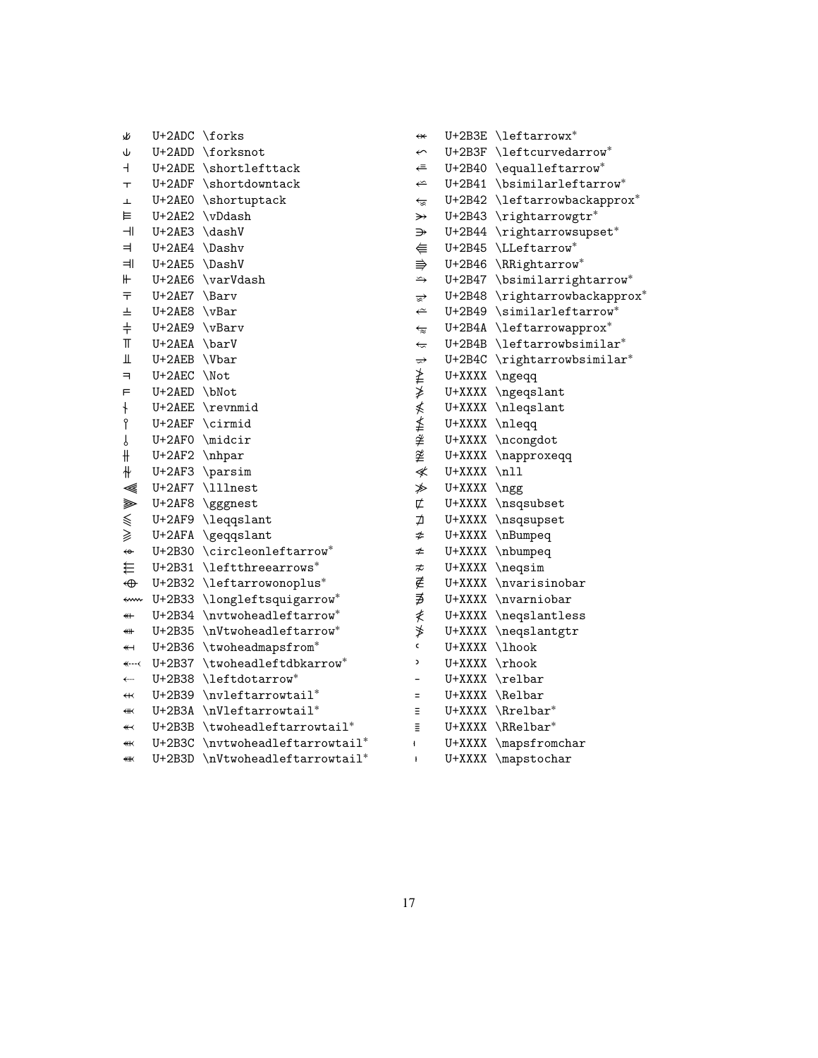| ٧R                       | U+2ADC \forks |                            |
|--------------------------|---------------|----------------------------|
| Ψ                        | U+2ADD        | \forksnot                  |
| $\overline{\phantom{a}}$ | U+2ADE        | \shortlefttack             |
| $\top$                   | U+2ADF        | \shortdowntack             |
| Ŧ                        |               | U+2AE0 \shortuptack        |
| ⊨                        |               | U+2AE2 \vDdash             |
| $\overline{\mathcal{L}}$ | U+2AE3 \dashV |                            |
| ᆗ                        | U+2AE4 \Dashv |                            |
| ᆌ                        | U+2AE5 \DashV |                            |
| ⊬                        | U+2AE6        | \varVdash                  |
| 두                        | $U+2AE7$      | \Barv                      |
| ᆂ                        | $U+2AE8$      | $\forall$ Bar              |
| $\ddagger$               | U+2AE9 \vBarv |                            |
| T                        | U+2AEA \barV  |                            |
| Щ                        | U+2AEB \Vbar  |                            |
| $\overline{\phantom{0}}$ | U+2AEC \Not   |                            |
| F                        | U+2AED        | \bNot                      |
| $\ddagger$               | $U+2AEE$      | \revnmid                   |
| P                        | $U+2AEF$      | \cirmid                    |
| ſ                        | U+2AF0        | \midcir                    |
| ╫                        | U+2AF2 \nhpar |                            |
| ╫                        |               | U+2AF3 \parsim             |
| ≪                        |               | U+2AF7 \lllnest            |
| ⋙                        | $U+2AF8$      | \gggnest                   |
| $\leqslant$              | $U+2AF9$      | \leqqslant                 |
| ≩                        | $U+2AFA$      | \geqqslant                 |
| $\leftrightarrow$        | U+2B30        | \circleonleftarrow*        |
| ₩                        | $U+2B31$      | \leftthreearrows*          |
| $\bigoplus$              | U+2B32        | $\left\{ \right\}$         |
| ⇜                        | $U+2B33$      | \longleftsquigarrow*       |
| $\overline{\ast}$        | U+2B34        | \nvtwoheadleftarrow*       |
| ⊯                        | U+2B35        | \nVtwoheadleftarrow*       |
| $\overline{\mathbf{1}}$  | U+2B36        | \twoheadmapsfrom*          |
| $\leftarrow$ - - <       | U+2B37        | \twoheadleftdbkarrow*      |
| $\leftarrow$             | U+2B38        | \leftdotarrow*             |
| $\overline{\mathbf{t}}$  | U+2B39        | \nvleftarrowtail*          |
| $\overline{\text{}}$     | U+2B3A        | $\hbox{\tt NVleftarrow}$   |
| $\overline{\mathbf{1}}$  | U+2B3B        | \twoheadleftarrowtail*     |
| ¥                        | $U+2B3C$      | \nvtwoheadleftarrowtail*   |
| ₩                        | U+2B3D        | $\hbox{\tt NUtwoheadleft}$ |

| $\leftrightarrow$         | $U+2B3E$ | \leftarrowx <sup>*</sup>                 |
|---------------------------|----------|------------------------------------------|
| $\leftarrow$              | U+2B3F   | $\texttt{\texttt{let}}$ curvedarrow $^*$ |
| ⇐                         | U+2B40   | \equalleftarrow*                         |
| ⇐                         | U+2B41   | \bsimilarleftarrow*                      |
|                           | $U+2B42$ | $\texttt{\texttt{letarrow}}$             |
| €<br>≫                    | $U+2B43$ | \rightarrowgtr*                          |
| ⇛                         | U+2B44   | \rightarrowsupset*                       |
| €                         | U+2B45   | \LLeftarrow*                             |
| $\Rrightarrow$            | U+2B46   | \RRightarrow*                            |
| $\Rightarrow$             | U+2B47   | \bsimilarrightarrow*                     |
| ≅                         | U+2B48   | \rightarrowbackapprox*                   |
| $\leftarrow$              | U+2B49   | $\sinilarleftarrow^*$                    |
| $\overline{\mathbb{z}}$   | U+2B4A   | \leftarrowapprox*                        |
| $\overline{\mathfrak{c}}$ | $U+2B4B$ | \leftarrowbsimilar*                      |
| ⇌                         | U+2B4C   | \rightarrowbsimilar*                     |
|                           | U+XXXX   | \ngeqq                                   |
| 羊羊                        | U+XXXX   | \ngeqslant                               |
| ≰                         | U+XXXX   | \nleqslant                               |
| ≰                         | U+XXXX   | \nleqq                                   |
| ≱                         | U+XXXX   | \ncongdot                                |
| ≇                         | U+XXXX   | \napproxeqq                              |
| ≮                         | U+XXXX   | $\n\times$                               |
| ≱                         | U+XXXX   | \ngg                                     |
| ⊄                         | U+XXXX   | \nsqsubset                               |
| ⊅                         | U+XXXX   | \nsqsupset                               |
| ≉                         | U+XXXX   | \nBumpeq                                 |
| ≄                         | U+XXXX   | \nbumpeq                                 |
| ≉                         | U+XXXX   | \neqsim                                  |
| ∉                         | U+XXXX   | \nvarisinobar                            |
| ∌                         | U+XXXX   | \nvarniobar                              |
| ≹                         | U+XXXX   | \neqslantless                            |
| ≯                         | U+XXXX   | \neqslantgtr                             |
| c                         | U+XXXX   | \lhook                                   |
| C                         | U+XXXX   | $\n \rho$                                |
|                           | U+XXXX   | \relbar                                  |
| $=$                       | U+XXXX   | \Relbar                                  |
| Ξ                         | U+XXXX   | \Rrelbar*                                |
| Ξ                         | U+XXXX   | \RRelbar*                                |
| ł                         | U+XXXX   | \mapsfromchar                            |

U+XXXX \mapstochar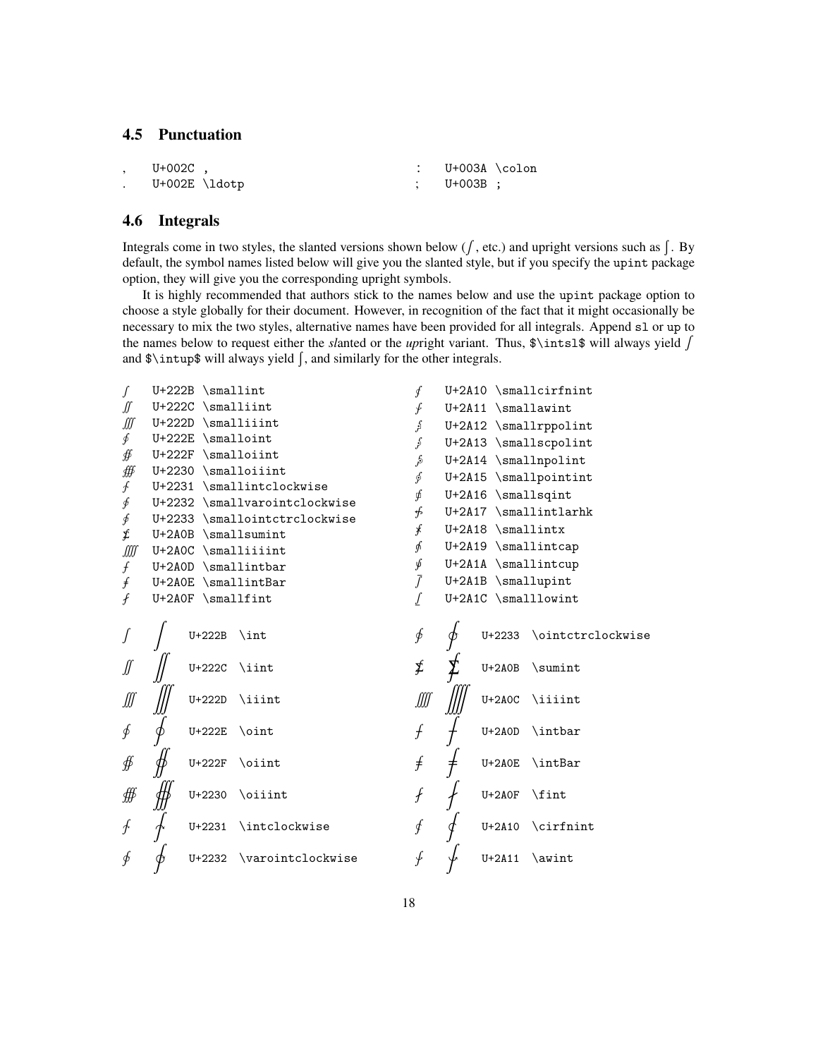# <span id="page-17-0"></span>**4.5 Punctuation**

| $U+002C$ .                |  | U+003A \colon |  |
|---------------------------|--|---------------|--|
| $U+002E \backslash 1dotp$ |  | : U+003B :    |  |

## <span id="page-17-1"></span>**4.6 Integrals**

Integrals come in two styles, the slanted versions shown below ( $f$ , etc.) and upright versions such as  $\int$ . By default, the symbol names listed below will give you the slanted style, but if you specify the upint package option, they will give you the corresponding upright symbols.

It is highly recommended that authors stick to the names below and use the upint package option to choose a style globally for their document. However, in recognition of the fact that it might occasionally be necessary to mix the two styles, alternative names have been provided for all integrals. Append sl or up to the names below to request either the *sl*anted or the *up*right variant. Thus, \$\intsl\$ will always yield ∫ and \$\intup\$ will always yield ∫, and similarly for the other integrals.

| ſ                           | $U+222B$ \smallint                                             | ∮              | U+2A10 \smallcirfnint                 |
|-----------------------------|----------------------------------------------------------------|----------------|---------------------------------------|
| ∬                           | $U+222C$ \smalliint                                            | ∱              | $U+2A11$ \smallawint                  |
| ∭                           | $U+222D$ \smalliiint                                           | م<br>اثر       | U+2A12 \smallrppolint                 |
| ∮                           | U+222E \smalloint                                              | $\int$         | U+2A13 \smallscpolint                 |
| ∯                           | $U+222F$ \smalloiint                                           | ىگر            | U+2A14 \smallnpolint                  |
| ∰                           | U+2230 \smalloiiint                                            | ∮              | U+2A15 \smallpointint                 |
| ∱                           | U+2231 \smallintclockwise                                      | ∮              | U+2A16 \smallsqint                    |
| ∮                           | U+2232 \smallvarointclockwise<br>U+2233 \smallointctrclockwise | ∯              | $U+2A17$ \smallintlarhk               |
| ∮<br>£                      | U+2A0B \smallsumint                                            | $\ast$         | $U+2A18$ \smallintx                   |
| ∭                           | U+2AOC \smalliiiint                                            | ∱              | $U+2A19$ $\small{\text{smallintcap}}$ |
| $\int$                      | U+2A0D \smallintbar                                            | ý              | U+2A1A \smallintcup                   |
| f                           | U+2A0E \smallintBar                                            | $\overline{f}$ | U+2A1B \smallupint                    |
| f                           | $U+2AOF$ \smallfint                                            |                | U+2A1C \smalllowint                   |
|                             | $U+222B$<br>$\int$ int                                         | ∲              | \ointctrclockwise<br>$U + 2233$       |
|                             | $\iint$<br>U+222C                                              | ≸              | $U+2AOB$<br>\sumint                   |
| ∭                           | $U+222D$<br>\iiint                                             | ∭              | $U+2AOC$<br>\iiiint                   |
| ∮                           | U+222E<br>$\oint$                                              | f              | \intbar<br>$U+2AOD$                   |
| ∯                           | U+222F<br>\oiint                                               | f              | $U+2A0E$<br>\intBar                   |
| ∰                           | \oiiint<br>$U + 2230$                                          | $\int$         | \fint<br>$U+2AOF$                     |
| $\mathcal{F}_{\mathcal{A}}$ | \intclockwise<br>U+2231                                        | ∮              | U+2A10 \cirfnint                      |
| $\oint$                     | \varointclockwise<br>$U + 2232$                                | ∱              | $U+2A11$<br>\awint                    |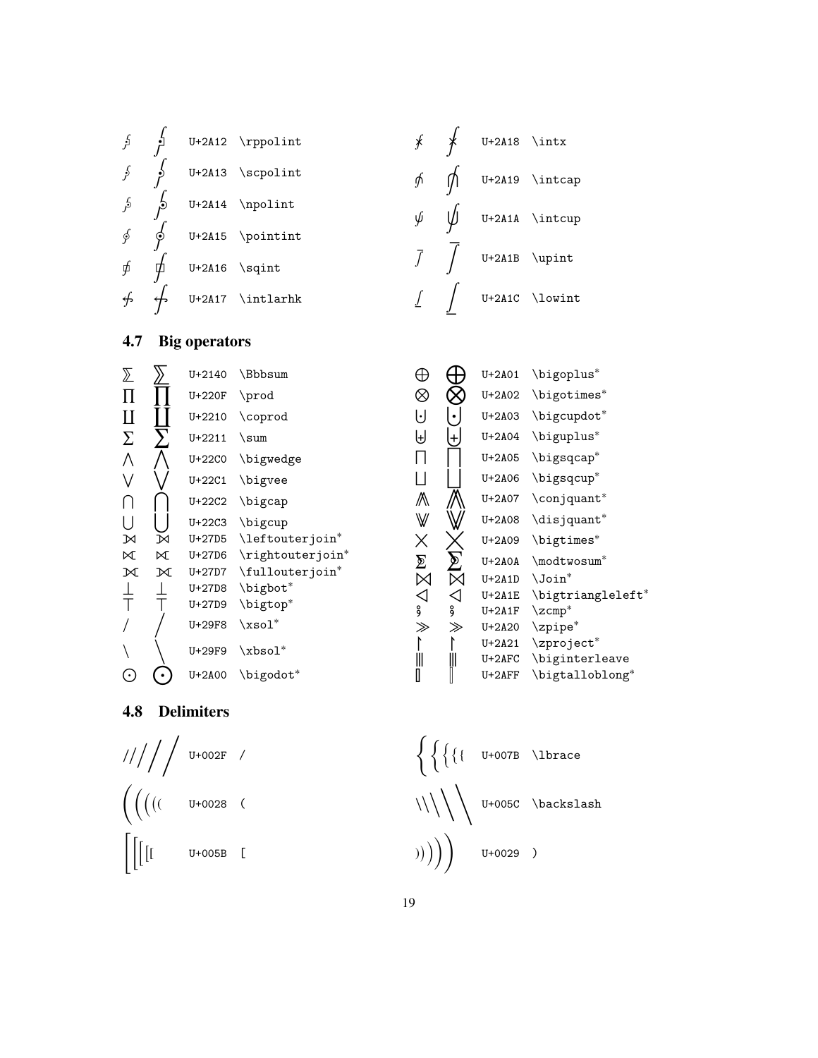<span id="page-18-1"></span>**4.8 Delimiters** ∕ //// U+002F /  $\Big(\Big(\Big(\big(\overline{C}\Big)\Big)\Big)$ ( U+0028 (  $\int$ U+005B [  $\left\{\right. \left\{\right. \left\{\right. \left\{\right. \left\{\right. \left\{\right. \left\{\right. \left\{\right. \left\{\right. \left\{\right. \left\{\right. \left\{\right. \left\{\right. \left\{\right. \left\{\right. \left\{\right. \left\{\right. \left\{\right. \left\{\right. \left\{\right. \left\{\right. \left\{\right. \left\{\right. \left\{\right. \left\{\right. \left\{\right. \left\{\right. \left\{\right. \left\{\right. \left\{\right. \left\{\right. \left\{\right. \left\{\right. \left\{\right. \left\{\right. \left\{\right. \left\{\$ \\\**\\**<br>\\\\\\ U+005C \backslash  $\bigg(\big(\big(\langle\right)$ U+0029 )

<sup>⨃</sup> <sup>⨃</sup> U+2A03 \bigcupdot<sup>∗</sup> <sup>⨄</sup> <sup>⨄</sup> U+2A04 \biguplus<sup>∗</sup>  $\Box$ U+2A05 \bigsqcap<sup>∗</sup>  $\Box$ U+2A06 \bigsqcup<sup>∗</sup> ∧ ∧ U+2A07 \conjquant\*<br>₩ ₩ U+2A08 \disjquant\* U+2A08 \disjquant<sup>\*</sup>  $\sum_{U+2A09} U+2A00 \hbox{bigtimes*} \cup +2A1D \hbox{Join*}$ U+2A0A \modtwosum<sup>\*</sup> U+2A1D \Join<sup>\*</sup> ⨞ ⨞ U+2A1E \bigtriangleleft<sup>∗</sup> U+2A1F \zcmp<sup>\*</sup> ⨠ ⨠ U+2A20 \zpipe<sup>∗</sup> U+2A21 \zproject<sup>\*</sup> *⫼ ⫼* U+2AFC \biginterleave  $\times \mathbb{R} \nabla_{\infty} \wedge \mathbb{L} =$ U+2AFF \bigtalloblong<sup>∗</sup>

⊕ ⊕ U+2A01 \bigoplus\*<br>⊗ ⊗ U+2A02 \bigotimes <sup>⨂</sup> <sup>⨂</sup> U+2A02 \bigotimes<sup>∗</sup>

<span id="page-18-0"></span>**4.7 Big operators**

 $\sum$   $\sum$   $\sum$  U+2140 \Bbbsum  $\Pi$   $\overline{\text{U+220F}}$  \prod  $\text{II}$   $\text{I}$  U+2210 \coprod

 $\sum_{\begin{array}{c}\sum\limits_{\begin{array}{c}\text{U+2211}}\\\text{V+2200}\end{array}}\right.}$  U+22C0 \bigs

 $\overline{1}$ 

⧹

 $\frac{1}{1}$ 

 $\langle$ 

 $\bigcap$  U+22C2 \bigcap  $\bigcup$  |  $\bigcup$  U+22C3 \bigcup

U+22C0 \bigwedge U+22C1 \bigvee

⟕ ⟕ U+27D5 \leftouterjoin<sup>∗</sup> ⟖ ⟖ U+27D6 \rightouterjoin<sup>∗</sup>

M M U+27D7 \fullouterjoin\*<br>
⊥ ⊥ U+27D8 \bigbot\*<br>
T T U+27D9 \bigtop\* U+27D8 \bigbot<sup>\*</sup> U+27D9 \bigtop<sup>\*</sup>

U+29F8 \xsol<sup>∗</sup>

U+29F9 \xbsol<sup>∗</sup>

⊙ ⊙ D+2A00 \bigodot\*

|  | $\int$ $\int$ U+2A12 \rppolint |  | $\oint$ U+2A18 \intx |                                     |
|--|--------------------------------|--|----------------------|-------------------------------------|
|  | $\int$ $\int$ U+2A13 \scpolint |  |                      | $\oint$ $\iint$ U+2A19 \intcap      |
|  | $\int$ $\int$ U+2A14 \npolint  |  |                      | $\oint$ $\iint \text{cup}$          |
|  | $\oint$ U+2A15 \pointint       |  |                      |                                     |
|  | $\oint$ U+2A16 \sqint          |  |                      | $\overline{f}$ $\int$ U+2A1B \upint |
|  | $\oint$ U+2A17 \intlarhk       |  |                      | $\int$ $\int$ U+2A1C \lowint        |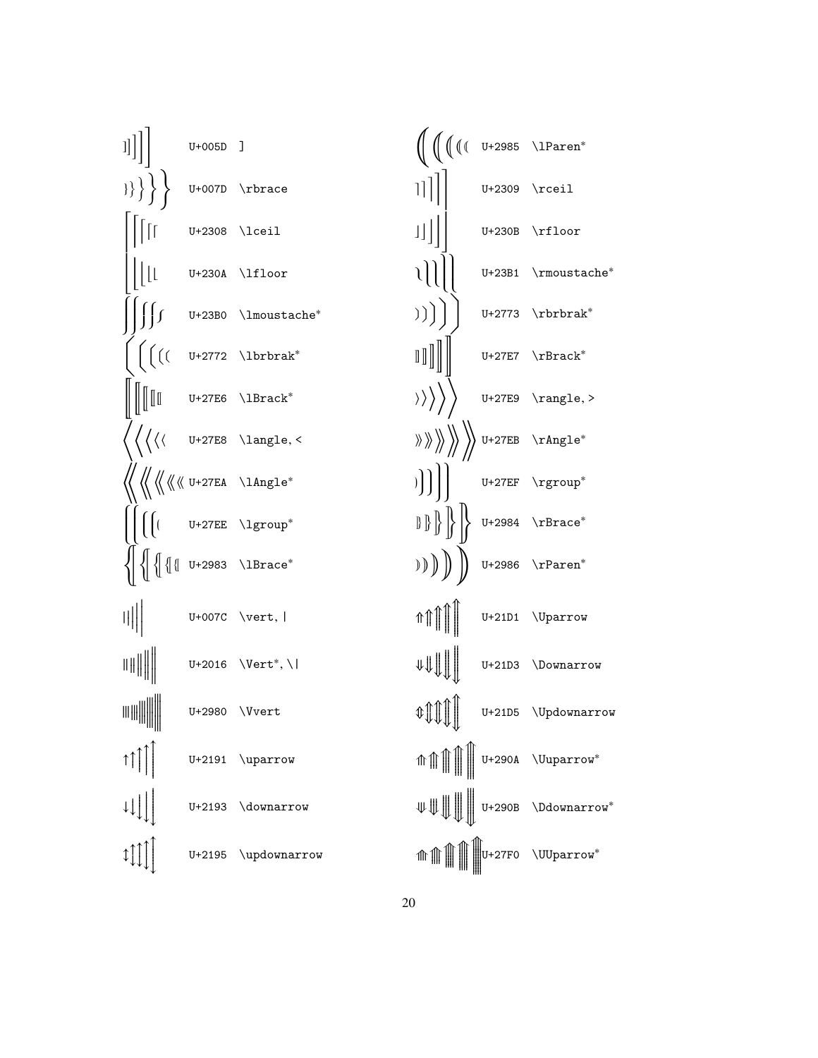| $\begin{bmatrix} 1 \end{bmatrix}$ $\begin{bmatrix} 1 \end{bmatrix}$ $\begin{bmatrix} 1 \end{bmatrix}$                                                                                                                                                                                                                                               |                 |                                                                                                                               | $\bigoplus_{w \in V} \left( \begin{matrix} 1 & w \end{matrix} \right) \left( \begin{matrix} 1 & w \end{matrix} \right) \left( \begin{matrix} 1 & w \end{matrix} \right) \left( \begin{matrix} 1 & w \end{matrix} \right) \left( \begin{matrix} 1 & w \end{matrix} \right) \left( \begin{matrix} 1 & w \end{matrix} \right) \left( \begin{matrix} 1 & w \end{matrix} \right) \left( \begin{matrix} 1 & w \end{matrix} \right) \left( \begin{matrix} 1 & w \end{matrix} \right) \left( \begin{matrix} 1 & w \end{matrix} \right) \left( \begin{matrix} 1$ |                                                                                                                                                                                                                                                                                                                                                                                                                                                                                                                                      |
|-----------------------------------------------------------------------------------------------------------------------------------------------------------------------------------------------------------------------------------------------------------------------------------------------------------------------------------------------------|-----------------|-------------------------------------------------------------------------------------------------------------------------------|---------------------------------------------------------------------------------------------------------------------------------------------------------------------------------------------------------------------------------------------------------------------------------------------------------------------------------------------------------------------------------------------------------------------------------------------------------------------------------------------------------------------------------------------------------|--------------------------------------------------------------------------------------------------------------------------------------------------------------------------------------------------------------------------------------------------------------------------------------------------------------------------------------------------------------------------------------------------------------------------------------------------------------------------------------------------------------------------------------|
| $\{\}\}$ U+007D \rbrace                                                                                                                                                                                                                                                                                                                             |                 |                                                                                                                               | $\begin{array}{c c} \begin{array}{c} \text{ } & \text{ } \\ \text{ } & \text{ } \\ \text{ } & \text{ } \\ \text{ } & \text{ } \\ \text{ } & \text{ } \\ \text{ } & \text{ } \\ \text{ } & \text{ } \\ \text{ } & \text{ } \\ \text{ } & \text{ } \\ \text{ } & \text{ } \\ \text{ } & \text{ } \\ \text{ } & \text{ } \\ \text{ } & \text{ } \\ \text{ } & \text{ } \\ \text{ } & \text{ } \\ \text{ } & \text{ } \\ \text{ } & \text{ } \\ \text{ } & \text{ } \\ \text{ } & \text{ } \\ \text{ } & \text{ } \\ \text{ }$                              |                                                                                                                                                                                                                                                                                                                                                                                                                                                                                                                                      |
| $\prod_{i=1}^{n}$                                                                                                                                                                                                                                                                                                                                   | $U+2308$ \lceil |                                                                                                                               | $\begin{array}{c c} \begin{array}{c} \text{ } & \text{ } \\ \text{ } & \text{ } \\ \text{ } & \text{ } \\ \text{ } & \text{ } \\ \text{ } & \text{ } \\ \text{ } & \text{ } \\ \text{ } & \text{ } \\ \text{ } & \text{ } \\ \text{ } & \text{ } \\ \text{ } & \text{ } \\ \text{ } & \text{ } \\ \text{ } & \text{ } \\ \text{ } & \text{ } \\ \text{ } & \text{ } \\ \text{ } & \text{ } \\ \text{ } & \text{ } \\ \text{ } & \text{ } \\ \text{ } & \text{ } \\ \text{ } & \text{ } \\ \text{ } & \text{ } \\ \text{ }$                              |                                                                                                                                                                                                                                                                                                                                                                                                                                                                                                                                      |
| $\frac{1}{\lfloor \lfloor \lfloor \frac{U+230A}{1100T} \rfloor} \rfloor$                                                                                                                                                                                                                                                                            |                 |                                                                                                                               |                                                                                                                                                                                                                                                                                                                                                                                                                                                                                                                                                         | $\begin{array}{c c c} \hline \end{array}$ U+23B1 \rmoustache*                                                                                                                                                                                                                                                                                                                                                                                                                                                                        |
|                                                                                                                                                                                                                                                                                                                                                     |                 | $\bigg \bigg \iint U+23B0 \quad \text{lmoustache*}$                                                                           |                                                                                                                                                                                                                                                                                                                                                                                                                                                                                                                                                         | )) $\Big)$ U+2773 \rbrbrak <sup>*</sup>                                                                                                                                                                                                                                                                                                                                                                                                                                                                                              |
|                                                                                                                                                                                                                                                                                                                                                     |                 | $\Big\vert\ \Big(\Big(\begin{pmatrix} 0 & 0 & 0 \\ 0 & 0 & 0 \\ 0 & 0 & 0 \end{pmatrix}\Big)$                                 |                                                                                                                                                                                                                                                                                                                                                                                                                                                                                                                                                         |                                                                                                                                                                                                                                                                                                                                                                                                                                                                                                                                      |
|                                                                                                                                                                                                                                                                                                                                                     |                 | $\bigg\  \, \bigg\  \, \bigg\  \, \bigg\  \qquad \text{U+27E6 } \, \bigg\  \, \text{Brack}^*$                                 |                                                                                                                                                                                                                                                                                                                                                                                                                                                                                                                                                         | $\rangle\rangle\rangle\rangle\rangle$ U+27E9 \rangle, >                                                                                                                                                                                                                                                                                                                                                                                                                                                                              |
|                                                                                                                                                                                                                                                                                                                                                     |                 | $\left\langle \begin{array}{cc} \end{array} \right. \setminus \text{U+27E8 } \langle \text{langle}, \leq \end{array} \right.$ | $\langle \rangle \rangle \rangle \rangle \rangle \rangle \rangle$ U+27EB \rAngle*                                                                                                                                                                                                                                                                                                                                                                                                                                                                       |                                                                                                                                                                                                                                                                                                                                                                                                                                                                                                                                      |
|                                                                                                                                                                                                                                                                                                                                                     |                 |                                                                                                                               | ) $\Bigg  \Bigg $ U+27EF \rgroup*                                                                                                                                                                                                                                                                                                                                                                                                                                                                                                                       |                                                                                                                                                                                                                                                                                                                                                                                                                                                                                                                                      |
|                                                                                                                                                                                                                                                                                                                                                     |                 |                                                                                                                               |                                                                                                                                                                                                                                                                                                                                                                                                                                                                                                                                                         |                                                                                                                                                                                                                                                                                                                                                                                                                                                                                                                                      |
| $\left\{\left \right \left\{\left[\left(\begin{array}{cc} \texttt{0+2983}\end{array}\right) \right]\right\}$                                                                                                                                                                                                                                        |                 |                                                                                                                               | $)\big)\bigg)\bigg)\  \  \, \bigg)\  \  \, \mathbb{U}^{+2986}\  \  \, \mathbb{P}aren^*$                                                                                                                                                                                                                                                                                                                                                                                                                                                                 |                                                                                                                                                                                                                                                                                                                                                                                                                                                                                                                                      |
| $  \ $ U+007C \vert,                                                                                                                                                                                                                                                                                                                                |                 |                                                                                                                               |                                                                                                                                                                                                                                                                                                                                                                                                                                                                                                                                                         | $\text{min}$ $\text{min}$ $\text{min}$                                                                                                                                                                                                                                                                                                                                                                                                                                                                                               |
|                                                                                                                                                                                                                                                                                                                                                     |                 | $\Vert \Vert \Vert$ U+2016 \Vert <sup>*</sup> , \                                                                             |                                                                                                                                                                                                                                                                                                                                                                                                                                                                                                                                                         | $\Vert \psi \Vert$ U+21D3 \Downarrow                                                                                                                                                                                                                                                                                                                                                                                                                                                                                                 |
| $\Vert \Vert \Vert \Vert \Vert$                                                                                                                                                                                                                                                                                                                     |                 |                                                                                                                               |                                                                                                                                                                                                                                                                                                                                                                                                                                                                                                                                                         | $\text{Diff} \left[ \begin{array}{ccc} 0 & \text{if } 0 \leq x \leq y \leq 0 \end{array} \right]$ Updownarrow                                                                                                                                                                                                                                                                                                                                                                                                                        |
|                                                                                                                                                                                                                                                                                                                                                     |                 | $U+2191$ \uparrow                                                                                                             |                                                                                                                                                                                                                                                                                                                                                                                                                                                                                                                                                         | $\textit{m} \text{min} \left\{ \left\Vert \begin{array}{c} \text{U+290A} \quad \text{Uuparrow} \end{array} \right. \right.$                                                                                                                                                                                                                                                                                                                                                                                                          |
| $\downarrow \downarrow \downarrow \downarrow$                                                                                                                                                                                                                                                                                                       |                 | U+2193 \downarrow                                                                                                             |                                                                                                                                                                                                                                                                                                                                                                                                                                                                                                                                                         |                                                                                                                                                                                                                                                                                                                                                                                                                                                                                                                                      |
| $\begin{picture}(22,115) \put(0,0){\line(1,0){10}} \put(15,0){\line(1,0){10}} \put(15,0){\line(1,0){10}} \put(15,0){\line(1,0){10}} \put(15,0){\line(1,0){10}} \put(15,0){\line(1,0){10}} \put(15,0){\line(1,0){10}} \put(15,0){\line(1,0){10}} \put(15,0){\line(1,0){10}} \put(15,0){\line(1,0){10}} \put(15,0){\line(1,0){10}} \put(15,0){\line($ |                 | U+2195 \updownarrow                                                                                                           |                                                                                                                                                                                                                                                                                                                                                                                                                                                                                                                                                         | $\text{if} \text{tr}\left( \text{tr}\left( \text{tr}\left( \text{tr}\left( \text{tr}\left( \text{tr}\left( \text{tr}\left( \text{tr}\left( \text{tr}\left( \text{tr}\left( \text{tr}\left( \text{tr}\left( \text{tr}\left( \text{tr}\right) \right) \right) \right) \right) \right) \right) \right) \right) \right) \right) = \text{tr}\left( \text{tr}\left( \text{tr}\left( \text{tr}\left( \text{tr}\left( \text{tr}\left( \text{tr}\left( \text{tr}\left( \text{tr}\left( \text{tr}\left( \text{tr}\left( \text{tr}\left( \text$ |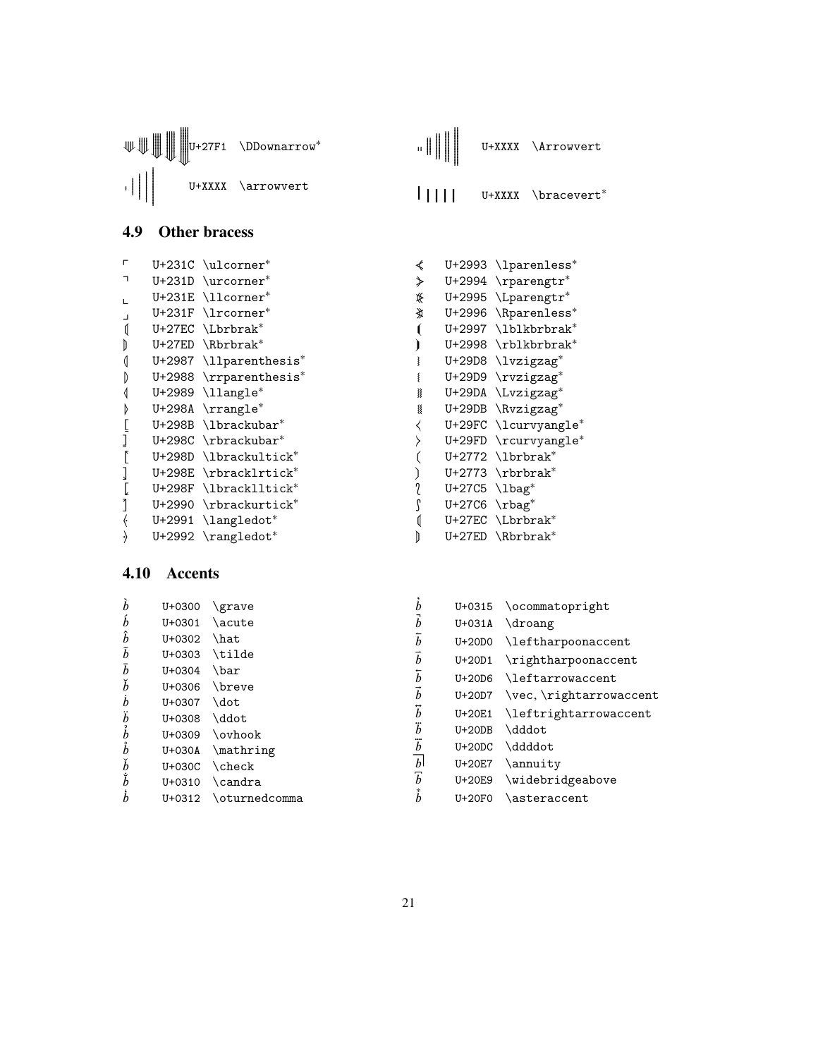<span id="page-20-0"></span>

| ₩ |     |  |                                             | H |                                     |  |  |  |
|---|-----|--|---------------------------------------------|---|-------------------------------------|--|--|--|
|   |     |  | U+XXXX<br>\arrowvert                        |   | \bracevert*<br>U+XXXX               |  |  |  |
|   | 4.9 |  | <b>Other bracess</b>                        |   |                                     |  |  |  |
|   | г   |  | $U+231C$ \ulcorner*                         | ∢ | U+2993 \lparenless*                 |  |  |  |
|   | ┑   |  | U+231D \urcorner*                           | ≯ | $U+2994$ \rparengtr*                |  |  |  |
|   |     |  | U+231E \llcorner*                           | ⊯ | U+2995 \Lparengtr*                  |  |  |  |
|   |     |  | U+231F \lrcorner*                           | 亥 | U+2996 \Rparenless*                 |  |  |  |
|   |     |  | U+27EC \Lbrbrak*                            |   | U+2997 \lblkbrbrak*                 |  |  |  |
|   |     |  | U+27ED \Rbrbrak*                            |   | U+2998 \rblkbrbrak*                 |  |  |  |
|   |     |  | U+2987 \llparenthesis*                      |   | U+29D8 \lvzigzag*                   |  |  |  |
|   |     |  | U+2988 \rrparenthesis*                      |   | U+29D9 \rvzigzag*                   |  |  |  |
|   |     |  | $U+2989$ $\llbracket \text{U+2989} \right)$ | ∛ | U+29DA \Lvzigzag*                   |  |  |  |
|   |     |  | U+298A \rrangle*                            | § | U+29DB \Rvzigzag*                   |  |  |  |
|   |     |  | U+298B \lbrackubar*                         |   | U+29FC \lcurvyangle*                |  |  |  |
|   |     |  | U+298C \rbrackubar*                         |   | U+29FD \rcurvyangle*                |  |  |  |
|   |     |  | U+298D \lbrackultick*                       |   | $U+2772$ \lbrbrak*                  |  |  |  |
|   |     |  | U+298E \rbracklrtick*                       |   | $U+2773$ \rbrbrak*                  |  |  |  |
|   |     |  | U+298F \lbracklltick*                       |   | $U+27C5$ $\lambda$ bag <sup>*</sup> |  |  |  |
|   |     |  | U+2990 \rbrackurtick*                       |   | $U+27C6 \text{rbag}^*$              |  |  |  |
|   |     |  | U+2991 \langledot*                          |   | U+27EC \Lbrbrak*                    |  |  |  |
|   |     |  | $U+2992 \ \text{rangledot}^*$               |   | U+27ED \Rbrbrak*                    |  |  |  |

U+27F1 \DDownarrow<sup>\*</sup> "||||

 $\blacksquare$ 

U+XXXX \Arrowvert

# <span id="page-20-1"></span>**4.10 Accents**

⟱ ⟰⟰⟱ ⟰⟰⟰⟰⟰⟱ ⟰⟰⟰⟰⟰⟰⟰⟱ ⟰⟰⟰⟰⟰⟰⟰⟰⟰⟰⟱

| $\dot{b}$<br>$\boldsymbol{b}$<br>$\hat{b}$<br>$\tilde{b}$<br>$\bar{b}$<br>$\check{b}$<br>h<br>$\ddot{b}$<br>b<br>$\mathring{b}$<br>b<br>$\mathring{b}$<br>h | U+0300<br>$U + 0301$<br>$U + 0.302$<br>$U + 0.303$<br>U+0304<br>U+0306<br>U+0307<br>$U + 0.308$<br>$U + 0.309$<br>U+030A<br>$U+030C$<br>$U + 0.310$<br>U+0312 | \grave<br>\acute<br>\hat<br>\tilde<br>\bar<br>\breve<br>\dot<br>\ddot<br>\ovhook<br>\mathring<br>$\backslash$ check<br>\candra<br>\oturnedcomma | h<br>h<br>h<br>h<br>h<br>h<br>h<br>$\mathbf{b}$<br>h | $U + 0315$<br>$U+031A$<br>$U+20D0$<br>$U+20D1$<br>$U+20D6$<br>U+20D7<br>U+20E1<br>$U+20DB$<br>$U+20DC$<br>U+20E7<br>U+20E9<br>$U+20F0$ | \ocommatopright<br>\droang<br>\leftharpoonaccent<br>\rightharpoonaccent<br><i><b>leftarrowaccent</b></i><br>\vec, \rightarrowaccent<br>\leftrightarrowaccent<br>\dddot<br>\ddddot<br>\annuity<br>\widebridgeabove<br>\asteraccent |
|-------------------------------------------------------------------------------------------------------------------------------------------------------------|---------------------------------------------------------------------------------------------------------------------------------------------------------------|-------------------------------------------------------------------------------------------------------------------------------------------------|------------------------------------------------------|----------------------------------------------------------------------------------------------------------------------------------------|-----------------------------------------------------------------------------------------------------------------------------------------------------------------------------------------------------------------------------------|
|-------------------------------------------------------------------------------------------------------------------------------------------------------------|---------------------------------------------------------------------------------------------------------------------------------------------------------------|-------------------------------------------------------------------------------------------------------------------------------------------------|------------------------------------------------------|----------------------------------------------------------------------------------------------------------------------------------------|-----------------------------------------------------------------------------------------------------------------------------------------------------------------------------------------------------------------------------------|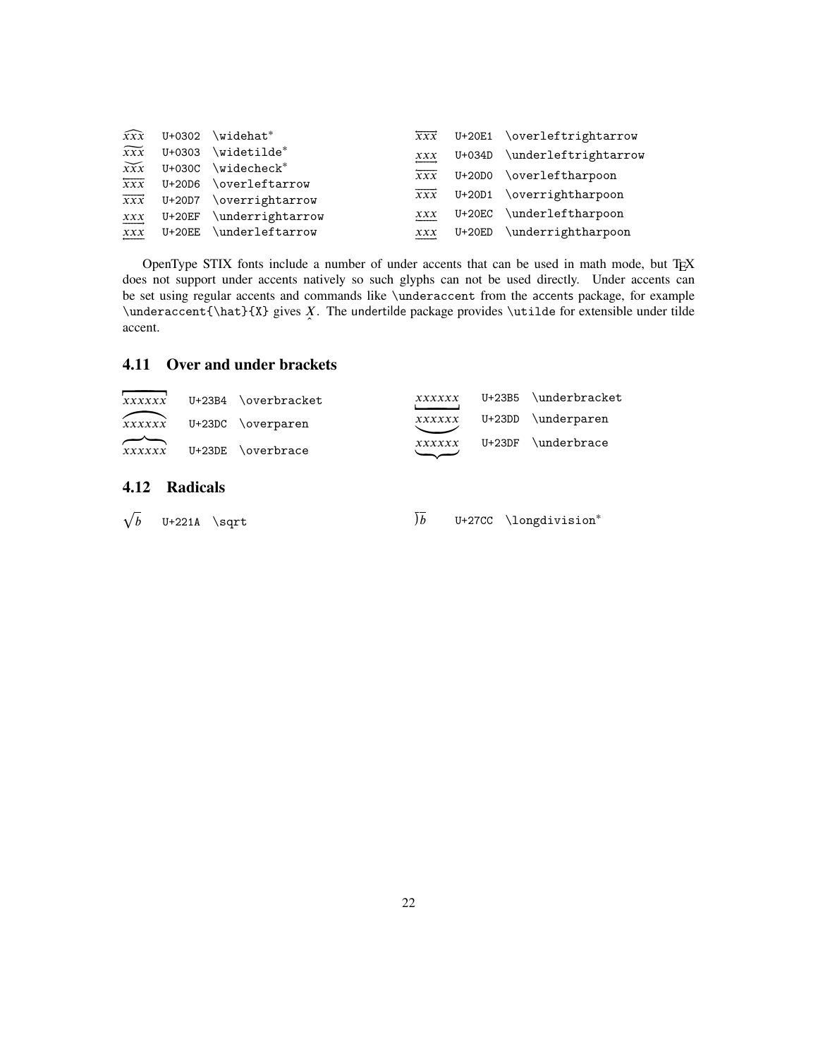| $\widehat{xxx}$        | $U + 0302$ | \widehat*                                      | $\overrightarrow{xxx}$ |          | U+20E1 \overleftrightarrow  |
|------------------------|------------|------------------------------------------------|------------------------|----------|-----------------------------|
| $\widetilde{xxx}$      | U+0303     | \widetilde*                                    | $\overline{xx}$        |          | U+034D \underleftrightarrow |
| $\widetilde{xxx}$      | $U+030C$   | $\widetilde{\mathbb{W}}$ idecheck <sup>*</sup> | $\overline{xx}$        | U+20D0   | \overleftharpoon            |
| $\overline{xx}$        | $U+20D6$   | \overleftarrow                                 |                        |          |                             |
| $\overrightarrow{XXX}$ | U+20D7     | \overrightarrow                                | $\overrightarrow{XXX}$ |          | U+20D1 \overrightharpoon    |
| $\overrightarrow{xxx}$ | $U+20EF$   | \underrightarrow                               | xxx                    |          | U+20EC \underleftharpoon    |
| $\overline{xxx}$       | $U+20EE$   | \underleftarrow                                | xxx                    | $U+20ED$ | \underrightharpoon          |
|                        |            |                                                |                        |          |                             |

OpenType STIX fonts include a number of under accents that can be used in math mode, but TEX does not support under accents natively so such glyphs can not be used directly. Under accents can be set using regular accents and commands like \underaccent from the accents package, for example \underaccent{\hat}{X} gives *X*. The undertilde package provides \utilde for extensible under tilde accent accent.

# <span id="page-21-0"></span>**4.11 Over and under brackets**

<span id="page-21-1"></span>

| xxxxxx<br>xxxxxx | $U+23B4$<br>$U+23DC$ | \overbracket<br>\overparen | xxxxxx<br>xxxxxx | $U+23B5$<br>$U+23DD$ | \underbracket<br>\underparen |
|------------------|----------------------|----------------------------|------------------|----------------------|------------------------------|
| xxxxxx           | $U+23DE$             | \overbrace                 | xxxxxx           | $U+23DF$             | $\lq$ underbrace             |
| 4.12             | <b>Radicals</b>      |                            |                  |                      |                              |
| $\sqrt{b}$       | $U+221A$<br>\sqrt    |                            | ) h              |                      | U+27CC \longdivision*        |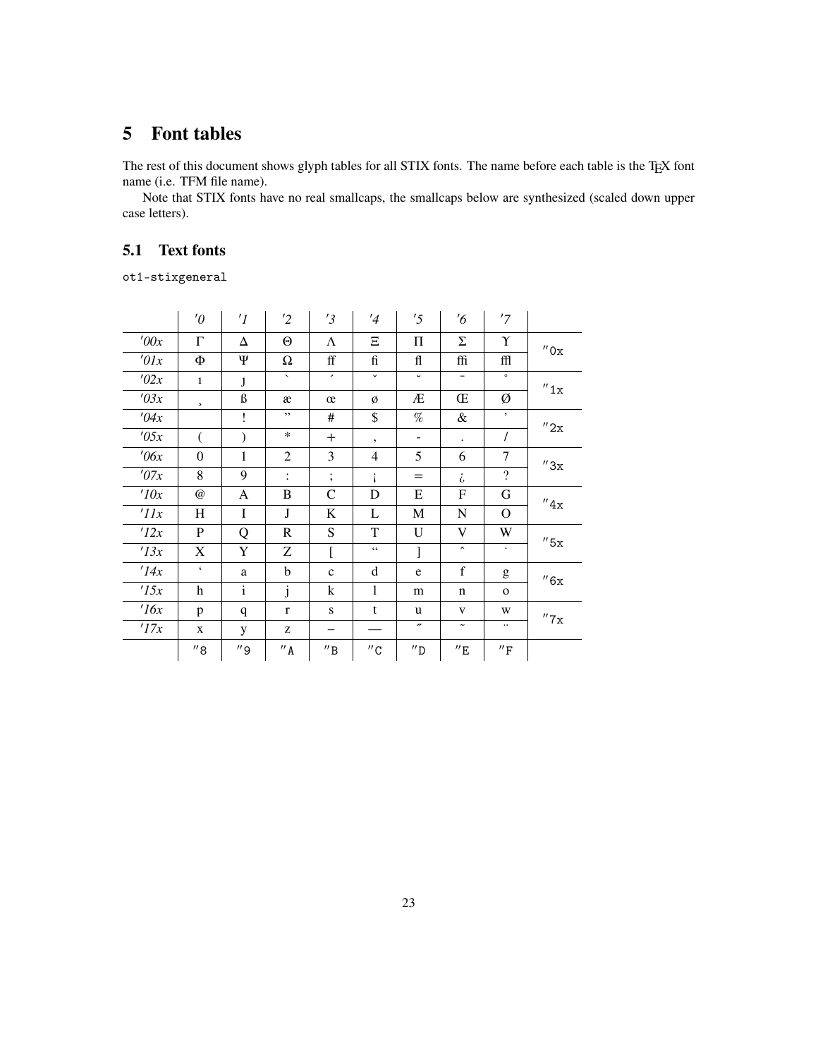# <span id="page-22-0"></span>**5 Font tables**

The rest of this document shows glyph tables for all STIX fonts. The name before each table is the TEX font name (i.e. TFM file name).

Note that STIX fonts have no real smallcaps, the smallcaps below are synthesized (scaled down upper case letters).

# <span id="page-22-1"></span>**5.1 Text fonts**

ot1-stixgeneral

|                 | $\theta$            | $\prime$ <sup>1</sup> | '2                       | '3                           | '4                       | '5                  | $\frac{7}{6}$            | '7                          |                      |
|-----------------|---------------------|-----------------------|--------------------------|------------------------------|--------------------------|---------------------|--------------------------|-----------------------------|----------------------|
| '00x            | $\Gamma$            | Δ                     | $\Theta$                 | Λ                            | Ξ                        | Π                   | Σ                        | Υ                           | $^{\prime\prime}$ Ox |
| $\theta$ lx     | Ф                   | Ψ                     | Ω                        | $\operatorname{ff}$          | fi                       | fl                  | ffi                      | ffl                         |                      |
| '02x            | $\mathbf{1}$        | J                     | $\overline{\phantom{0}}$ | $\overline{\phantom{a}}$     | $\checkmark$             | $\check{~}$         | $\overline{\phantom{a}}$ | $\circ$                     | $^{\prime\prime}$ 1x |
| '03x            | $\mathbf s$         | ß                     | æ                        | œ                            | Ø                        | Æ                   | Œ                        | Ø                           |                      |
| '04x            |                     | Ţ                     | , ,                      | $\#$                         | \$                       | $\%$                | &                        | $\bullet$                   | ''2x                 |
| '05x            |                     |                       | $\ast$                   | $^{+}$                       | $\overline{\phantom{a}}$ | ۰                   | $\ddot{\phantom{0}}$     | $\overline{I}$              |                      |
| $\theta$ 6x     | $\theta$            | $\mathbf{1}$          | $\overline{2}$           | 3                            | $\overline{4}$           | 5                   | 6                        | 7                           | ''3x                 |
| '07x            | 8                   | 9                     | $\ddot{\cdot}$           | $\vdots$                     |                          | $=$                 | i                        | $\overline{\mathcal{L}}$    |                      |
| 10x             | $^{\omega}$         | A                     | B                        | C                            | D                        | Ε                   | F                        | G                           | ''4x                 |
| $^{\prime}$ 11x | Η                   | I                     | J                        | K                            | L                        | M                   | N                        | O                           |                      |
| '12x            | P                   | Q                     | $\mathbf R$              | S                            | T                        | U                   | V                        | W                           | $''$ 5x              |
| '13x            | X                   | Y                     | Ζ                        | Ĺ                            | $\zeta$ $\zeta$          | ]                   | $\hat{\phantom{a}}$      | $\bullet$                   |                      |
| '14x            | $\pmb{\zeta}$       | a                     | b                        | $\mathbf c$                  | d                        | e                   | $\mathbf f$              | g                           | ''6x                 |
| '15x            | h                   | $\mathbf{i}$          | j                        | k                            | 1                        | m                   | $\mathbf n$              | $\mathbf 0$                 |                      |
| $\frac{7}{6x}$  | p                   | q                     | $\mathbf{r}$             | ${\bf S}$                    | t                        | u                   | V                        | W                           | ''7x                 |
| '17x            | X                   | y                     | Z                        | -                            |                          | $^{\prime\prime}$   | $\tilde{\phantom{a}}$    | $\ddotsc$                   |                      |
|                 | $^{\prime\prime}$ 8 | $^{\prime\prime}$ 9   | $^{\prime\prime}$ A      | $^{\prime\prime} \texttt{B}$ | $^{\prime\prime}$ C      | $^{\prime\prime}$ D | $^{\prime\prime}$ E      | $^{\prime\prime}\mathrm{F}$ |                      |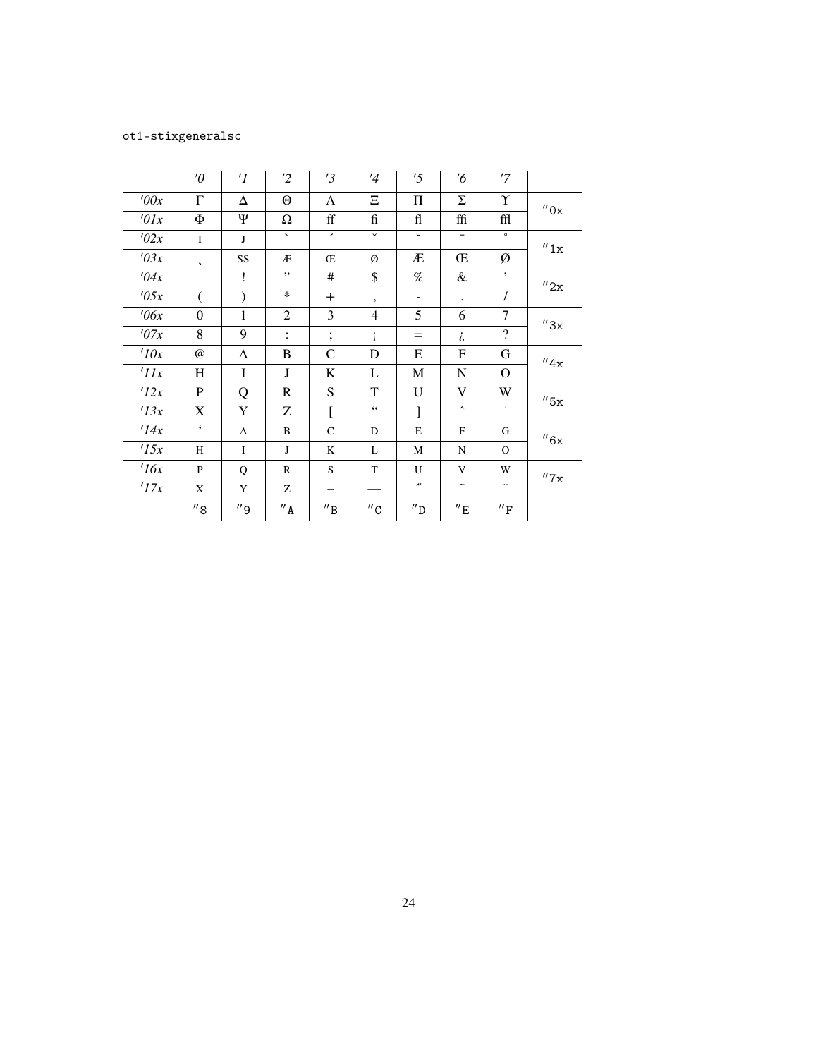# ot1-stixgeneralsc

|                 | $\theta$            | $\prime$ <sup>1</sup> | $\overline{2}$           | '3                            | '4                  | '5                                                                                                | $\frac{7}{6}$            | '7                           |                      |
|-----------------|---------------------|-----------------------|--------------------------|-------------------------------|---------------------|---------------------------------------------------------------------------------------------------|--------------------------|------------------------------|----------------------|
| '00x            | $\Gamma$            | Δ                     | $\Theta$                 | Λ                             | Ξ                   | Π                                                                                                 | Σ                        | Υ                            | $^{\prime\prime}$ Ox |
| $\theta x$      | Ф                   | Ψ                     | $\Omega$                 | $\operatorname{ff}$           | fi                  | fl                                                                                                | ffi                      | ffl                          |                      |
| '02x            | $\mathbf I$         | J                     | $\overline{\phantom{0}}$ | $\overline{\phantom{a}}$      | $\checkmark$        | $\check{ }$                                                                                       | $\overline{\phantom{a}}$ | $\circ$                      | $^{\prime\prime}$ 1x |
| '03x            | $\mathbf s$         | SS                    | Æ                        | Œ                             | Ø                   | Æ                                                                                                 | Œ                        | Ø                            |                      |
| '04x            |                     | ï                     | ,,                       | $\#$                          | \$                  | $% \mathcal{P}_{\mathrm{C}}^{\mathrm{C}}(\theta) = \mathcal{P}_{\mathrm{C}}^{\mathrm{C}}(\theta)$ | &                        | $\bullet$                    | $^{\prime\prime}$ 2x |
| '05x            |                     |                       | $\ast$                   | $+$                           | $\bullet$           | -                                                                                                 | $\bullet$                | $\prime$                     |                      |
| $\theta$ 6x     | $\mathbf{0}$        | $\mathbf{1}$          | $\overline{c}$           | 3                             | 4                   | 5                                                                                                 | 6                        | 7                            | $^{\prime\prime}3x$  |
| '07x            | 8                   | 9                     | $\ddot{\cdot}$           | ٠<br>$\overline{\phantom{a}}$ | i                   | $=$                                                                                               | i                        | $\overline{\mathcal{L}}$     |                      |
| 10x             | @                   | A                     | B                        | $\mathbf C$                   | $\mathbf D$         | E                                                                                                 | F                        | G                            | ''4x                 |
| $^{\prime}$ 11x | H                   | I                     | $\mathbf J$              | K                             | L                   | M                                                                                                 | N                        | $\mathbf{O}$                 |                      |
| 12x             | $\mathbf{P}$        | Q                     | $\mathbf R$              | S                             | T                   | U                                                                                                 | V                        | W                            | $''$ 5x              |
| '13x            | X                   | Y                     | Z                        | ſ                             | $\zeta\,\zeta$      | 1                                                                                                 | $\hat{\phantom{a}}$      | $\bullet$                    |                      |
| '14x            | $\epsilon$          | A                     | B                        | $\mathsf{C}$                  | D                   | E                                                                                                 | $_{\rm F}$               | G                            | ''6x                 |
| '15x            | H                   | I                     | J                        | K                             | L                   | M                                                                                                 | N                        | $\mathbf{O}$                 |                      |
| 16x             | P                   | Q                     | $\mathbb{R}$             | S                             | T                   | $\mathbf{U}$                                                                                      | V                        | W                            | $^{\prime\prime}$ 7x |
| 17x             | X                   | Y                     | Z                        |                               |                     | $\!\!^{\prime\prime}$                                                                             | $\tilde{\phantom{a}}$    | $\ddotsc$                    |                      |
|                 | $^{\prime\prime}$ 8 | $^{\prime\prime}$ 9   | $^{\prime\prime}$ A      | $^{\prime\prime}$ B           | $^{\prime\prime}$ C | $^{\prime\prime}$ D                                                                               | $^{\prime\prime}$ E      | $^{\prime\prime} \mathrm{F}$ |                      |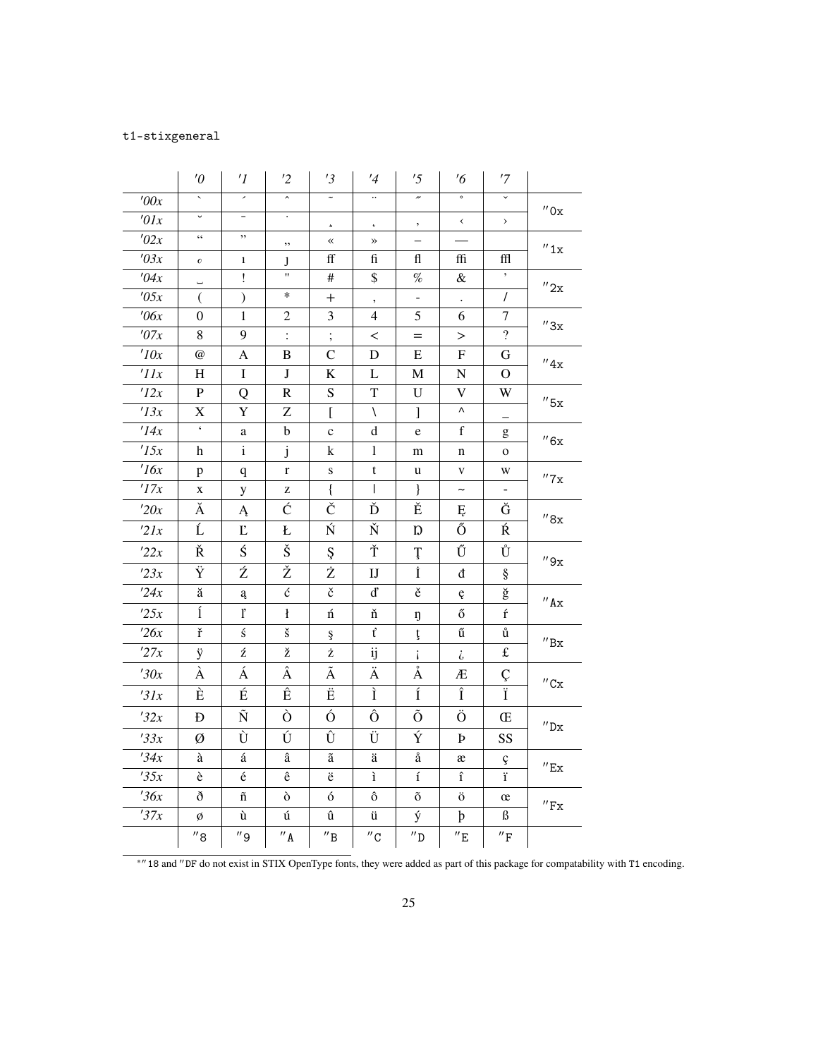# t1-stixgeneral

|                    | $\theta'$                                  | $\prime$ I               | '2                   | '3                           | $\frac{1}{4}$            | '5                    | $\frac{7}{6}$             | '7                          |                               |
|--------------------|--------------------------------------------|--------------------------|----------------------|------------------------------|--------------------------|-----------------------|---------------------------|-----------------------------|-------------------------------|
| '00x               | $\bar{\phantom{a}}$                        | $\overline{\phantom{a}}$ | $\hat{\phantom{a}}$  | $\tilde{\phantom{a}}$        | $\ldots$                 | $\overline{v}$        | $\circ$                   | $\overline{\mathbf{v}}$     |                               |
| $\overline{t}$ 01x | U                                          | -                        |                      | 5                            | $\pmb{\mathfrak{c}}$     | ,                     | $\checkmark$              | $\,$                        | $^{\prime\prime}$ Ox          |
| '02x               | $\boldsymbol{\zeta} \, \boldsymbol{\zeta}$ | ,,                       | ,,                   | $\ll$                        | $\gg$                    |                       |                           |                             | $^{\prime\prime}1x$           |
| $\overline{03x}$   | $\pmb{\mathit{o}}$                         | $\mathbf{1}$             | J                    | ff                           | fi                       | fl                    | ffi                       | ffl                         |                               |
| '04x               | L.                                         | Ţ                        | Ħ                    | #                            | \$                       | $\%$                  | $\&$                      | $^\circ$                    | $^{\prime\prime}2x$           |
| 705x               | €                                          | $\mathcal{C}^{\prime}$   | $\ast$               | $^+$                         | $\overline{\phantom{a}}$ | -                     | $\Box$                    | $\overline{1}$              |                               |
| $\theta$ 6x        | $\overline{0}$                             | 1                        | $\overline{c}$       | 3                            | 4                        | 5                     | 6                         | 7                           | $^{\prime\prime}3x$           |
| '07x               | 8                                          | 9                        | $\ddot{\cdot}$       | $\vdots$                     | $\,<\,$                  | $=$                   | $\geq$                    | $\overline{?}$              |                               |
| 10x                | $\omega$                                   | $\mathbf{A}$             | B                    | $\mathcal{C}$                | D                        | Ε                     | $\boldsymbol{\mathrm{F}}$ | G                           | $^{\prime\prime}4x$           |
| 'IIx               | H                                          | $\bf I$                  | $\mathbf{J}$         | $\rm K$                      | L                        | M                     | ${\bf N}$                 | $\overline{O}$              |                               |
| 12x                | ${\bf P}$                                  | Q                        | $\mathbf R$          | $\mathbf S$                  | $\mathbf T$              | U                     | V                         | W                           | $^{\prime\prime}$ 5x          |
| '13x               | X                                          | Y                        | Z                    | [                            | $\sqrt{2}$               | 1                     | Λ                         | —                           |                               |
| '14x               | $\pmb{\zeta}$                              | $\rm{a}$                 | $\mathbf b$          | $\mathbf{C}$                 | d                        | e                     | f                         | g                           | $^{\prime\prime}6x$           |
| 15x                | h                                          | $\mathbf{i}$             | j                    | k                            | 1                        | m                     | n                         | O                           |                               |
| 16x                | p                                          | q                        | $\mathbf{r}$         | S                            | t                        | u                     | $\mathbf V$               | W                           | $^{\prime\prime}$ 7 x         |
| 17x                | X                                          | y                        | z                    | $\{$                         | L                        | $\}$                  | $\tilde{}$                |                             |                               |
| '20x               | Ă                                          | Ą                        | Ć                    | Č                            | Ď                        | Ě                     | Ę                         | Ğ                           | $^{\prime\prime}8x$           |
| 2lx                | Ĺ                                          | $\mathbf{L}$             | Ł                    | Ń                            | Ň                        | Ŋ                     | Ő                         | Ŕ                           |                               |
| 22x                | Ř                                          | Ś                        | Š                    | Ş                            | Ť                        | Ţ                     | Ű                         | Ů                           | $^{\prime\prime}9x$           |
| 23x                | Ÿ                                          | Ź                        | Ž                    | Ż                            | $\mathbf{I}$             | İ                     | đ                         | ş                           |                               |
| 24x                | ă                                          | ą                        | $\acute{\rm{c}}$     | č                            | ď                        | ě                     | ę                         | ğ                           | $^{\prime\prime}$ Ax          |
| 25x                | ĺ                                          | ľ                        | ł                    | ń                            | ň                        | ŋ                     | ő                         | $\acute{\text{r}}$          |                               |
| 726x               | ř                                          | ś                        | $\check{\mathbf{s}}$ | ş                            | ť                        | ţ                     | ű                         | ů                           | $^{\prime\prime} \texttt{Bx}$ |
| 27x                | ÿ                                          | ź                        | ž                    | ż                            | ij                       | i.                    | i                         | $\pounds$                   |                               |
| '30x               | À                                          | Á                        | Â                    | Ã                            | Ä                        | $\mathring{\text{A}}$ | Æ                         | Ç                           | $^{\prime\prime}$ Cx          |
| 31x                | È                                          | É                        | Ê                    | Ë                            | Ì                        | $\overline{1}$        | Î                         |                             |                               |
| '32x               | Đ                                          | $\tilde{\text{N}}$       | Ò                    | Ó                            | Ô                        | Õ                     | Ö                         | Œ                           |                               |
| 33x                | Ø                                          | Ù                        | Ú                    | Û                            | Ü                        | Ý                     | Þ                         | SS                          | $^{\prime\prime} \textrm{Dx}$ |
| '34x               | à                                          | á                        | $\hat{\mathrm{a}}$   | $\tilde{\text{a}}$           | ä                        | å                     | æ                         | ç                           | $^{\prime\prime}$ Ex          |
| 35x                | è                                          | $\acute{\text e}$        | $\hat{\textbf{e}}$   | ë                            | ì                        | $\acute{\text{1}}$    | $\hat{\mathbf{1}}$        | ï                           |                               |
| 36x                | ð                                          | $\tilde{\rm n}$          | ò                    | ó                            | ô                        | õ                     | ö                         | œ                           | $^{\prime\prime}\mathrm{Fx}$  |
| '37x               | ø                                          | ù                        | ú                    | û                            | ü                        | ý                     | þ                         | ß                           |                               |
|                    | $^{\prime\prime}$ 8                        | $^{\prime\prime}$ 9      | $^{\prime\prime}$ A  | $^{\prime\prime} \texttt{B}$ | $^{\prime\prime}$ C      | $^{\prime\prime}$ D   | $^{\prime\prime}$ E       | $^{\prime\prime}\mathrm{F}$ |                               |

<sup>∗</sup>′′18 and ′′DF do not exist in STIX OpenType fonts, they were added as part of this package for compatability with T1 encoding.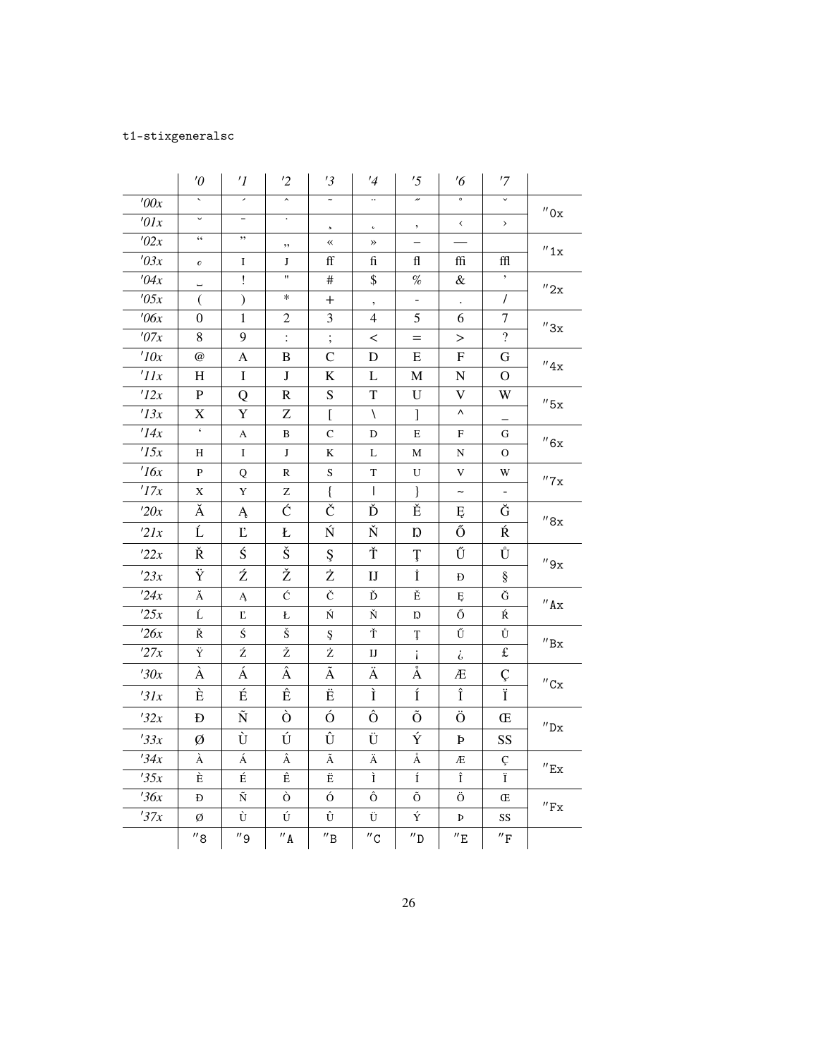# t1-stixgeneralsc

|             | $\theta'$                | $\prime$ <sup>1</sup>    | $\overline{2}$      | '3                           | $\frac{1}{4}$       | '5                       | $\frac{7}{6}$              | '7                          |                              |
|-------------|--------------------------|--------------------------|---------------------|------------------------------|---------------------|--------------------------|----------------------------|-----------------------------|------------------------------|
| '00x        | $\bar{\mathbf{v}}$       | $\overline{\phantom{a}}$ | $\hat{\phantom{a}}$ | $\tilde{}$                   | $\ddotsc$           | $\overline{\phantom{a}}$ | $\circ$                    | $\overline{\phantom{0}}$    |                              |
| $\iota$ 01x | $\check{ }$              | $\overline{\phantom{0}}$ | $\bullet$           | $\mathfrak s$                | $\pmb{\downarrow}$  | ,                        | $\overline{\phantom{a}}$   | $\,$                        | $^{\prime\prime}$ Ox         |
| '02x        | $\zeta\,\zeta$           | ,,                       | ,,                  | $\overline{\mathbf{X}}$      | $\rightarrow$       |                          |                            |                             | $^{\prime\prime}$ 1x         |
| '03x        | $\pmb{o}$                | $\bf{I}$                 | J                   | ff                           | fi                  | fl                       | ffi                        | ffl                         |                              |
| '04x        | $\overline{\phantom{0}}$ | ï                        | $\pmb{\mathsf{H}}$  | #                            | \$                  | $\%$                     | $\&$                       | $^\mathrm{o}$               | $^{\prime\prime}2x$          |
| '05x        | $\left($                 | $\mathcal{L}$            | $\ast$              | $^{+}$                       | $^\bullet$          | $\overline{\phantom{0}}$ | $\Box$                     | $\sqrt{2}$                  |                              |
| $\theta$ 6x | 0                        | 1                        | $\overline{c}$      | 3                            | 4                   | 5                        | 6                          | 7                           | $^{\prime\prime}3x$          |
| '07x        | 8                        | 9                        | $\ddot{\cdot}$      | $\vdots$                     | $\,<\,$             | $=$                      | $\rm{>}$                   | $\overline{?}$              |                              |
| 10x         | $\omega$                 | A                        | $\, {\bf B}$        | $\overline{C}$               | D                   | E                        | $\mathbf{F}$               | G                           | $^{\prime\prime}4x$          |
| 'IIx        | H                        | $\mathbf I$              | $\bf J$             | $\bf K$                      | L                   | $\mathbf{M}$             | ${\bf N}$                  | O                           |                              |
| '12x        | ${\bf P}$                | Q                        | $\mathbf R$         | S                            | $\mathbf T$         | $\mathbf U$              | $\mathbf V$                | W                           | $^{\prime\prime}$ 5x         |
| '13x        | $\mathbf X$              | Y                        | Z                   | $\Gamma$                     | $\setminus$         | ]                        | Λ                          |                             |                              |
| '14x        | $\zeta$                  | A                        | B                   | $\mathsf{C}$                 | D                   | E                        | $\boldsymbol{\mathrm{F}}$  | G                           | ''6x                         |
| '15x        | Н                        | $\mathbf I$              | $\bf J$             | K                            | L                   | $\mathbf M$              | N                          | $\mathbf{O}$                |                              |
| 16x         | P                        | Q                        | R                   | $\mathbf S$                  | T                   | U                        | V                          | W                           | $^{\prime\prime}$ 7 x        |
| '17x        | X                        | Y                        | Z                   | $\{$                         | $\mathbf{I}$        | $\}$                     | $\thicksim$                |                             |                              |
| '20x        | Ă                        | Ą                        | Ć                   | Č                            | Ď                   | Ě                        | Ę                          | Ğ                           | $^{\prime\prime}8\rm{x}$     |
| 21x         | Ĺ                        | $\Gamma$                 | Ł                   | Ń                            | Ň                   | $\mathbf D$              | Ő                          | Ŕ                           |                              |
| 22x         | Ř                        | Ś                        | Š                   | Ş                            | Ť                   | Ţ                        | Ű                          | Ů                           | $^{\prime\prime}9x$          |
| 23x         | Ÿ                        | Ź                        | Ž                   | Ż                            | I                   | İ                        | Ð                          | $\S$                        |                              |
| 24x         | Ă                        | Ą                        | Ć                   | Č                            | Ď                   | Ě                        | Ę                          | Ğ                           | $^{\prime\prime}$ Ax         |
| 25x         | Ĺ                        | Ľ                        | Ł                   | Ń                            | Ň                   | Ŋ                        | Ő                          | Ŕ                           |                              |
| 26x         | Ř                        | Ś                        | Š                   | Ş                            | Ť                   | Ţ                        | Ű                          | Ů                           | $^{\prime\prime} \text{Bx}$  |
| 27x         | Ÿ                        | Ź                        | Ž                   | Ż                            | IJ                  | i.                       | i                          | $\pounds$                   |                              |
| '30x        | À                        | Á                        | Â                   | Ã                            | Ä                   | Å                        | Æ                          | Ç                           | $^{\prime\prime}$ Cx         |
| 31x         | È                        | É                        | Ê                   | Ë                            | Ì                   | Í                        | Î                          | Ï                           |                              |
| 32x         | Ð                        | Ñ                        | Ò                   | Ó                            | Ô                   | Õ                        | Ö                          | Œ                           |                              |
| '33x        | Ø                        | Ù                        | Ú                   | Û                            | Ü                   | Ý                        | Þ                          | SS                          | $^{\prime\prime}{\rm Dx}$    |
| 34x         | À                        | Á                        | Â                   | Ã                            | Ä                   | $\mathring{\text{A}}$    | Æ                          | Ç                           | $^{\prime\prime}$ Ex         |
| '35x        | È                        | É                        | Ê                   | Ë                            | Ì                   | Í                        | $\hat{\text{I}}$           | $\overline{I}$              |                              |
| 36x         | Ð                        | $\tilde{\text{N}}$       | Ò                   | Ó                            | Ô                   | Õ                        | Ö                          | Œ                           | $^{\prime\prime}\mathrm{Fx}$ |
| 37x         | Ø                        | Ù                        | Ú                   | Û                            | Ü                   | Ý                        | Þ                          | SS                          |                              |
|             | $^{\prime\prime}$ 8      | $^{\prime\prime}$ 9      | $^{\prime\prime}$ A | $^{\prime\prime} \texttt{B}$ | $^{\prime\prime}$ C | $^{\prime\prime}$ D      | $^{\prime\prime} \text{E}$ | $^{\prime\prime}\mathrm{F}$ |                              |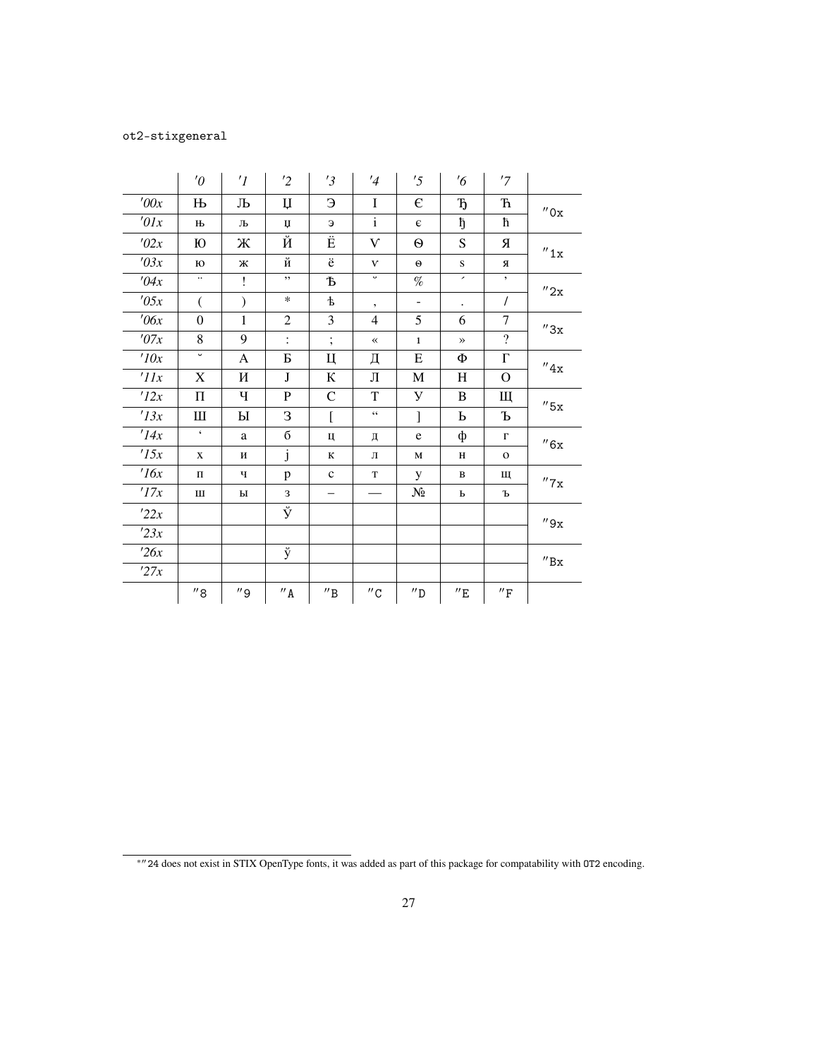# ot2-stixgeneral

|                 | $\theta$                | $\prime$ <sup>1</sup> | $\overline{2}$      | '3                           | '4                  | '5                  | $\frac{7}{6}$        | '7                          |                             |
|-----------------|-------------------------|-----------------------|---------------------|------------------------------|---------------------|---------------------|----------------------|-----------------------------|-----------------------------|
| '00x            | $\mathbf{H}$            | Љ                     | $\mathfrak{u}$      | Э                            | I                   | E                   | $\mathbf{D}$         | $\mathbf F$                 | $^{\prime\prime}$ Ox        |
| $\theta$ lx     | Њ                       | Љ                     | IJ                  | Э                            | $\mathbf{i}$        | $\epsilon$          | ħ                    | ħ                           |                             |
| '02x            | Ю                       | Ж                     | Й                   | Ë                            | $\mathbf{V}$        | $\Theta$            | S                    | Я                           | $^{\prime\prime}1x$         |
| '03x            | Ю                       | Ж                     | й                   | ë                            | $\mathbf{V}$        | $\Theta$            | S                    | Я                           |                             |
| '04x            | $\ddotsc$               | Ţ                     | ,,                  | Ѣ                            | $\circ$             | $\%$                | ,                    | $\bullet$                   | $^{\prime\prime}2x$         |
| '05x            | €                       | $\mathcal{E}$         | $\ast$              | $\mathbf t$                  | $\bullet$           | $\blacksquare$      | $\ddot{\phantom{0}}$ | $\sqrt{2}$                  |                             |
| $\theta$ 6x     | $\overline{0}$          | $\mathbf{1}$          | $\overline{2}$      | 3                            | $\overline{4}$      | 5                   | 6                    | $\tau$                      | $^{\prime\prime}3x$         |
| '07x            | 8                       | 9                     | $\ddot{\cdot}$      | $\vdots$                     | $\ll$               | $\mathbf{1}$        | $\rightarrow$        | $\overline{\mathcal{L}}$    |                             |
| 10x             | $\overline{\mathsf{v}}$ | A                     | Б                   | Ц                            | Д                   | E                   | Φ                    | $\Gamma$                    | ''4x                        |
| $^{\prime}$ IIx | X                       | И                     | J                   | К                            | Л                   | M                   | H                    | O                           |                             |
| 12x             | $\Pi$                   | Ч                     | $\mathbf{P}$        | $\mathsf{C}$                 | T                   | У                   | B                    | Щ                           | $^{\prime\prime}5x$         |
| 13x             | Ш                       | Ы                     | 3                   | [                            | $\zeta$ $\zeta$     | l                   | $\mathbf b$          | Ъ                           |                             |
| '14x            | $\pmb{\zeta}$           | a                     | б                   | Ц                            | Д                   | $\mathbf e$         | ф                    | $\Gamma$                    | ''6x                        |
| 15x             | X                       | И                     | j                   | К                            | Л                   | $\mathbf M$         | $\, {\rm H}$         | $\mathbf 0$                 |                             |
| 16x             | $\Pi$                   | ч                     | p                   | $\mathbf{C}$                 | T                   | У                   | B                    | Щ                           | $^{\prime\prime}7x$         |
| 17x             | Ш                       | ы                     | 3                   |                              |                     | $N_2$               | Ь                    | Ъ                           |                             |
| 22x             |                         |                       | ÿ                   |                              |                     |                     |                      |                             | $^{\prime\prime}9x$         |
| 23x             |                         |                       |                     |                              |                     |                     |                      |                             |                             |
| 26x             |                         |                       | ÿ                   |                              |                     |                     |                      |                             | $^{\prime\prime} \text{Bx}$ |
| '27x            |                         |                       |                     |                              |                     |                     |                      |                             |                             |
|                 | $^{\prime\prime}$ 8     | $^{\prime\prime}$ 9   | $^{\prime\prime}$ A | $^{\prime\prime} \texttt{B}$ | $^{\prime\prime}$ C | $^{\prime\prime}$ D | $^{\prime\prime}$ E  | $^{\prime\prime}\mathrm{F}$ |                             |

<sup>∗</sup>′′24 does not exist in STIX OpenType fonts, it was added as part of this package for compatability with OT2 encoding.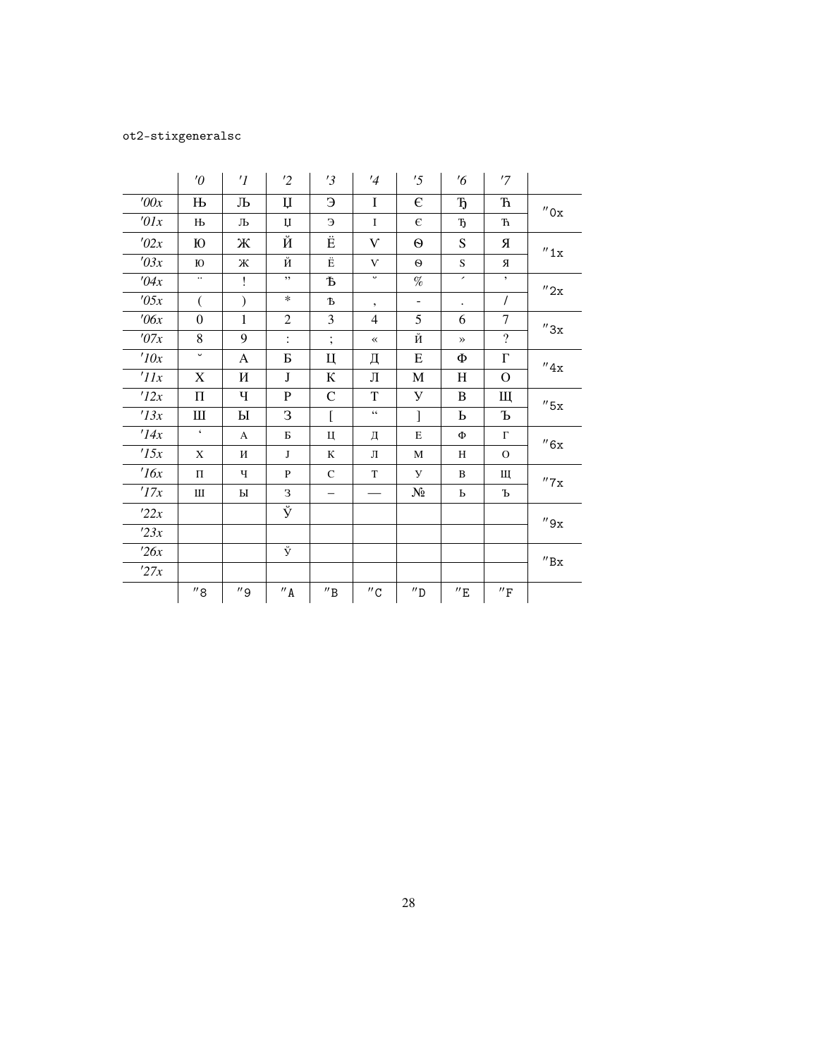# ot2-stixgeneralsc

|                 | $\theta$                 | $\prime$ <sup>1</sup> | $\overline{2}$         | '3                           | $\frac{1}{4}$            | '5                  | $\frac{7}{6}$            | '7                           |                           |
|-----------------|--------------------------|-----------------------|------------------------|------------------------------|--------------------------|---------------------|--------------------------|------------------------------|---------------------------|
| '00x            | $\mathbf{H}$             | Љ                     | $\mathbf{u}$           | Э                            | I                        | $\epsilon$          | $\mathbf{r}_1$           | $\hbox{\bf \emph{h}}$        | $^{\prime\prime}$ Ox      |
| $\theta$ lx     | $\mathbf{H}$             | Љ                     | $\mathbf{I}$           | Э                            | $\mathbf I$              | $\epsilon$          | $\mathbf{D}$             | ħ                            |                           |
| '02x            | Ю                        | Ж                     | $\overline{\check{M}}$ | Ë                            | V                        | $\Theta$            | S                        | Я                            | $^{\prime\prime}1x$       |
| '03x            | Ю                        | Ж                     | й $\frac{1}{N}$        | Ë                            | $\mathbf{V}$             | $\Theta$            | S.                       | Я                            |                           |
| '04x            | $\ddotsc$                | Ţ                     | ,,                     | Ъ                            | $\circ$                  | $\%$                | $\overline{\phantom{a}}$ | $\bullet$                    | $^{\prime\prime}$ 2x      |
| '05x            | $\left($                 | $\mathcal{E}$         | $\ast$                 | Ъ                            | $\overline{\phantom{a}}$ | $\Box$              | $\ddot{\phantom{0}}$     | $\prime$                     |                           |
| $\theta$ 6x     | $\mathbf{0}$             | $\mathbf{1}$          | $\overline{2}$         | 3                            | 4                        | 5                   | 6                        | 7                            | ''3x                      |
| '07x            | 8                        | 9                     | $\ddot{\cdot}$         | $\vdots$                     |                          | Й                   | $\rightarrow$            | $\overline{?}$               |                           |
| 10x             | $\overline{\phantom{0}}$ | A                     | Б                      | Ц                            | Д                        | E                   | Ф                        | $\Gamma$                     | ''4x                      |
| $^{\prime}$ IIx | X                        | И                     | $\mathbf{J}$           | К                            | Л                        | $\mathbf M$         | H                        | O                            |                           |
| 12x             | $\boldsymbol{\Pi}$       | Ч                     | ${\bf P}$              | $\mathcal{C}$                | T                        | У                   | B                        | Щ                            | $''$ 5x                   |
| '13x            | Ш                        | Ы                     | 3                      | $\overline{a}$               | $\zeta\,\zeta$           | $\mathbf{I}$        | Ь                        | Ъ                            |                           |
| '14x            | $\boldsymbol{\varsigma}$ | A                     | Б                      | Ц                            | Д                        | $\mathbf E$         | Ф                        | $\Gamma$                     | $^{\prime\prime}6x$       |
| 15x             | X                        | И                     | $\bf{J}$               | К                            | Л                        | M                   | H                        | $\Omega$                     |                           |
| 16x             | $\mathbf \Pi$            | Ч                     | P                      | $\mathsf{C}$                 | T                        | У                   | B                        | Щ                            | $^{\prime\prime}$ 7 x     |
| '17x            | Ш                        | Ы                     | З                      | -                            |                          | $N_2$               | Ь                        | Ъ                            |                           |
| 22x             |                          |                       | $\overline{\check{y}}$ |                              |                          |                     |                          |                              | $^{\prime\prime}9x$       |
| 23x             |                          |                       |                        |                              |                          |                     |                          |                              |                           |
| 26x             |                          |                       | ÿ                      |                              |                          |                     |                          |                              | $^{\prime\prime}{\rm Bx}$ |
| 27x             |                          |                       |                        |                              |                          |                     |                          |                              |                           |
|                 | ''8                      | $^{\prime\prime}$ 9   | $^{\prime\prime}$ A    | $^{\prime\prime} \texttt{B}$ | $^{\prime\prime}$ C      | $^{\prime\prime}$ D | $^{\prime\prime}$ E      | $^{\prime\prime} \mathrm{F}$ |                           |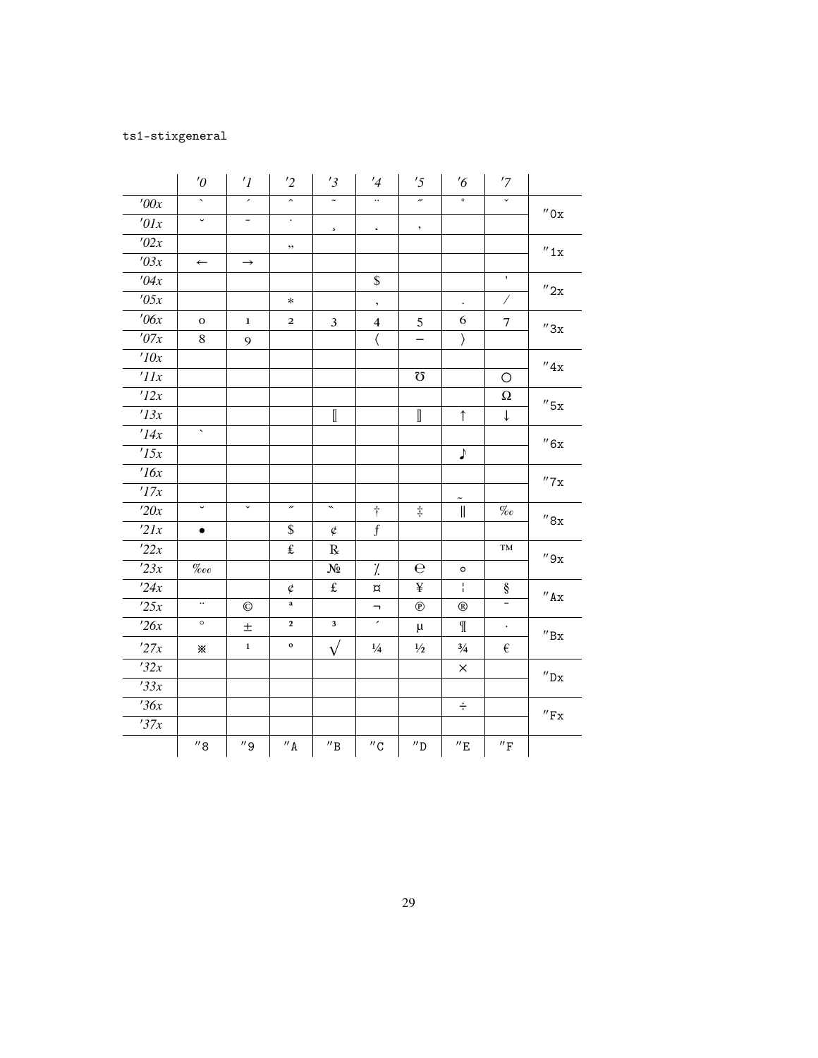# ts1-stixgeneral

|                 | $\theta$              | $\prime$ <sup>1</sup>    | '2                           | '3                           | $\frac{1}{4}$            | '5                       | $\frac{7}{6}$            | '7                          |                              |
|-----------------|-----------------------|--------------------------|------------------------------|------------------------------|--------------------------|--------------------------|--------------------------|-----------------------------|------------------------------|
| '00x            | ₹                     | $\overline{\phantom{a}}$ | $\overline{\phantom{a}}$     | $\tilde{\phantom{a}}$        | $\overline{\mathbf{u}}$  | $\overline{\phantom{a}}$ | $\circ$                  | $\overline{\phantom{0}}$    |                              |
| '01x            | $\check{\phantom{a}}$ | $\overline{\phantom{a}}$ | $\bullet$                    | $\mathbf{s}_\parallel$       | $\mathbf{c}_\parallel$   | $^\circ$                 |                          |                             | $^{\prime\prime}$ Ox         |
| '02x            |                       |                          | $, \,$                       |                              |                          |                          |                          |                             |                              |
| '03x            | $\leftarrow$          | $\rightarrow$            |                              |                              |                          |                          |                          |                             | $^{\prime\prime}1x$          |
| '04x            |                       |                          |                              |                              | \$                       |                          |                          | $\bar{\mathbf{r}}$          |                              |
| '05x            |                       |                          | $\ast$                       |                              | $^\bullet$               |                          |                          | $\overline{\phantom{a}}$    | $^{\prime\prime}2x$          |
| $\theta$ 6x     | $\mathbf{o}$          | $\mathbf{1}$             | $\mathbf{2}$                 | $\mathbf{3}$                 | $\overline{\mathbf{4}}$  | 5                        | 6                        | $\overline{7}$              | $^{\prime\prime}3x$          |
| '07x            | 8                     | 9                        |                              |                              | $\langle$                | $\overline{\phantom{0}}$ | $\rangle$                |                             |                              |
| 10x             |                       |                          |                              |                              |                          |                          |                          |                             | $^{\prime\prime}4x$          |
| $^{\prime}$ IIx |                       |                          |                              |                              |                          | $\Omega$                 |                          | O                           |                              |
| 12x             |                       |                          |                              |                              |                          |                          |                          | $\Omega$                    | $^{\prime\prime}5x$          |
| '13x            |                       |                          |                              | $\llbracket$                 |                          | $\mathbb I$              | $\uparrow$               | $\downarrow$                |                              |
| '14x            | $\sim$                |                          |                              |                              |                          |                          |                          |                             | $^{\prime\prime}6x$          |
| '15x            |                       |                          |                              |                              |                          |                          | ♪                        |                             |                              |
| 16x             |                       |                          |                              |                              |                          |                          |                          |                             | $^{\prime\prime}$ 7x         |
| 77x             |                       |                          |                              |                              |                          |                          | $\tilde{}$               |                             |                              |
| '20x            | $\check{ }$           | ⊽                        | $\overline{\phantom{a}}$     | $\overline{\phantom{0}}$     | $^\dagger$               | $\ddagger$               | $\big\ $                 | $\%o$                       | ''8x                         |
| 21x             | $\bullet$             |                          | \$                           | ¢                            | $\boldsymbol{f}$         |                          |                          |                             |                              |
| 22x             |                       |                          | $\pounds$                    | $\bf{R}$                     |                          |                          |                          | TM                          | $^{\prime\prime}9x$          |
| 23x             | $\%{}_{oo}$           |                          |                              | $N_2$                        | $\gamma$                 | е                        | $\circ$                  |                             |                              |
| 124x            |                       |                          | $\rlap{/} \rlap{/} \rlap{/}$ | $\pounds$                    | $\rm \alpha$             | ¥                        | ł.                       | $\S$                        | $^{\prime\prime}$ Ax         |
| 25x             | $\ddotsc$             | $\odot$                  | $\bf a$                      |                              | $\overline{\phantom{a}}$ | $^{\circledR}$           | $^{\circledR}$           | Ξ                           |                              |
| 26x             | $\circ$               | $\pm$                    | $\mathbf{2}$                 | $\mathbf{3}$                 | $\overline{\phantom{a}}$ | μ                        | $\mathbb{I}$             |                             | $^{\prime\prime}{\rm Bx}$    |
| '27x            | ×.                    | $\mathbf 1$              | $\mathbf{o}$                 | $\sqrt{}$                    | $\frac{1}{4}$            | $\frac{1}{2}$            | $\frac{3}{4}$            | $\in$                       |                              |
| 32x             |                       |                          |                              |                              |                          |                          | $\times$                 |                             |                              |
| 33x             |                       |                          |                              |                              |                          |                          |                          |                             | $^{\prime\prime}{\rm Dx}$    |
| 36x             |                       |                          |                              |                              |                          |                          | ÷                        |                             |                              |
| 37x             |                       |                          |                              |                              |                          |                          |                          |                             | $^{\prime\prime}\mathrm{Fx}$ |
|                 | $^{\prime\prime}$ 8   | $^{\prime\prime}$ 9      | $^{\prime\prime}$ A          | $^{\prime\prime} \texttt{B}$ | $^{\prime\prime}$ C      | $^{\prime\prime}$ D      | $^{\prime\prime}{\rm E}$ | $^{\prime\prime}\mathrm{F}$ |                              |
|                 |                       |                          |                              |                              |                          |                          |                          |                             |                              |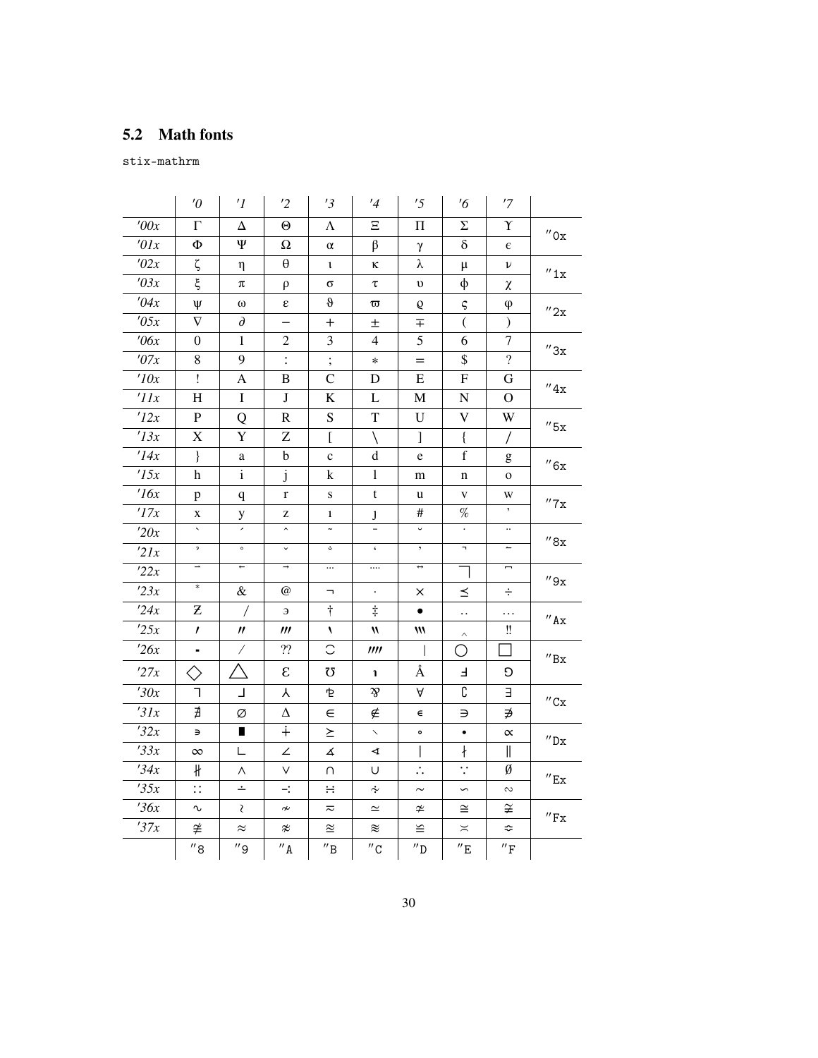# <span id="page-29-0"></span>**5.2 Math fonts**

stix-mathrm

|                   | $\theta$                       | $\prime$ <sup>1</sup>    | '2                      | '3                           | $\frac{1}{4}$              | '5                  | $\frac{7}{6}$             | '7                              |                              |
|-------------------|--------------------------------|--------------------------|-------------------------|------------------------------|----------------------------|---------------------|---------------------------|---------------------------------|------------------------------|
| $\overline{1}00x$ | $\Gamma$                       | Δ                        | Θ                       | Λ                            | Ξ                          | П                   | Σ                         | Υ                               | $^{\prime\prime}$ Ox         |
| '01x              | Φ                              | Ψ                        | Ω                       | $\alpha$                     | $\beta$                    | γ                   | $\delta$                  | $\epsilon$                      |                              |
| '02x              | ζ                              | η                        | $\theta$                | $\iota$                      | ĸ                          | λ                   | $\mu$                     | ν                               | $^{\prime\prime}$ 1x         |
| '03x              | ξ                              | π                        | $\rho$                  | σ                            | τ                          | $\upsilon$          | $\phi$                    | χ                               |                              |
| '04x              | Ψ                              | $\omega$                 | ε                       | $\boldsymbol{\vartheta}$     | $\boldsymbol{\varpi}$      | Q                   | ς                         | $\varphi$                       | $^{\prime\prime}2x$          |
| '05x              | $\nabla$                       | $\partial$               |                         | $\boldsymbol{+}$             | 土                          | 王                   | $\overline{(\ }$          | $\mathcal{L}$                   |                              |
| $\theta$ 6x       | $\overline{0}$                 | $\mathbf{1}$             | $\overline{2}$          | 3                            | $\overline{4}$             | 5                   | 6                         | $\tau$                          | $^{\prime\prime}3x$          |
| '07x              | 8                              | 9                        | $\ddot{\cdot}$          | $\vdots$                     | $\ast$                     | $=$                 | \$                        | $\overline{?}$                  |                              |
| 10x               | Ţ                              | A                        | B                       | $\mathcal{C}$                | D                          | Е                   | ${\bf F}$                 | G                               | $^{\prime\prime}4x$          |
| 'IIx              | H                              | $\mathbf I$              | $\bf J$                 | $\bf K$                      | L                          | $\mathbf{M}$        | ${\bf N}$                 | $\overline{O}$                  |                              |
| '12x              | $\mathbf{P}$                   | Q                        | $\mathbf R$             | S                            | $\mathbf T$                | U                   | V                         | W                               | $''$ 5x                      |
| '13x              | $\mathbf X$                    | $\mathbf Y$              | Z                       | $\overline{[}$               | $\setminus$                | $\mathbf{I}$        | $\{$                      | $\sqrt{2}$                      |                              |
| '14x              | $\}$                           | a                        | b                       | $\mathbf{C}$                 | $\mathbf d$                | e                   | $\mathbf f$               | g                               | $^{\prime\prime}6x$          |
| '15x              | h                              | $\mathbf{i}$             | $\mathbf{j}$            | k                            | $\mathbf{1}$               | m                   | n                         | $\mathbf{o}$                    |                              |
| 16x               | p                              | $\mathbf q$              | r                       | S                            | t                          | u                   | $\mathbf{V}$              | W                               | $^{\prime\prime}$ 7 x        |
| 17x               | X                              | y                        | z                       | $\mathbf{1}$                 | $\mathbf{J}$               | #                   | $\%$                      |                                 |                              |
| '20x              |                                |                          | $\hat{\phantom{a}}$     | $\tilde{\phantom{a}}$        |                            | $\check{ }$         | $\bullet$                 | $\ddotsc$                       | ''8x                         |
| 2lx               | $\mathfrak{p}$                 | $\circ$                  | $\checkmark$            | ث                            | $\boldsymbol{\varsigma}$   | $^\bullet$          | п,                        | $\overbrace{\phantom{1232211}}$ |                              |
| 22x               | $\overline{\phantom{0}}$       | $\overline{+}$           | $\rightarrow$           | $\cdots$                     |                            | $\leftrightarrow$   | $\overline{\phantom{a}}$  | Ţ                               | $^{\prime\prime}9x$          |
| 23x               | $\ast$                         | &                        | $\omega$                | $\overline{\phantom{a}}$     |                            | ×                   | ≤                         | ÷                               |                              |
| 24x               | Z                              | $\overline{1}$           | Э                       | $\dagger$                    | $\ddagger$                 | $\bullet$           | $\ddot{\phantom{a}}$ .    | $\ldots$                        | $^{\prime\prime}$ Ax         |
| 25x               | $\prime$                       | $^{\prime\prime}$        | $^{\prime\prime\prime}$ | V                            | $\boldsymbol{\mathcal{W}}$ | M                   | $\land$                   | ‼                               |                              |
| 26x               | ٠                              | $\overline{\phantom{a}}$ | ??                      | C                            | III                        | $\overline{1}$      | О                         |                                 | $^{\prime\prime}{\rm Bx}$    |
| '27x              | $\left\langle {}\right\rangle$ | ヘ                        | $\varepsilon$           | Ω                            | <sup>1</sup>               | Å                   | E                         | O                               |                              |
| '30x              | ٦                              | $\overline{\phantom{a}}$ | Υ                       | ቲ                            | $\mathcal{\mathcal{B}}$    | A                   | $\overline{\mathfrak{c}}$ | Е                               |                              |
| '31x              | ∄                              | Ø                        | $\Delta$                | $\in$                        | ∉                          | $\in$               | Э                         | ∌                               | $^{\prime\prime}$ Cx         |
| 32x               | $\Rightarrow$                  | п                        | $\ddot{+}$              | $\succeq$                    | $\mathbf{r}$               | $\bullet$           | $\bullet$                 | $\propto$                       |                              |
| 33x               | $\infty$                       | L                        | ∠                       | 4                            | 4                          | I                   | ł                         | $\parallel$                     | $^{\prime\prime}{\rm Dx}$    |
| 34x               | ∦                              | Λ                        | V                       | Π                            | U                          | $\therefore$        | $\ddot{\cdot}$            | Ø                               |                              |
| '35x              | $\vdots$                       | ÷                        | $\div$                  | $\div$                       | $\dot{\sim}$               | $\sim$              | $\backsim$                | $\sim$                          | $^{\prime\prime}$ Ex         |
| 36x               | $\sim$                         | ₹                        | $\overset{}{\sim}$      | $\overline{\sim}$            | $\simeq$                   | $\neq$              | $\cong$                   | ≆                               | $^{\prime\prime}\mathrm{Fx}$ |
| '37x              | ≇                              | $\approx$                | z                       | $\simeq$                     | ≋                          | $\cong$             | $\asymp$                  | ÷.                              |                              |
|                   | $^{\prime\prime}$ 8            | $^{\prime\prime}$ 9      | $^{\prime\prime}$ A     | $^{\prime\prime} \texttt{B}$ | $^{\prime\prime}$ C        | $^{\prime\prime}$ D | $^{\prime\prime}$ E       | $^{\prime\prime}$ F             |                              |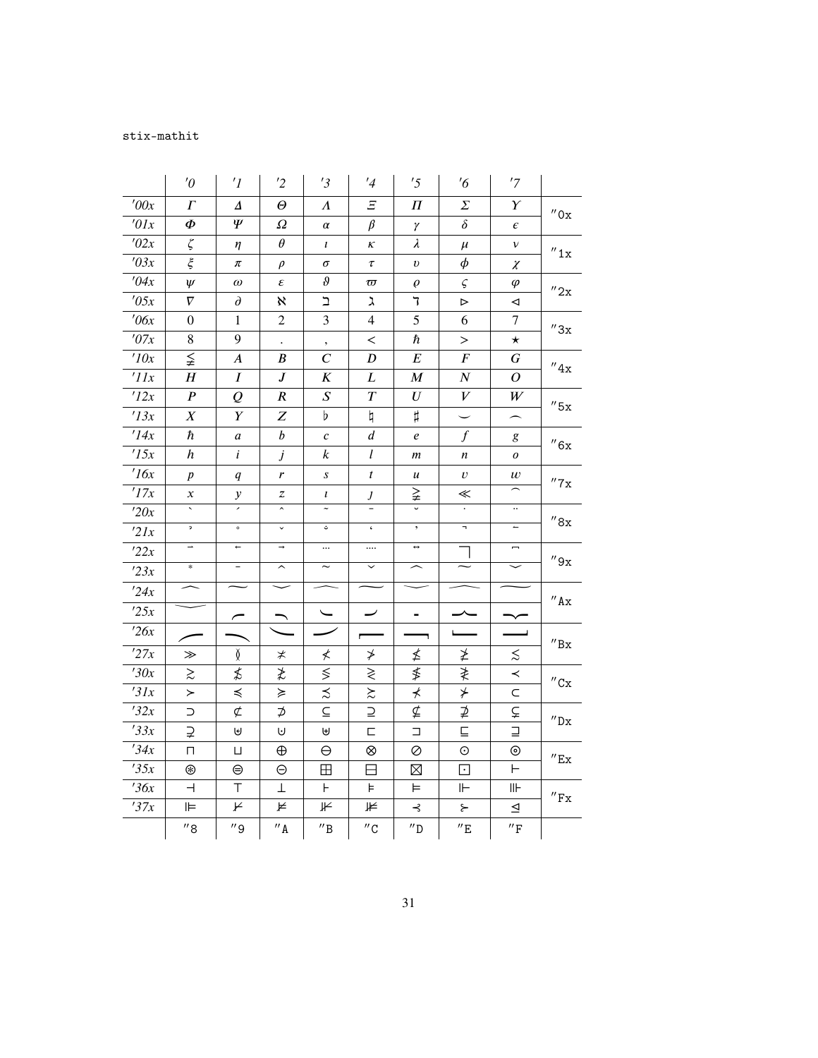## stix-mathit

|                  | $\theta$                 | $\prime$ <sup>1</sup>    | '2                      | '3                                       | $\frac{1}{4}$            | '5                       | $\frac{7}{6}$           | '7                          |                              |
|------------------|--------------------------|--------------------------|-------------------------|------------------------------------------|--------------------------|--------------------------|-------------------------|-----------------------------|------------------------------|
| '00x             | $\Gamma$                 | Δ                        | Θ                       | Λ                                        | Ξ                        | Π                        | Σ                       | Y                           |                              |
| $\overline{0}lx$ | Ф                        | Ψ                        | $\varOmega$             | $\alpha$                                 | $\beta$                  | γ                        | $\delta$                | $\epsilon$                  | $^{\prime\prime}$ Ox         |
| '02x             | $\zeta$                  | η                        | $\theta$                | $\iota$                                  | κ                        | $\lambda$                | $\mu$                   | v                           | $^{\prime\prime}$ 1x         |
| 703x             | $\xi$                    | π                        | $\rho$                  | $\sigma$                                 | $\tau$                   | $\boldsymbol{\upsilon}$  | $\phi$                  | χ                           |                              |
| 704x             | $\psi$                   | $\omega$                 | ε                       | $\vartheta$                              | $\varpi$                 | $\varrho$                | $\varsigma$             | $\varphi$                   | $^{\prime\prime}2x$          |
| '05x             | $\nabla$                 | $\partial$               | X                       | $\mathrel{\mathop{\mathsf{I}}\nolimits}$ | አ                        | 7                        | $\triangleright$        | ◁                           |                              |
| $\theta$ 6x      | $\overline{0}$           | $\mathbf{1}$             | $\overline{2}$          | 3                                        | $\overline{4}$           | 5                        | 6                       | $\tau$                      | $^{\prime\prime}3x$          |
| $^\prime\!O7x$   | 8                        | 9                        | $\bullet$               | $^\bullet$                               | $\,<$                    | ħ                        | $\rm{>}$                | $\star$                     |                              |
| $\overline{10x}$ | ≨                        | $\boldsymbol{A}$         | B                       | $\cal C$                                 | $\boldsymbol{D}$         | $\boldsymbol{E}$         | $\boldsymbol{F}$        | G                           | $^{\prime\prime}4x$          |
| $^{\prime}$ 11x  | H                        | I                        | $\boldsymbol{J}$        | $\boldsymbol{K}$                         | L                        | $\boldsymbol{M}$         | $\boldsymbol{N}$        | 0                           |                              |
| '12x             | $\overline{P}$           | $\overline{\varrho}$     | $\boldsymbol{R}$        | $\boldsymbol{S}$                         | $\boldsymbol{T}$         | $\boldsymbol{U}$         | $\boldsymbol{V}$        | $\ensuremath{W}$            | $^{\prime\prime}$ 5x         |
| '13x             | $\boldsymbol{X}$         | Y                        | Z                       | $\flat$                                  | $\natural$               | $\sharp$                 |                         | $\overline{\phantom{0}}$    |                              |
| $\overline{1}4x$ | $\hbar$                  | a                        | $\boldsymbol{b}$        | $\boldsymbol{c}$                         | $\boldsymbol{d}$         | $\boldsymbol{e}$         | $\int$                  | g                           | ''6x                         |
| $\overline{15x}$ | $\boldsymbol{h}$         | i                        | j                       | $\boldsymbol{k}$                         | l                        | $\boldsymbol{m}$         | n                       | 0                           |                              |
| $\overline{16x}$ | $\boldsymbol{p}$         | q                        | r                       | $\boldsymbol{S}$                         | $\boldsymbol{t}$         | u                        | v                       | $\boldsymbol{w}$            | $^{\prime\prime}$ 7 x        |
| '17x             | $\boldsymbol{\chi}$      | $\mathcal{Y}$            | z                       | l                                        | $J_{-}$                  | ≩                        | ≪                       |                             |                              |
| '20x             |                          | ×                        | $\hat{\phantom{a}}$     |                                          |                          |                          | $\cdot$                 | $\ddotsc$                   | $^{\prime\prime}8x$          |
| 2lx              | $\mathfrak{p}$           | $\circ$                  | $\checkmark$            |                                          | $\pmb{\zeta}$            | $^\bullet$               | п,                      | $\overline{\phantom{m}}$    |                              |
| 22x              | $\overline{\phantom{0}}$ | $\leftarrow$             | $\rightarrow$           |                                          |                          | $\leftrightarrow$        |                         | -                           | ''9x                         |
| 23x              | $\ast$                   | $\qquad \qquad -$        | $\widehat{\phantom{1}}$ | $\overline{\phantom{0}}$                 |                          | $\overline{\phantom{1}}$ |                         |                             |                              |
| '24x             |                          |                          |                         |                                          |                          |                          |                         |                             | $^{\prime\prime}$ Ax         |
| 25x              |                          | $\overline{\phantom{0}}$ |                         |                                          | $\overline{\phantom{a}}$ |                          |                         |                             |                              |
| 726x             |                          |                          |                         |                                          |                          |                          |                         |                             |                              |
| '27x             | ≫                        | Ŏ                        | ≭                       | ≮                                        | ≯                        | ≰                        | ≱                       | $\lesssim$                  | $^{\prime\prime}{\rm Bx}$    |
| '30x             | $\gtrsim$                | ≴                        | ≵                       | $\lesssim$                               | ≷                        | ≸                        | ≹                       | $\prec$                     |                              |
| '31x             | ≻                        | $\preccurlyeq$           | ≽                       | $\precsim$                               | $\gtrsim$                | ⊀                        | $\neq$                  | C                           | $^{\prime\prime}$ Cx         |
| 732x             | $\supset$                | $\not\subset$            | $\overline{p}$          | $\subseteq$                              | $\supseteq$              | ⊈                        | ⊉                       | ⊊                           | $^{\prime\prime}{\rm Dx}$    |
| 33x              | ⊋                        | A                        | U                       | $\biguplus$                              | $\Box$                   | $\Box$                   | $\overline{\mathsf{L}}$ | $\Box$                      |                              |
| $\overline{34x}$ | $\Box$                   | П                        | $\oplus$                | $\Theta$                                 | $\otimes$                | Ø                        | $\odot$                 | $_{\odot}$                  | $^{\prime\prime}$ Ex         |
| 735x             | ⊛                        | ⊜                        | $\ominus$               | ⊞                                        | ⊟                        | $\boxtimes$              | $\overline{\mathbf{E}}$ | $\vdash$                    |                              |
| 36x              | ⊣                        | Τ                        | Τ                       | Н                                        | Þ.                       | ⊨                        | ⊩                       | $\mathsf{II}\mathsf{H}$     | $^{\prime\prime}\mathrm{Fx}$ |
| 37x              | ⊫                        | ⊬                        | ⊭                       | ⊮                                        | ⊭                        | ⊰                        | $\succ$                 | $\trianglelefteq$           |                              |
|                  | $^{\prime\prime}$ 8      | $^{\prime\prime}$ 9      | $^{\prime\prime}$ A     | $^{\prime\prime} \texttt{B}$             | $^{\prime\prime}$ C      | $^{\prime\prime}$ D      | $^{\prime\prime}$ E     | $^{\prime\prime}\mathrm{F}$ |                              |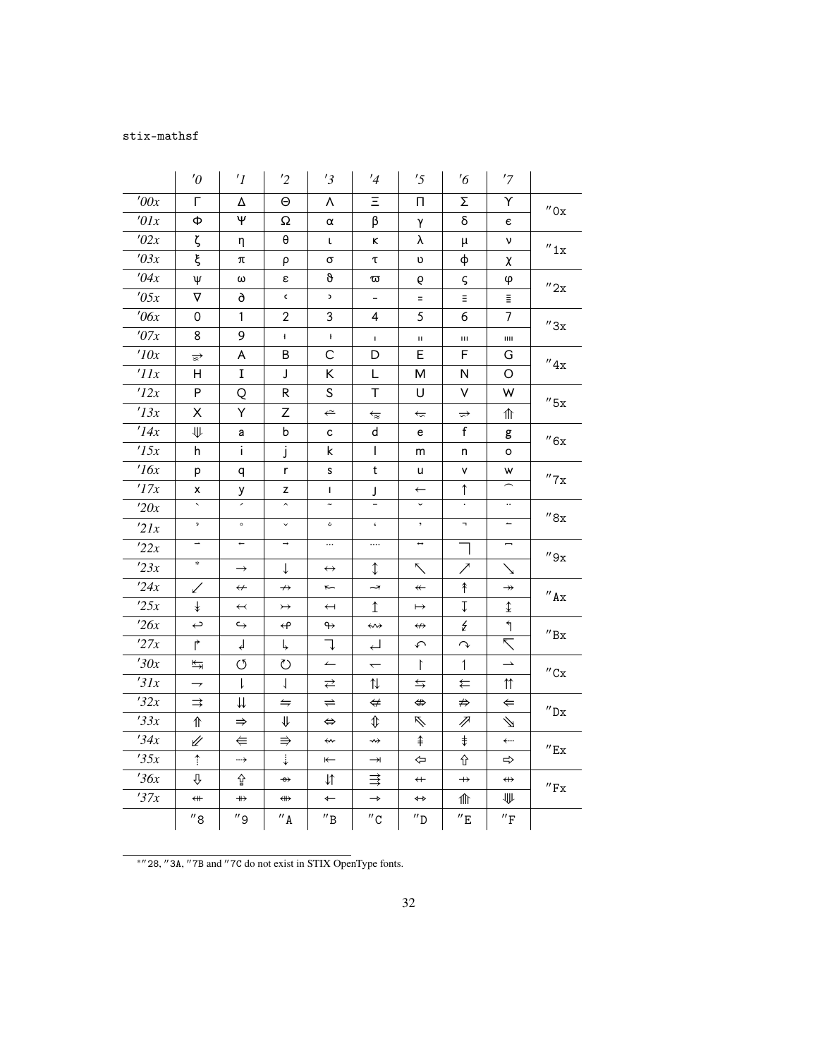## stix-mathsf

|             | $\theta$                 | $\prime$ <sup>1</sup>    | '2                    | '3                           | '4                                               | '5                      | $\frac{7}{6}$            | '7                       |                              |
|-------------|--------------------------|--------------------------|-----------------------|------------------------------|--------------------------------------------------|-------------------------|--------------------------|--------------------------|------------------------------|
| '00x        | г                        | Δ                        | $\Theta$              | Λ                            | Ξ                                                | П.                      | Σ                        | Υ                        | $^{\prime\prime}$ Ox         |
| '01x        | Ф                        | Ψ                        | Ω                     | α                            | β                                                | γ                       | δ                        | $\epsilon$               |                              |
| '02x        | ζ                        | η                        | $\boldsymbol{\theta}$ | t                            | ĸ                                                | λ                       | μ                        | ν                        | $^{\prime\prime}1x$          |
| '03x        | ξ                        | π                        | ρ                     | σ                            | τ                                                | υ                       | φ                        | χ                        |                              |
| '04x        | Ψ                        | ω                        | ε                     | θ                            | ᢍ                                                | 6                       | ς                        | φ                        | $^{\prime\prime}2x$          |
| '05x        | $\boldsymbol{\nabla}$    | 9                        | $\mathsf{c}$          | C                            | $\overline{\phantom{0}}$                         | $=$                     | Ξ                        | $\bar{\Xi}$              |                              |
| $\theta$ 6x | 0                        | 1                        | $\overline{2}$        | 3                            | 4                                                | 5                       | 6                        | 7                        | $^{\prime\prime}3x$          |
| '07x        | 8                        | 9                        | Ł                     | $\mathbf{F}$                 | $\mathbf I$                                      | $\mathbf H$             | Ш                        | ш                        |                              |
| '10x        | $\triangleq$             | A                        | В                     | C                            | D                                                | E                       | F                        | G                        | $^{\prime\prime}4x$          |
| 'IIx        | H.                       | I                        | J                     | K                            | L                                                | М                       | N                        | O                        |                              |
| '12x        | P                        | Q                        | R                     | S                            | т                                                | U                       | V                        | W                        | $^{\prime\prime}$ 5x         |
| '13x        | X                        | Y                        | Z                     | $\Leftarrow$                 | $\overleftarrow{\approx}$                        | $\widetilde{}$          | $\Rightarrow$            | ⇑                        |                              |
| '14x        | ₩                        | а                        | b                     | c                            | d                                                | e                       | f                        | g                        | $^{\prime\prime}6x$          |
| '15x        | h                        | i.                       | j                     | k                            | $\mathbf{I}$                                     | m                       | n                        | o                        |                              |
| 16x         | p                        | q                        | r                     | s                            | t                                                | u                       | ۷                        | W                        | $^{\prime\prime}$ 7x         |
| '17x        | x                        | у                        | z                     | L                            | J                                                | $\leftarrow$            | $\uparrow$               |                          |                              |
| '20x        | $\sim$                   | $\overline{\phantom{a}}$ | $\hat{\phantom{a}}$   | $\widetilde{\phantom{m}}$    | $\overline{\phantom{a}}$                         | $\check{~}$             | $\bullet$                | $\ddotsc$                | $^{\prime\prime}8x$          |
| 2lx         | $\overline{\mathbf{r}}$  | $\circ$                  | $\checkmark$          | ت                            | $\zeta$                                          | $^\circ$                | $\overline{\phantom{a}}$ | $\overline{a}$           |                              |
| '22x        | $\overline{\phantom{0}}$ | $\leftarrow$             | $\rightarrow$         | $\cdots$                     |                                                  | $\leftrightarrow$       |                          | -                        | $^{\prime\prime}9x$          |
| 23x         | $\ast$                   | $\rightarrow$            | $\downarrow$          | $\leftrightarrow$            | ↨                                                | $\sum$                  | ╱                        | ↘                        |                              |
| '24x        | ✓                        | $\leftrightarrow$        | $\nrightarrow$        | $\tilde{}$                   | ⇁                                                | $\overline{\mathbf{r}}$ | ↟                        | $\rightarrowtail$        | $^{\prime\prime}$ Ax         |
| 25x         | $\ddagger$               | $\overline{\mathbf{a}}$  | $\rightarrowtail$     | $\overline{\phantom{0}}$     | $\uparrow$                                       | $\mapsto$               | $\downarrow$             | $\hat{\mathbb{I}}$       |                              |
| 26x         | $\hookrightarrow$        | $\hookrightarrow$        | $\leftrightarrow$     | $\leftrightarrow$            | ⇜                                                | $\leftrightarrow$       | ₹                        | $\mathcal{L}$            | $^{\prime\prime}{\rm Bx}$    |
| '27x        | $\overrightarrow{r}$     | ↲                        | Ļ                     | J                            | اــہ                                             | $\curvearrowleft$       | $\curvearrowright$       | $\overline{\nabla}$      |                              |
| '30x        | ↹                        | Q                        | ℧                     | $\leftarrow$                 | $\overline{\phantom{0}}$                         | $\Gamma$                | $\mathbf{1}$             | $\rightarrow$            | $^{\prime\prime}$ Cx         |
| '31x        | $\rightarrow$            | $\downarrow$             | $\perp$               | ⇄                            | ⇅                                                | $\leftrightarrows$      | ⇇                        | $\uparrow\uparrow$       |                              |
| '32x        | $\Rightarrow$            | ⇊                        | $\leftrightharpoons$  | $\rightleftharpoons$         | $\Leftrightarrow$                                | $\Leftrightarrow$       | ⇏                        | $\Leftarrow$             | $^{\prime\prime}{\rm Dx}$    |
| 33x         | ⇑                        | $\Rightarrow$            | ⇓                     | $\Leftrightarrow$            | $\textcolor{red}{\textcolor{black}{\textbf{1}}}$ | Á                       | P                        | $\Delta$                 |                              |
| '34x        | ⇙                        | $\Leftarrow$             | $\Rightarrow$         | ⇜                            | ↮                                                | $\hat{+}$               | $\ddagger$               | $\leftarrow$             | $^{\prime\prime}$ Ex         |
| 35x         | $\uparrow$               | →                        | $\ddot{\div}$         | $\leftarrow$                 | $\rightarrow$                                    | ⇦                       | ⇧                        | $\Rightarrow$            |                              |
| 36x         | ⇩                        | 슙                        | $\rightarrow$         | $\downarrow$                 | ≢                                                | $\overline{+}$          | $\rightarrow$            | $\leftrightarrow$        | $^{\prime\prime}\mathrm{Fx}$ |
| '37x        | $\overline{\phantom{a}}$ | $\leftrightarrow$        | ⇔                     | $\leftarrow$                 | $\rightarrow$                                    | ↔                       | 仆                        | ₩                        |                              |
|             | $^{\prime\prime}$ 8      | $^{\prime\prime}$ 9      | $^{\prime\prime}$ A   | $^{\prime\prime} \texttt{B}$ | $^{\prime\prime}$ C                              | $^{\prime\prime}$ D     | $^{\prime\prime}$ E      | $^{\prime\prime}{\rm F}$ |                              |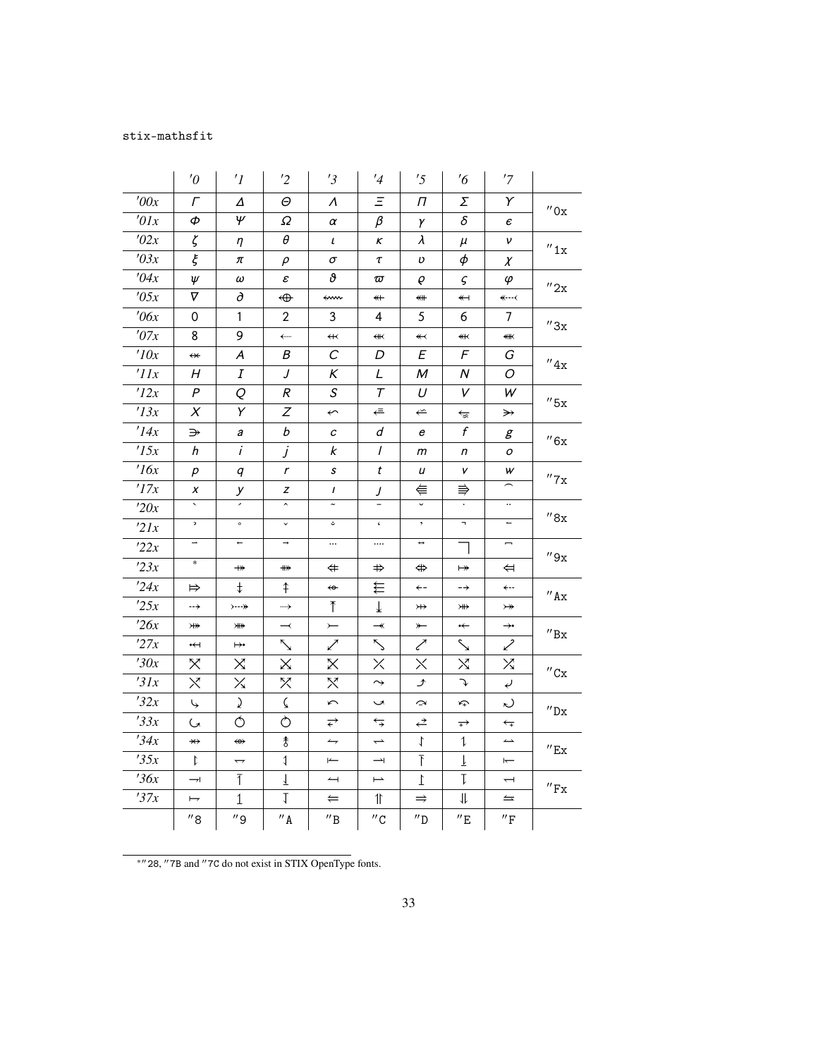## stix-mathsfit

|                  | $\theta$                 | $\prime$ <sup>1</sup>      | $\overline{2}$             | '3                      | '4                       | '5                            | $\frac{7}{6}$            | '7                            |                             |
|------------------|--------------------------|----------------------------|----------------------------|-------------------------|--------------------------|-------------------------------|--------------------------|-------------------------------|-----------------------------|
| '00x             | Γ                        | Δ                          | Θ                          | Λ                       | Ξ                        | Π                             | Σ                        | Υ                             | $^{\prime\prime}$ Ox        |
| '01x             | Ф                        | $\psi$                     | Ω                          | α                       | β                        | γ                             | δ                        | $\epsilon$                    |                             |
| '02x             | ζ                        | η                          | $\theta$                   | $\iota$                 | κ                        | $\lambda$                     | $\mu$                    | ν                             | $^{\prime\prime}$ 1x        |
| '03x             | ξ                        | π                          | $\rho$                     | $\sigma$                | $\tau$                   | υ                             | $\phi$                   | $\chi$                        |                             |
| '04x             | Ψ                        | $\omega$                   | $\boldsymbol{\varepsilon}$ | o.                      | $\varpi$                 | Q                             | $\varsigma$              | φ                             | $^{\prime\prime}$ 2x        |
| '05x             | $\nabla$                 | ð                          | ⊕                          | ⇜                       | $\overline{\ast}$        | ⇺                             | $\overline{\mathbf{y}}$  | $\leftarrow$ --<              |                             |
| $\theta$ 6x      | 0                        | 1                          | 2                          | 3                       | 4                        | 5                             | 6                        | 7                             | ''3x                        |
| '07x             | 8                        | 9                          | ←…                         | $\overline{\mathbf{t}}$ | ¥₭                       | $\overline{\mathbf{1}}$       | ¥⊀                       | ⊯                             |                             |
| 10x              | $\overline{\ast}$        | Α                          | Β                          | С                       | D                        | Ε                             | F                        | G                             | $^{\prime\prime}4x$         |
| '11x             | Н                        | I                          | J                          | Κ                       | L                        | M                             | Ν                        | O                             |                             |
| '12x             | P                        | Q                          | R                          | S                       | $\tau$                   | U                             | V                        | W                             | $^{\prime\prime}$ 5x        |
| '13x             | $\chi$                   | Y                          | Ζ                          | $\overline{\mathbf{C}}$ | ⇚                        | $\stackrel{\sim}{\leftarrow}$ | ↹                        | $\rightarrow$                 |                             |
| '14x             | ⋺                        | а                          | b                          | c                       | d                        | е                             | $\boldsymbol{f}$         | g                             | ''6x                        |
| '15x             | h                        | $\ddot{i}$                 | j                          | k                       | $\prime$                 | m                             | n                        | о                             |                             |
| 16x              | р                        | q                          | $\mathbf r$                | $\boldsymbol{s}$        | t                        | u                             | V                        | w                             | $^{\prime\prime}$ 7 x       |
| '17x             | x                        | у                          | z                          | $\mathbf{I}$            | J                        | ⋹                             | ⇛                        |                               |                             |
| 20x              | $\sim$                   |                            | $\hat{\phantom{a}}$        | $\tilde{\phantom{a}}$   | $\overline{\phantom{0}}$ | $\checkmark$                  |                          | $\ldots$                      | $^{\prime\prime}8x$         |
| 2lx              | $\mathfrak{p}^-$         | $\circ$                    | $\checkmark$               | ؿ                       | $\boldsymbol{\varsigma}$ | $^\bullet$                    | $\blacksquare$           | $\overline{\phantom{m}}$      |                             |
| 22x              | $\overline{\phantom{a}}$ | $\leftarrow$               | $\rightarrow$              |                         |                          | $\leftrightarrow$             | ┑                        | $\overline{\phantom{a}}$      | ''9x                        |
| 23x              | $\ast$                   | $\nrightarrow$             | $\nleftrightarrow$         | $\Leftrightarrow$       | $\Rightarrow$            | ⇔                             | $\mapsto$                | ⇔                             |                             |
| 24x              | $\Rightarrow$            | $^\ddag$                   | $\uparrow$                 | $\overline{\mathbf{e}}$ | €                        | $\leftarrow$                  | $\rightarrow$            | ←--                           | $^{\prime\prime}$ Ax        |
| 25x              | $\rightarrow$            | $\rightarrow -\rightarrow$ | …→                         | $\mathcal{T}$           | ↓                        | $\leftrightarrow$             | ¥                        | $\rightarrowtail$             |                             |
| 26x              | ₩                        | <b>米水</b>                  | $\overline{\phantom{a}}$   | $\leftarrow$            | $\overline{\phantom{a}}$ | $\overline{\ }$               | $\overline{\phantom{0}}$ | $\rightarrow \rightarrow$     | $^{\prime\prime} \text{Bx}$ |
| '27x             | $\overline{\mathbf{H}}$  | ⊬                          | ╲                          | ╱                       | Д                        | ╱                             | $\searrow$               | ╱                             |                             |
| '30x             | X                        | Χ                          | Χ                          | Χ                       | $\times$                 | $\times$                      | Χ                        | X                             | $^{\prime\prime}$ Cx        |
| 31x              | $\times$                 | $\times$                   | X                          | X                       | $\rightarrow$            | ♪                             | J                        | $\epsilon$                    |                             |
| 32x              | Ų.                       | $\lambda$                  | $\zeta$                    | $\sim$                  | $\tilde{\phantom{a}}$    | $\rm \simeq$                  | 少                        | $\sim$                        | $^{\prime\prime}$ Dx        |
| 33x              | G                        | Ó                          | Ò                          | ⇄                       | ⇆                        | ⇄                             | $\overrightarrow{+}$     | $\overleftarrow{\phantom{a}}$ |                             |
| 34x              | $\nleftrightarrow$       | $\Leftrightarrow$          | $\mathbf{\hat{g}}$         | $\rightarrow$           | $\rightarrow$            | $\downarrow$                  | $\mathfrak{1}$           | $\overline{\phantom{a}}$      | $^{\prime\prime}$ Ex        |
| 35x              | $\ddot{\iota}$           |                            | $\downarrow$               | $\leftarrow$            | $\rightarrow$            | $\bar{\Gamma}$                | $\overline{1}$           | $\overline{}$                 |                             |
| $\frac{736x}{x}$ | $\rightarrow$            | $\overline{1}$             | $\overline{1}$             | $\rightarrow$           | $\overline{\phantom{0}}$ | $\mathbf{I}$                  | $\mathsf T$              | $\overline{\phantom{0}}$      | $^{\prime\prime}$ Fx        |
| 37x              | $\mapsto$                | $\mathbf{1}$               | $\mathbb{I}$               | ⇐                       | $\mathbb{I}$             | $\Rightarrow$                 | 11                       | $\leftrightharpoons$          |                             |
|                  | $^{\prime\prime}$ 8      | $^{\prime\prime}$ 9        | $^{\prime\prime}$ A        | $^{\prime\prime}$ B     | $^{\prime\prime}$ C      | $^{\prime\prime}$ D           | $^{\prime\prime}$ E      | $^{\prime\prime}\mathrm{F}$   |                             |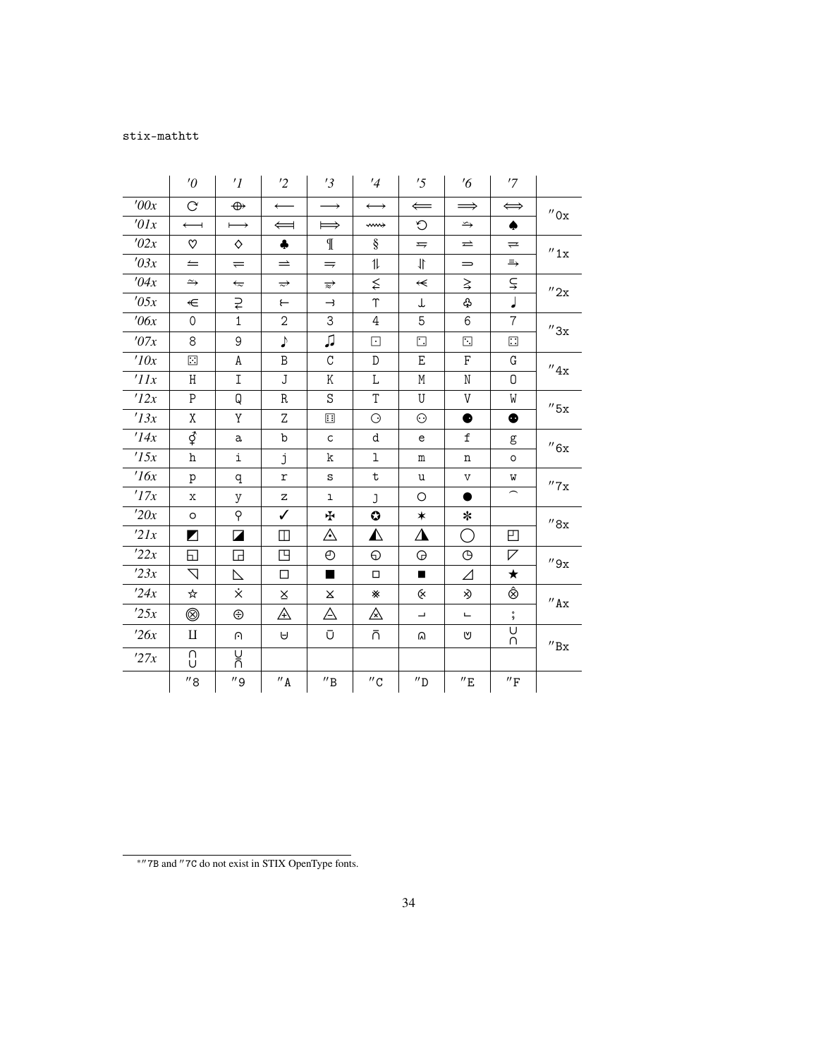## stix-mathtt

|                 | $\theta$              | $\prime$ <sup>1</sup>  | '2                  | '3                           | '4                    | '5                       | $\frac{7}{6}$       | '7                          |                              |
|-----------------|-----------------------|------------------------|---------------------|------------------------------|-----------------------|--------------------------|---------------------|-----------------------------|------------------------------|
| '00x            | $\infty$              | $\oplus$               | $\longleftarrow$    | $\rightarrow$                | $\longleftrightarrow$ | $\Leftarrow$             | $\implies$          | $\Longleftrightarrow$       | $^{\prime\prime}$ Ox         |
| $\theta l x$    | $\longleftarrow$      | $\longmapsto$          | $\Leftarrow$        | $\implies$                   | ⇜                     | $\circ$                  | $\hookrightarrow$   | ٠                           |                              |
| '02x            | ღ                     | ♦                      | $\clubsuit$         | $\mathbb{I}$                 | §                     | $\Rightarrow$            | $\rightleftarrows$  | $\rightleftharpoons$        | $^{\prime\prime}1x$          |
| '03x            | $=$                   | $\rightleftharpoons$   | $\Rightarrow$       | $\Rightarrow$                | 11                    | 11                       | $\qquad \qquad =$   | $\Rightarrow$               |                              |
| '04x            | $\rightarrow$         | $\overleftarrow{\sim}$ | $\Rightarrow$       | $\overrightarrow{z}$         | $\lessapprox$         | $\leftarrow$             | $\geq$              | ⊊                           | ''2x                         |
| '05x            | €                     | ₹                      | $\leftarrow$        | $\rightarrow$                | Υ                     | Τ                        | ♧                   | J                           |                              |
| $\theta$ 6x     | $\Omega$              | $\mathbf{1}$           | $\overline{2}$      | 3                            | 4                     | 5                        | 6                   | $\overline{7}$              | $^{\prime\prime}3x$          |
| '07x            | 8                     | 9                      | $\blacklozenge$     | ♫                            | ⊡                     | $\Box$                   | ⊡                   | $\Box$                      |                              |
| '10x            | $\Box$                | A                      | B                   | C                            | D                     | E                        | F                   | G                           | $^{\prime\prime}4x$          |
| $^{\prime}$ IIx | Η                     | I                      | J                   | Κ                            | Г                     | М                        | N                   | 0                           |                              |
| '12x            | $\mathsf{P}$          | Q                      | R                   | S                            | $\mathbf T$           | U                        | V                   | W                           | ''5x                         |
| '13x            | X                     | Y                      | Z                   | ⊞                            | $\odot$               | $\odot$                  | ●                   | $\bullet$                   |                              |
| '14x            | ₫                     | a                      | b                   | $\mathsf{C}$                 | d                     | e                        | f                   | g                           | $^{\prime\prime}6x$          |
| '15x            | h                     | i                      | j                   | k                            | ı                     | m                        | n                   | O                           |                              |
| 16x             | p                     | q                      | $\mathtt{r}$        | S                            | $\mathbf t$           | u                        | $\mathtt{V}$        | W                           | $^{\prime\prime}7\mathrm{x}$ |
| '17x            | X                     | У                      | Ζ                   | ı                            | J                     | $\circ$                  |                     |                             |                              |
| '20x            | $\circ$               | $\varphi$              | ✓                   | ∱                            | 0                     | $\ast$                   | ∗                   |                             | $^{\prime\prime}8x$          |
| 2lx             | $\blacktriangleright$ | ◪                      | ◫                   | ⚠                            | ◭                     | ◮                        | O                   | ◰                           |                              |
| '22x            | ⊡                     | ◲                      | 凹                   | O                            | ⊕                     | ⊕                        | $\bigoplus$         | ◸                           | $^{\prime\prime}9x$          |
| 23x             | $\nabla$              | ⊵                      | $\Box$              | ■                            | $\Box$                |                          | Δ                   | ★                           |                              |
| '24x            | ☆                     | Χ.                     | X                   | X                            | ☀                     | Q.                       | ≫                   | Ô                           | $^{\prime\prime}$ Ax         |
| '25x            | ◎                     | ⊕                      | ⚠                   | △                            | ◬                     | $\overline{\phantom{a}}$ | Щ                   | $\overset{\circ}{9}$        |                              |
| 26x             | $\mathbf{I}$          | $\cap$                 | A                   | Ū                            | ñ                     | ଲ                        | ľ٧                  | U<br>U                      | $^{\prime\prime}{\rm Bx}$    |
| '27x            | Λ<br>U                | บ<br>กิ                |                     |                              |                       |                          |                     |                             |                              |
|                 | $^{\prime\prime}$ 8   | $^{\prime\prime}$ 9    | $^{\prime\prime}$ A | $^{\prime\prime} \texttt{B}$ | $^{\prime\prime}$ C   | $^{\prime\prime}$ D      | $^{\prime\prime}$ E | $^{\prime\prime}\mathrm{F}$ |                              |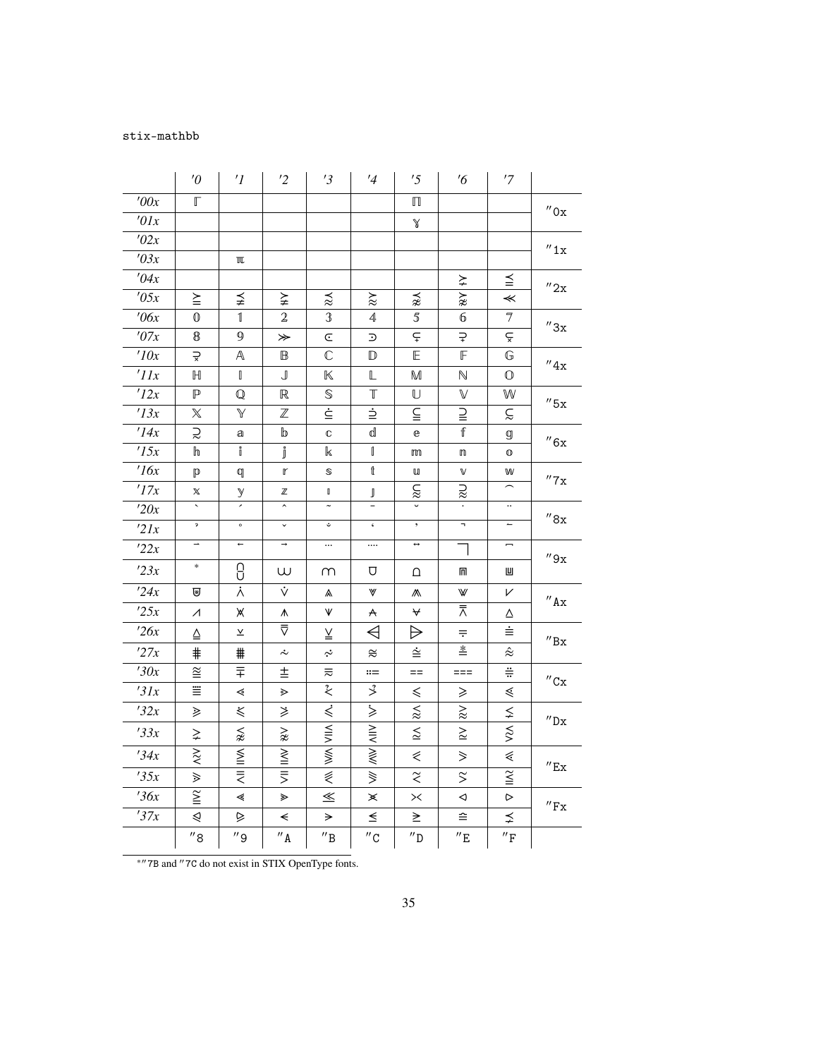## stix-mathbb

|             | $^{\prime}0$                       | $\prime$ <sup>1</sup>                      | '2                  | '3                                     | $\frac{1}{4}$             | '5                  | $\frac{7}{6}$             | '7                          |                              |
|-------------|------------------------------------|--------------------------------------------|---------------------|----------------------------------------|---------------------------|---------------------|---------------------------|-----------------------------|------------------------------|
| '00x        | $\mathbb{F}$                       |                                            |                     |                                        |                           | $\mathbb \Pi$       |                           |                             |                              |
| '01x        |                                    |                                            |                     |                                        |                           | $\mathbb X$         |                           |                             | $^{\prime\prime}$ Ox         |
| '02x        |                                    |                                            |                     |                                        |                           |                     |                           |                             | ''1x                         |
| '03x        |                                    | $\mathbbm{I}\mathbb{L}$                    |                     |                                        |                           |                     |                           |                             |                              |
| '04x        |                                    |                                            |                     |                                        |                           |                     | ≽                         | $\leqq$                     | $^{\prime\prime}$ 2x         |
| '05x        | $\geq$                             | ≨                                          | ≩                   | $\stackrel{\textstyle _\sim}{\approx}$ | $\gtrsim$                 | ⋨                   | $\widetilde{\varkappa}$   | $\prec$                     |                              |
| $\theta$ 6x | $\mathbb{O}$                       | $\mathbbmss{1}$                            | 2                   | $\mathfrak{B}$                         | 4                         | $\sqrt{5}$          | 6                         | $\overline{7}$              | $^{\prime\prime}3x$          |
| '07x        | $\pmb{8}$                          | 9                                          | ≫                   | C                                      | Ͽ                         | $\subsetneq$        | $\rightleftarrows$        | ç                           |                              |
| '10x        | $\Rightarrow$                      | $\mathbb{A}$                               | $\mathbb B$         | $\mathbb{C}$                           | $\mathbb{D}$              | E                   | $\mathbb F$               | G                           | $^{\prime\prime}4x$          |
| 'IIx        | $\mathbb H$                        | $\begin{bmatrix} \phantom{-}\end{bmatrix}$ | $\mathbb J$         | $\mathbb K$                            | L                         | M                   | $\mathbb N$               | $\mathbb O$                 |                              |
| '12x        | $\mathbb P$                        | $\mathbb{Q}$                               | $\mathbb R$         | $\mathbb S$                            | T                         | U                   | $\mathbb V$               | W                           | $''$ 5x                      |
| '13x        | $\mathbb X$                        | Y                                          | $\mathbb Z$         | $\dot{\subseteq}$                      | ₿                         | ≦                   | ≧                         | ξ                           |                              |
| '14x        | ≳                                  | а                                          | b                   | C                                      | d                         | e                   | f                         | g                           | $^{\prime\prime}6x$          |
| '15x        | ℎ                                  | i                                          | j                   | k                                      | I                         | m                   | $\mathbbmss{m}$           | $\mathbb O$                 |                              |
| 16x         | $\mathbb{p}$                       | q                                          | r                   | S                                      | t                         | $\mathbf u$         | V                         | W                           | $^{\prime\prime}7\mathrm{x}$ |
| '17x        | X                                  | у                                          | $\mathbb Z$         | $\mathbb I$                            | $\mathbb J$               | $\lessapprox$       | $\gtrapprox$              |                             |                              |
| '20x        | $\bar{\phantom{a}}$                | ×                                          | $\hat{\phantom{a}}$ | $\tilde{\phantom{a}}$                  | $\overline{\phantom{0}}$  | $\checkmark$        |                           | $\ddotsc$                   | $^{\prime\prime}8x$          |
| 2lx         | $\mathfrak p$                      | $\circ$                                    | $\checkmark$        | $\ddot{\phantom{0}}$                   | $\zeta$                   | $\, ,$              | $\overline{\phantom{0}}$  | $\overline{\phantom{m}}$    |                              |
| 22x         | Ξ,                                 | $\overline{\phantom{a}}$                   | $\rightarrow$       | $\cdots$                               |                           | $\leftrightarrow$   |                           | $\overline{\phantom{a}}$    | ''9x                         |
| 23x         | $\ast$                             | <u>ე</u>                                   | W                   | m                                      | U                         | Δ                   | m                         | Ш                           |                              |
| 24x         | ₩                                  | $\dot{\wedge}$                             | Ý                   | ٨                                      | W                         |                     | W                         | V                           | $^{\prime\prime}$ Ax         |
| 25x         | $\overline{\mathcal{A}}$           | Ж                                          | ٨                   | V                                      | A                         | ₩                   | ᄎ                         | Δ                           |                              |
| 26x         | $\triangleq$                       | $\underline{\mathsf{v}}$                   | ₹                   | ≚                                      | ◁                         | ♭                   | $\equiv$                  | ≐                           | $^{\prime\prime}$ Bx         |
| '27x        | $\ddagger$                         | #                                          | $\dot{\sim}$        | $\dot{\sim}$                           | $\approx$                 | ∻                   | $\stackrel{*}{=}$         | $\hat{\approx}$             |                              |
| '30x        | $\widetilde{\cong}$                | 〒                                          | 圭                   | ₹                                      | $::=$                     | $==$                | $==$                      | $\ddot{=}$                  | $^{\prime\prime}$ Cx         |
| '31x        | ≝                                  | ⋖                                          | ⋗                   | $\stackrel{?}{<}$                      | $\rightarrow$             | $\leq$              | ≥                         | ≤                           |                              |
| '32x        | ⋟                                  | ₹                                          | ≱                   | ₹                                      | $\dot{>}$                 | $\lessapprox$       | $\gtrsim$                 | ≨                           | $^{\prime\prime}{\rm Dx}$    |
| 33x         | $\gneq$                            | $\lessapprox$                              | $\gnsim$            | WIN VIIA                               | $\overline{\mathsf{MIN}}$ | $\lessapprox$       | $\geq$                    | $\approx$                   |                              |
| 34x         | $\stackrel{\textstyle >}{\approx}$ | <b>NII IIW</b>                             | WII∥IM              |                                        | $\gg$                     | ⋞                   | $\geqslant$               | ⋞                           |                              |
| 35x         | ≫                                  |                                            |                     | ₹                                      | $\geqslant$               | $\widetilde{\le}$   | $\widetilde{\phantom{a}}$ | $\widetilde{\leq}$          | $^{\prime\prime}$ Ex         |
| 36x         | $\overline{1}$                     | ∢                                          | ⋗                   | $\leq$                                 | ×                         | $>\x$               | ◁                         | ⊳                           |                              |
| 37x         | ⋞                                  | ⊵                                          | $\prec$             | $\Rightarrow$                          | $\leq$                    | ≥                   | ≘                         | ⋨                           | $^{\prime\prime}\mathrm{Fx}$ |
|             | $^{\prime\prime}$ 8                | $^{\prime\prime}$ 9                        | $^{\prime\prime}$ A | $^{\prime\prime} \texttt{B}$           | $^{\prime\prime}$ C       | $^{\prime\prime}$ D | $^{\prime\prime}$ E       | $^{\prime\prime}\mathrm{F}$ |                              |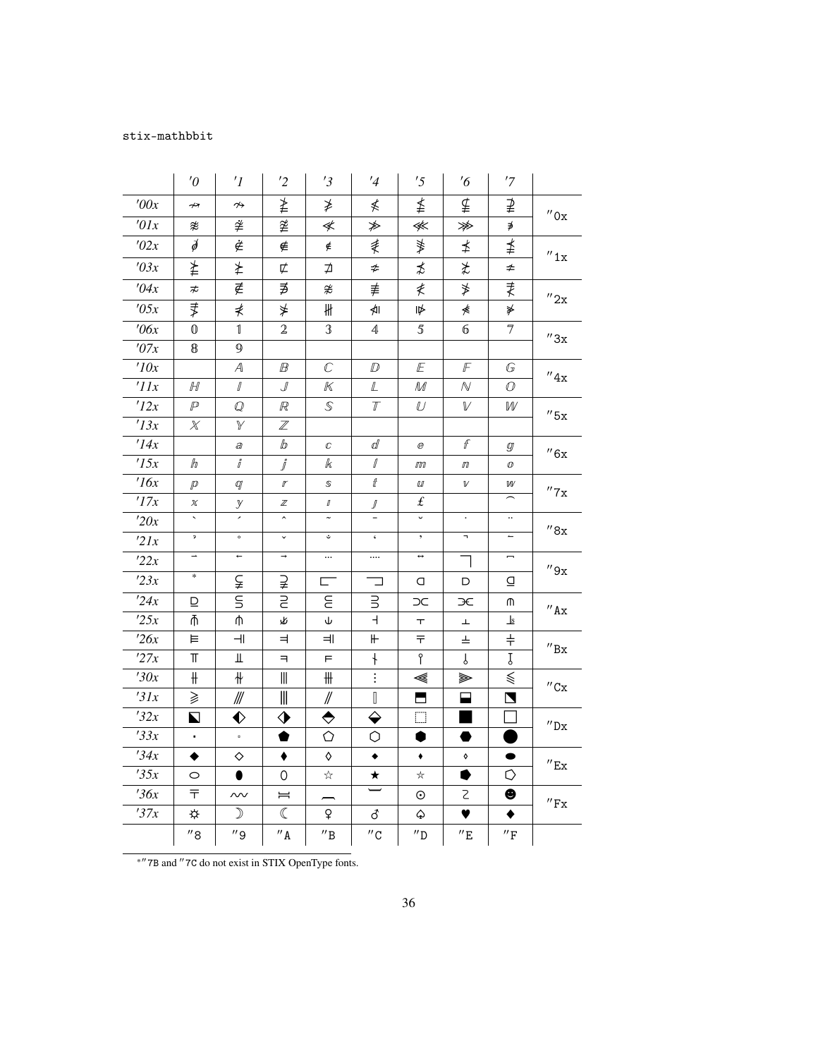## stix-mathbbit

|               | $\theta$            | $^{\prime}$ 1            | '2                  | '3                       | $\frac{1}{4}$                               | '5                       | $\frac{7}{6}$       | '7                              |                              |
|---------------|---------------------|--------------------------|---------------------|--------------------------|---------------------------------------------|--------------------------|---------------------|---------------------------------|------------------------------|
| '00x          | ↛                   | $\rightsquigarrow$       | ≱                   | ≱                        | ≰                                           | ≰                        | ⊈                   | ⊉                               |                              |
| '01x          | æ                   | ≇                        | 垄                   | ≮                        | ≱                                           | ⋘                        | ≫                   | ∌                               | $^{\prime\prime}$ Ox         |
| '02x          | $\cancel{\phi}$     | È                        | ∉                   | ∉                        | ≹                                           | ≸                        | ≰                   | ≸                               | $^{\prime\prime}1x$          |
| '03x          | ≱                   | ≵                        | ⊄                   | ⊅                        | ≉                                           | ≴                        | ≵                   | ≄                               |                              |
| '04x          | ≉                   | ∉                        | ∌                   | ≉                        | ≢                                           | ≹                        | ≯                   | ₹                               |                              |
| '05x          | ₹                   | ⋠                        | ⋡                   | ₩                        | ⋪∣                                          | 1⋫                       | ≰                   | ≱                               | $^{\prime\prime}2x$          |
| $\theta$ 6x   | $\mathbb{O}$        | $\mathbb{1}$             | $\mathbf 2$         | 3                        | $\overline{4}$                              | $\sqrt{5}$               | б                   | 7                               |                              |
| '07x          | $\pmb{8}$           | $\mathfrak g$            |                     |                          |                                             |                          |                     |                                 | $^{\prime\prime}3x$          |
| '10x          |                     | $\mathcal A$             | ℍ                   | $\mathbb{C}$             | $D \hspace{-0.5ex}D$                        | E                        | F                   | G                               | $^{\prime\prime}4x$          |
| 'IIx          | H                   | $\varGamma$              | ┚                   | К                        | $\mathbb L$                                 | M                        | $\mathcal N$        | O                               |                              |
| '12x          | $\mathbb{P}$        | ${\mathcal{Q}}$          | R                   | $\mathbb S$              | $\overline{I\hspace{-0.6mm}I}$              | $\mathbb U$              | $\mathbb {V}$       | W                               | $^{\prime\prime}$ 5x         |
| '13x          | $\chi$              | Y                        | $\mathbb Z$         |                          |                                             |                          |                     |                                 |                              |
| '14x          |                     | a                        | lb                  | $\mathbb C$              | ď                                           | $\mathcal C$             | $\mathcal{F}% _{0}$ | $\mathcal{G}$                   | $^{\prime\prime}6x$          |
| '15x          | $\mathbb{H}$        | $\tilde{J}$              | $\mathring{J}$      | k                        | $\mathbb{J}% _{F}$                          | $I\!\!I\!\!I\!\!I$       | $I\!\!I\!\!I$       | $\varnothing$                   |                              |
| 16x           | $\mathcal{P}$       | q                        | $\mathbf{r}$        | S                        | ₫                                           | Ш                        | $\mathbb {V}$       | w                               | $^{\prime\prime}$ 7x         |
| $^\prime 17x$ | $\chi$              | у                        | $\mathbb Z$         | $\varnothing$            | $\frac{1}{1}$                               | £                        |                     | $\widehat{\phantom{m}}$         |                              |
| '20x          | ₹                   | 7                        | $\hat{\phantom{a}}$ | $\tilde{\phantom{a}}$    |                                             | U                        | $\cdot$             | $\ddotsc$                       | $^{\prime\prime}8x$          |
| 2lx           | $\mathfrak{p}$      | $\circ$                  | $\checkmark$        | ؿ                        | $\boldsymbol{\varsigma}$                    | $\bullet$                | $\blacksquare$      | $\overbrace{\phantom{1232211}}$ |                              |
| '22x          | $\rightarrow$       | $\leftarrow$             | $\rightarrow$       | $\cdots$                 | $\cdots$                                    | $\leftrightarrow$        | ┓                   | $\overline{\phantom{m}}$        | $^{\prime\prime}9x$          |
| 23x           | $\ast$              | ⊊                        | ⊋                   | $\overline{\phantom{a}}$ | ⊐                                           | O                        | D                   | ₫                               |                              |
| 124x          | ⊵                   | $\overline{\mathsf{s}}$  | $\overline{a}$      | E                        | $\exists$                                   | C                        | ЭE                  | ጠ                               | $^{\prime\prime}$ Ax         |
| '25x          | Ψ                   | ψ                        | 必                   | ψ                        | $\overline{+}$                              | $\top$                   | Ŧ                   | $\mathbf{s}$                    |                              |
| '26x          | 巨                   | $\overline{\mathcal{L}}$ | ᆗ                   | ᆌ                        | $\mathrel{\Vdash}$                          | ᅮ                        | ᆂ                   | $\ddagger$                      | $^{\prime\prime}{\rm Bx}$    |
| '27x          | $\mathbb T$         | Щ                        | $\exists$           | F                        | $\ddagger$                                  | የ                        | J                   | Ţ                               |                              |
| '30x          | ╫                   | ╫                        | $\mathbb{I}$        | $\#$                     | $\vdots$                                    | ≪                        | ➣                   | ≶                               | $^{\prime\prime}$ Cx         |
| '31x          | ⋧                   | ₩                        | $\frac{1}{2}$       | $\mathbb{N}$             | $\begin{bmatrix} \phantom{-} \end{bmatrix}$ | $\overline{\phantom{a}}$ | ▄                   | $\blacksquare$                  |                              |
| '32x          | $\blacksquare$      | ♦                        | ♦                   | ◆                        | ♦                                           | $\Box$                   | ▅                   | $\Box$                          | $^{\prime\prime}$ Dx         |
| '33x          | ¥,                  | $\mathfrak{a}$           | ●                   | ♦                        | О                                           | 0                        | ●                   |                                 |                              |
| '34x          | ◆                   | ♦                        | ٠                   | ♦                        | $\bullet$                                   | $\blacklozenge$          | $\Diamond$          | $\bullet$                       | $^{\prime\prime}$ Ex         |
| 35x           | $\circ$             | ●                        | 0                   | ☆                        | $\star$                                     | ☆                        |                     | O                               |                              |
| '36x          | ᆍ                   | $\sim$                   | $=$                 |                          |                                             | $\odot$                  | 2                   | ❸                               | $^{\prime\prime}\mathrm{Fx}$ |
| '37x          | ⋫                   | $\mathcal{D}$            | $\mathbb C$         | ₽                        | ර                                           | ♤                        | ♥                   |                                 |                              |
|               | $^{\prime\prime}$ 8 | $^{\prime\prime}$ 9      | $^{\prime\prime}$ A | $^{\prime\prime}$ B      | $^{\prime\prime}$ C                         | $^{\prime\prime}$ D      | $^{\prime\prime}$ E | $^{\prime\prime}\mathrm{F}$     |                              |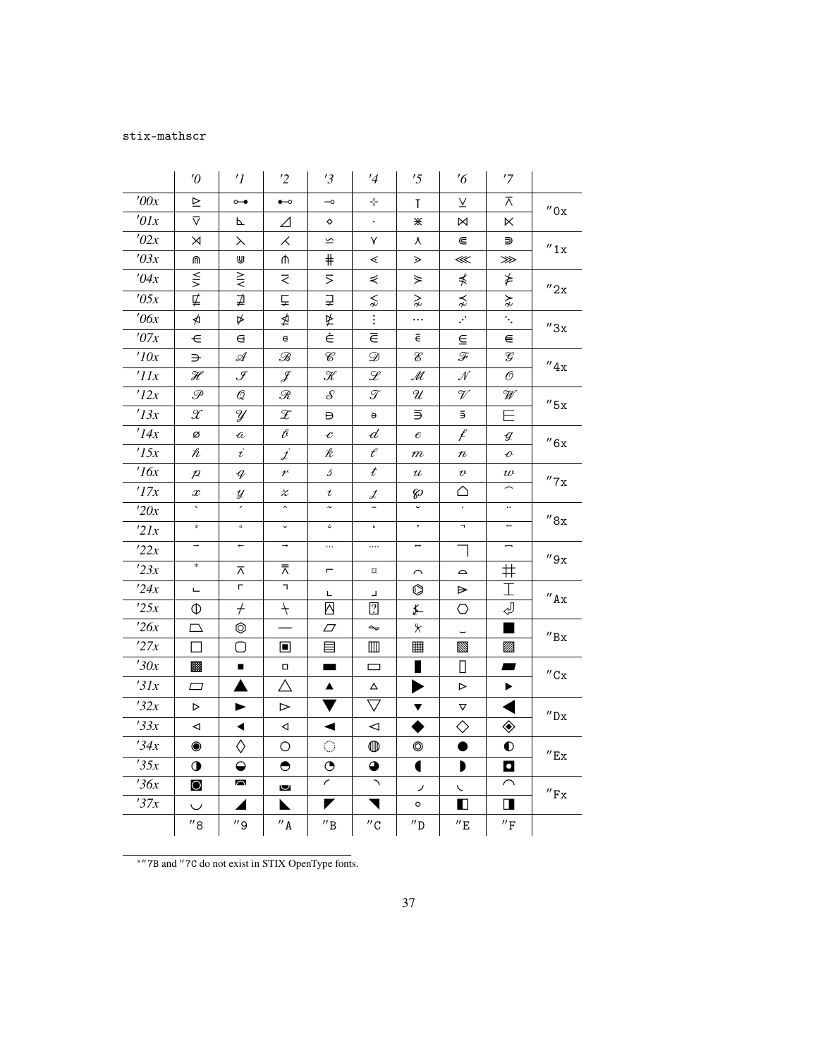## stix-mathscr

|                  | $\theta$            | $\prime$ <sup>1</sup>    | $\overline{2}$             | '3                       | $\frac{1}{4}$            | '5                         | $\frac{7}{6}$             | '7                          |                              |
|------------------|---------------------|--------------------------|----------------------------|--------------------------|--------------------------|----------------------------|---------------------------|-----------------------------|------------------------------|
| 700x             | ⊵                   | $\overline{\phantom{0}}$ | $\overline{\phantom{a}}$   | $\overline{\phantom{0}}$ | 45                       | Τ                          | V                         | ᅎ                           | $^{\prime\prime}$ Ox         |
| '01x             | ⊽                   | Г                        | ⊿                          | ♦                        |                          | ⋇                          | N                         | ĸ                           |                              |
| '02x             | $\Join$             | ⋋                        | X.                         | $\overline{\phantom{a}}$ | Υ                        | ٨                          | ⋐                         | ⋑                           | $^{\prime\prime}1x$          |
| '03x             | ⋒                   | W                        | ⋔                          | $\#$                     | ⋖                        | ⋗                          | ⋘                         | ⋙                           |                              |
| '04x             | $\leq$              | $\geq$                   | ₹                          | ⋝                        | ⋞                        | ≽                          | ⋠                         | ⋡                           |                              |
| '05x             | ⋢                   | ⊉                        | Ě                          | ⋥                        | $\lessapprox$            | $\gtrsim$                  | $\precnsim$               | $\gtrsim$                   | $^{\prime\prime}2x$          |
| $\theta$ 6x      | ⋪                   | ⋫                        | ⋬                          | 坠                        | $\overline{\mathbf{r}}$  | .                          | $\overline{\cdot}$        | Ÿ,                          | $^{\prime\prime}3x$          |
| '07x             | $\in$               | е                        | $\mathbf e$                | Ė                        | $\overline{\in}$         | ē                          | $\subseteq$               | ⋹                           |                              |
| '10x             | ⋺                   | $\mathscr A$             | B                          | $\mathcal C$             | $\mathcal D$             | $\mathcal{E}% _{0}$        | F                         | $\mathcal G$                | $^{\prime\prime}4x$          |
| $^{\prime}$ IIx  | H                   | ${\mathcal{J}}$          | J                          | $\mathscr K$             | ${\mathscr L}$           | $\mathscr{M}$              | ${\mathcal N}$            | O                           |                              |
| '12x             | P                   | Q                        | R                          | $\mathcal{S}$            | T                        | U                          | V                         | W                           | $^{\prime\prime}$ 5x         |
| '13x             | $\mathcal X$        | ¥                        | $\mathcal{Z}$              | Đ                        | Ð                        | Б                          | Б                         | Ε                           |                              |
| '14x             | ø                   | $\hat{\mathcal{U}}$      | $\ell$                     | $\mathcal C$             | $\overline{d}$           | $\pmb{\mathscr{e}}$        | f                         | g                           | ''6x                         |
| '15x             | $\hbar$             | $\dot{\iota}$            | İ                          | k                        | $\ell$                   | $\it m$                    | $\it n$                   | $\boldsymbol{\mathcal{C}}$  |                              |
| 16x              | $\cal P$            | $\it q$                  | $\boldsymbol{\mathcal{V}}$ | s                        | $\boldsymbol{t}$         | $\boldsymbol{\mathcal{U}}$ | $\boldsymbol{\mathit{v}}$ | $\boldsymbol{\mathit{w}}$   | $^{\prime\prime}$ 7 x        |
| '17x             | $\boldsymbol{x}$    | у                        | $\pmb{\mathcal{X}}$        | $\iota$                  | $\mathcal{J}$            | ଚ                          | △                         |                             |                              |
| '20x             |                     |                          | $\hat{\phantom{a}}$        |                          |                          |                            |                           | $\ddot{\phantom{0}}$        | $^{\prime\prime}8x$          |
| 2lx              | $\mathfrak{p}$      | $\circ$                  | $\checkmark$               |                          | $\boldsymbol{\varsigma}$ | $^\bullet$                 | $\overline{ }$            | $\overline{\phantom{m}}$    |                              |
| 22x              | $\overline{1}$      | $\leftarrow$             | $\rightarrow$              | $\cdots$                 |                          | $\leftrightarrow$          | $\overline{1}$            | $\overline{\phantom{a}}$    | ''9x                         |
| 23x              | $\ast$              | ᅎ                        | ⊼                          | $\overline{\phantom{a}}$ | $\Box$                   | ⌒                          | $\qquad \qquad \text{ }$  | ♯                           |                              |
| 24x              | Щ                   | г.                       | F.                         | L                        | $\blacksquare$           | O                          | ⋗                         | I                           | $^{\prime\prime}$ Ax         |
| 25x              | Ф                   | $^{+}$                   | $^{+}$                     | Δ                        | $\overline{2}$           | ≰                          | ○                         | ₽                           |                              |
| $\frac{726x}{x}$ | ◻                   | ◎                        |                            | $\varpi$                 | $\sim$                   | ⊁                          |                           | ш                           | $^{\prime\prime}{\rm Bx}$    |
| '27x             | $\Box$              | O                        | $\blacksquare$             | 目                        | $\blacksquare$           | 囲                          | Ø                         | M                           |                              |
| '30x             | ▩                   | $\blacksquare$           | $\Box$                     | -                        | $\Box$                   |                            | П                         | $\blacksquare$              | $^{\prime\prime}$ Cx         |
| 31x              | $\Box$              |                          | Δ                          | $\blacktriangle$         | Δ                        | $\blacktriangleright$      | $\triangleright$          | ▶                           |                              |
| '32x             | $\triangleright$    | ▶                        | $\,>\,$                    |                          | $\bigtriangledown$       | ▼                          | ▽                         |                             | $^{\prime\prime}{\rm Dx}$    |
| 33x              | ◁                   | ◀                        | ◁                          | ◀                        | $\prec$                  |                            | $\diamond$                | ◈                           |                              |
| 34x              | $\bullet$           | ♦                        | O                          | $\bigcirc$               | ◍                        | $\circledcirc$             | $\bullet$                 | $\bullet$                   |                              |
| 35x              | $\bullet$           | $\bullet$                | $\bullet$                  | $\bullet$                | $\bullet$                | $\blacklozenge$            | $\blacktriangleright$     | $\bullet$                   | $^{\prime\prime}$ Ex         |
| 36x              | $\circ$             | $\triangleright$         | $\overline{\mathbf{v}}$    | $\epsilon$               | $\lambda$                | ৴                          | $\checkmark$              | $\smallfrown$               | $^{\prime\prime}\mathrm{Fx}$ |
| 37x              | $\cup$              | ◢                        | N                          | ◤                        | Ч                        | $\circ$                    | $\blacksquare$            | $\blacksquare$              |                              |
|                  | $^{\prime\prime}$ 8 | $^{\prime\prime}$ 9      | $^{\prime\prime}$ A        | $^{\prime\prime}{\rm B}$ | $^{\prime\prime}$ C      | $^{\prime\prime}$ D        | $^{\prime\prime}E$        | $^{\prime\prime}\mathrm{F}$ |                              |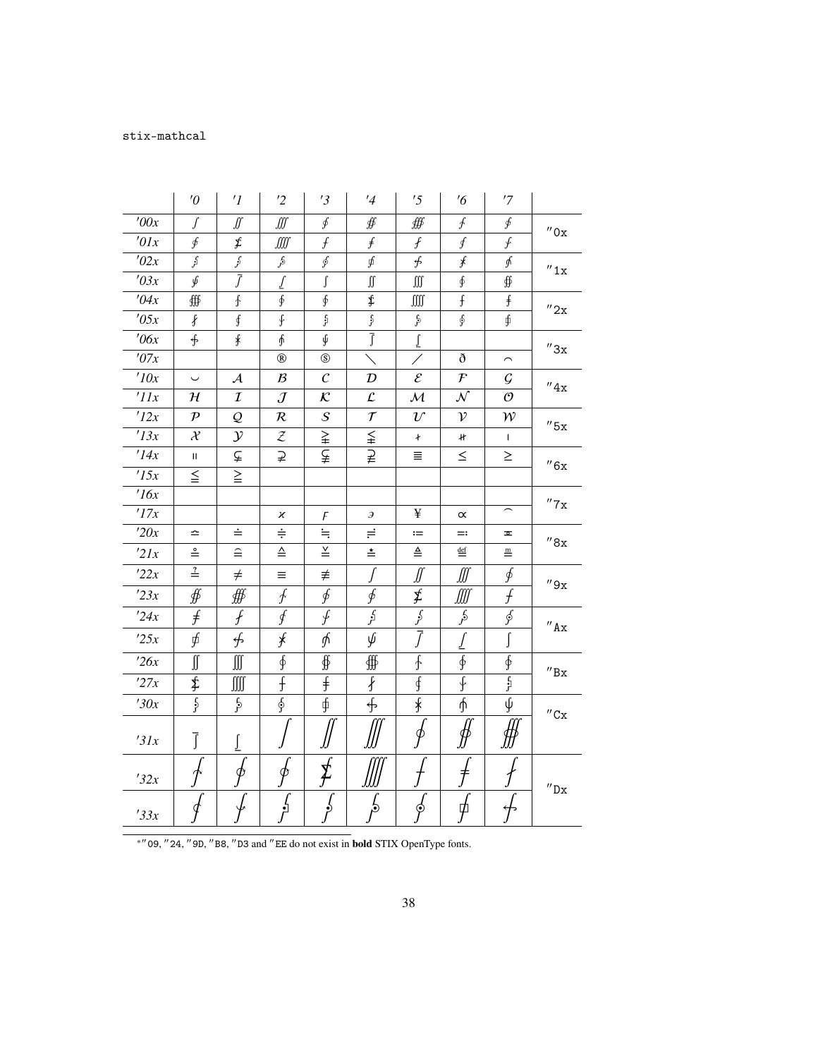## stix-mathcal

|                | $\theta$              | $\prime$ <sup>1</sup> | $\overline{2}$          | '3                    | $\frac{1}{4}$           | '5                          | $\frac{7}{6}$              | '7                                  |                              |
|----------------|-----------------------|-----------------------|-------------------------|-----------------------|-------------------------|-----------------------------|----------------------------|-------------------------------------|------------------------------|
| '00x           | ſ                     | ∬                     | ∭                       | ∮                     | ∯                       | ∰                           | $\oint$                    | ∮                                   | $^{\prime\prime}$ Ox         |
| '01x           | ∮                     | £                     | ∭                       | $\int$                | $\int f$                | $\mathcal{f}$               | $\int$                     | ∱                                   |                              |
| '02x           | اڳن                   | $\hat{y}$             | £,                      | ∮                     | ∮                       | $\oint$                     | $\mathcal{J}$              | ∱                                   | ''1x                         |
| '03x           | ý                     | Ĵ                     | $\underline{\int}$      | ſ                     | $\iint$                 | $\int\!\!\!\int\!\!\!\int$  | $\oint$                    | ∯                                   |                              |
| '04x           | ∰                     | $\mathbf{f}$          | $\oint$                 | $\oint$               | \$                      | $\int \int \int \int$       | $\mathfrak f$              | f                                   | $^{\prime\prime}$ 2x         |
| '05x           | $\int$                | ∮                     | $\overline{\mathbf{f}}$ | $\frac{c}{J}$         | $\mathcal{G}$           | $\mathfrak{c}$              | Ş                          | ∮                                   |                              |
| $\theta$ 6x    | $\oint$               | $\frac{1}{3}$         | ∱                       | I                     | $\overline{\int}$       | $\underline{\int}$          |                            |                                     | $^{\prime\prime}3x$          |
| $^\prime\!07x$ |                       |                       | $^\circledR$            | $\circledS$           |                         |                             | ð                          | $\smallfrown$                       |                              |
| 10x            | $\backsim$            | $\mathcal{A}$         | $\mathcal{B}$           | $\mathcal C$          | $\mathcal{D}$           | $\mathcal{E}_{\mathcal{C}}$ | $\cal F$                   | $\cal G$                            | $^{\prime\prime}4x$          |
| 'IIx           | $\mathcal H$          | $\mathcal{I}$         | $\mathcal{J}$           | $\mathcal{K}$         | $\mathcal{L}$           | ${\cal M}$                  | ${\cal N}$                 | $\mathcal{O}$                       |                              |
| '12x           | $\mathcal{P}$         | $\mathcal{Q}$         | ${\cal R}$              | $\cal S$              | $\mathcal T$            | $\mathcal{U}$               | $\mathcal{V}$              | ${\cal W}$                          | $''$ 5x                      |
| '13x           | $\mathcal{X}$         | $\mathcal{Y}$         | $\mathcal Z$            | ≩                     | $\leqq$                 | ł                           | H.                         | $\mathbf{I}$                        |                              |
| '14x           | Ш                     | ⊊                     | ⊋                       | ⊊                     | ⊋                       | Ξ.                          | $\leq$                     | $\geq$                              | $^{\prime\prime}6x$          |
| '15x           | $\leq$                | $\geq$                |                         |                       |                         |                             |                            |                                     |                              |
| 16x            |                       |                       |                         |                       |                         |                             |                            |                                     | $^{\prime\prime}7\mathrm{x}$ |
| '17x           |                       |                       | х                       | F                     | э                       | ¥                           | $\propto$                  | $\widehat{\phantom{m}}$             |                              |
| '20x           | $\hat{=}$             | ≐                     | $\div$                  | $\stackrel{\cdot}{=}$ | $\rightleftharpoons$    | $:=$                        | $=$                        | ᄒ                                   | $^{\prime\prime}8x$          |
| 2lx            | $\stackrel{\circ}{=}$ | $\widehat{=}$         | $\triangleq$            | $\leq$                | ≛                       | $\triangleq$                | $\underline{\mathsf{def}}$ | $\underline{\textbf{m}}$            |                              |
| 22x            | $\stackrel{?}{=}$     | $\neq$                | Ξ                       | ≢                     | ſ                       | ∬                           | ∭                          | ∮                                   | ''9x                         |
| 23x            | ∯                     | ∰                     | $\oint$                 | ∳                     | ∲                       | ≸                           | ∭                          | f                                   |                              |
| 24x            | $\ddot{f}$            | $\overline{f}$        | $\oint$                 | ∱                     | $\overline{\mathbf{f}}$ | $\overline{\mathcal{E}}$    | $\frac{1}{2}$              | $\oint$                             | $^{\prime\prime}$ Ax         |
| 25x            | ∮                     | ∯                     | $\ast$                  | ∱                     | ψ                       | $\overline{f}$              | ſ                          |                                     |                              |
| 26x            | ∬                     | ∭                     | ∮                       | ∯                     | ∰                       | ∱                           | $\oint$                    | ∲                                   |                              |
| '27x           | \$                    | ∭                     | $\overline{f}$          | $\ddagger$            | $\oint$                 | ∮                           | ∳                          | $\frac{\mathfrak{c}}{\mathfrak{r}}$ | $^{\prime\prime}{\rm Bx}$    |
| '30x           | $\frac{1}{2}$         | $\frac{1}{2}$         | $\oint$                 | ∮                     | ∯                       | ≸                           | ∱                          | ψ                                   | $^{\prime\prime}$ Cx         |
| 31x            | $\overline{\int}$     |                       |                         |                       |                         | $\phi$                      | ∯                          |                                     |                              |
| 32x            |                       | $\phi$                | Ø                       | ≵                     |                         |                             | ≠                          |                                     | $^{\prime\prime}{\rm Dx}$    |
| 33x            |                       |                       | د<br>أثر                | $\frac{1}{2}$         | $\frac{1}{2}$           | $\phi$                      | ⋫                          |                                     |                              |

<sup>∗</sup>′′09, ′′24, ′′9D, ′′B8, ′′D3 and ′′EE do not exist in **bold** STIX OpenType fonts.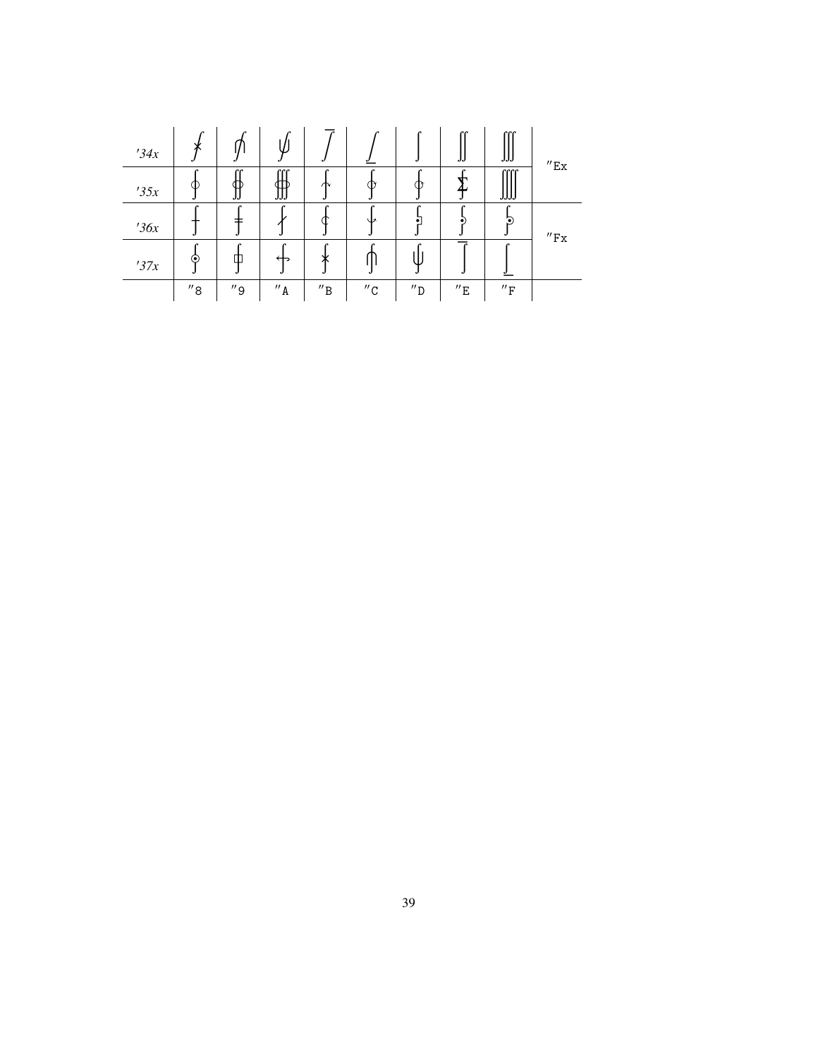| 34x | v                   |                     |                     |                              |                     |                     | IJ                  | ccc<br>JJJ                  | $^{\prime\prime}$ Ex         |
|-----|---------------------|---------------------|---------------------|------------------------------|---------------------|---------------------|---------------------|-----------------------------|------------------------------|
| 35x | Œ                   | rr<br>JJ            | rrr<br>JJJ          | ₼                            |                     | ∩                   | ᡆ                   | cccc<br>JJJJ                |                              |
| 36x |                     |                     | r                   |                              | ۸U                  |                     |                     | $\mathbf{E}$                | $^{\prime\prime}\mathrm{Fx}$ |
| 37x | ⊙                   | $\epsilon$<br>Ф     | ↤                   | r<br>◡<br>ᄉ                  |                     |                     |                     |                             |                              |
|     | $^{\prime\prime}$ 8 | $^{\prime\prime}$ 9 | $^{\prime\prime}$ A | $^{\prime\prime} \texttt{B}$ | $^{\prime\prime}$ C | $^{\prime\prime}$ D | $^{\prime\prime}$ E | $^{\prime\prime}\mathrm{F}$ |                              |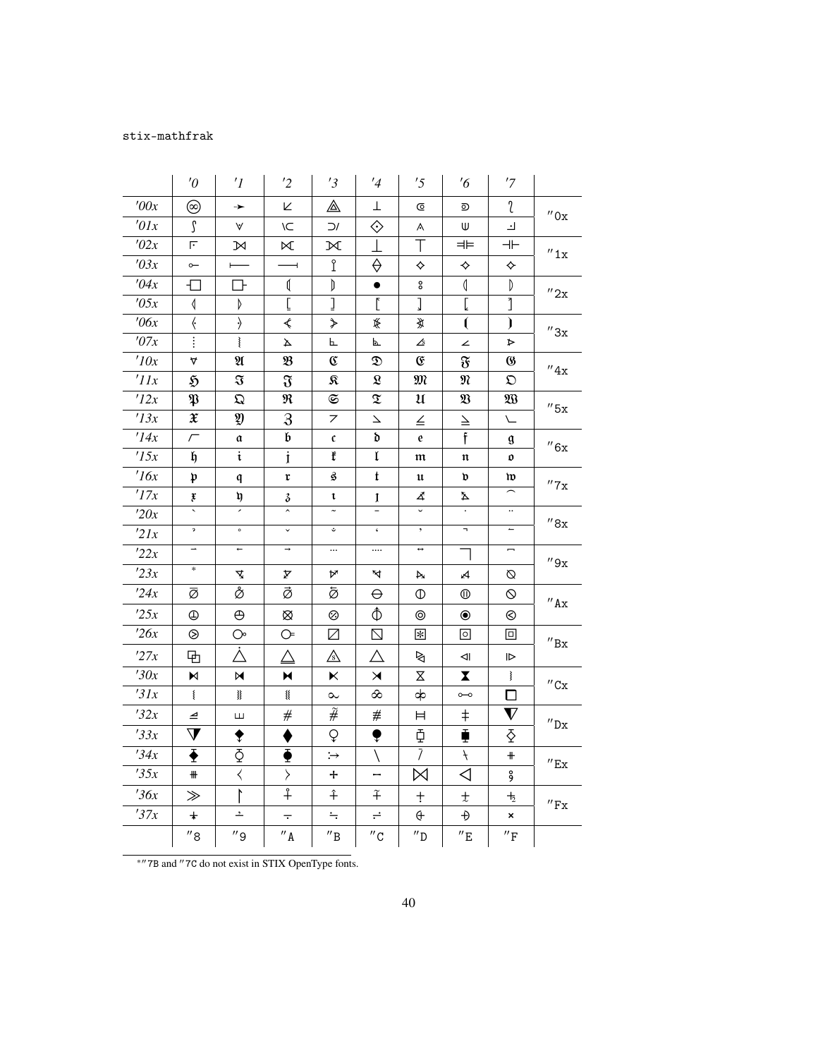## stix-mathfrak

|             | $\theta$              | $\prime$ <sup>1</sup>                                                                                                                        | '2                                                                                                    | '3                                | '4                       | '5                      | $\frac{7}{6}$                                                                                                                                        | '7                          |                              |
|-------------|-----------------------|----------------------------------------------------------------------------------------------------------------------------------------------|-------------------------------------------------------------------------------------------------------|-----------------------------------|--------------------------|-------------------------|------------------------------------------------------------------------------------------------------------------------------------------------------|-----------------------------|------------------------------|
| '00x        | ⊚                     | →                                                                                                                                            | K                                                                                                     | ◬                                 | Τ                        | ©                       | ⊙                                                                                                                                                    | l                           | $^{\prime\prime}$ Ox         |
| '01x        | ſ                     | ٧                                                                                                                                            | ١C                                                                                                    | $\supset$                         | ♦                        | Α                       | W                                                                                                                                                    | ᅬ                           |                              |
| '02x        | F                     | N                                                                                                                                            | $\bowtie$                                                                                             | ĸ                                 | $\perp$                  | Τ                       | ⊨⊨                                                                                                                                                   | $\dashv \vdash$             | $^{\prime\prime}$ 1x         |
| '03x        | $\sim$                |                                                                                                                                              |                                                                                                       | Î                                 | ♦                        | ♦                       | ♦                                                                                                                                                    | ♦                           |                              |
| '04x        | Л                     | Ҧ                                                                                                                                            | ≬                                                                                                     | D                                 | $\bullet$                | °                       | $\overline{\mathbb{Q}}$                                                                                                                              | D                           | ''2x                         |
| '05x        | ↿                     | Þ                                                                                                                                            | $\mathsf{L}% _{0}\left( \mathcal{A}_{0}\right) ^{T}=\mathsf{L}_{0}\left( \mathcal{A}_{0}\right) ^{T}$ | J                                 | $\mathbf{r}$             | $\mathsf{l}$            | Ĺ                                                                                                                                                    | 1                           |                              |
| $\theta$ 6x | $\langle$             | $\rightarrow$                                                                                                                                | ⋞                                                                                                     | ≯                                 | €                        | 覚                       | $\mathbf{r}$                                                                                                                                         | $\mathbf{)}$                | ''3x                         |
| '07x        |                       | $\tilde{\zeta}$                                                                                                                              | A                                                                                                     | 乚                                 | P.                       | ᠘                       | ∠                                                                                                                                                    | ⋗                           |                              |
| '10x        | 4                     | $\mathfrak A$                                                                                                                                | B                                                                                                     | C                                 | D                        | E                       | F                                                                                                                                                    | $\boldsymbol{\omega}$       | $^{\prime\prime}4x$          |
| 'IIx        | $\mathfrak{H}$        | $\mathfrak{F}% _{A}^{\ast }=\mathfrak{F}_{A}\!\left( A,B\right) ,\ \mathfrak{F}_{B}\!\left( A\right) =\mathfrak{F}_{B}\!\left( A,B\right) ,$ | $\mathfrak{F}$                                                                                        | я                                 | $\pmb{\mathfrak{L}}$     | M                       | N                                                                                                                                                    | $\mathfrak{O}$              |                              |
| '12x        | $\mathfrak{P}$        | $\mathfrak{Q}$                                                                                                                               | R                                                                                                     | $\mathfrak{S}$                    | $\mathfrak T$            | $\mathfrak u$           | $\mathfrak{V}% _{T}=\mathfrak{V}_{T}\!\left( a,b\right) ,\ \mathfrak{V}_{T}=C_{T}\!\left( a,b\right) ,\ \mathfrak{V}_{T}=C_{T}\!\left( a,b\right) ,$ | $\mathfrak{W}$              | $^{\prime\prime}$ 5x         |
| '13x        | $\mathfrak X$         | Ŋ                                                                                                                                            | $\mathfrak{F}$                                                                                        | 7                                 | $\overline{\phantom{0}}$ | $\leq$                  | $\geq$                                                                                                                                               | $\sqrt{}$                   |                              |
| '14x        | $\sqrt{}$             | a                                                                                                                                            | b                                                                                                     | $\mathfrak{c}$                    | d                        | $\mathbf{e}$            | f                                                                                                                                                    | g                           | $^{\prime\prime}6x$          |
| 15x         | h                     | $\ddot{\mathrm{t}}$                                                                                                                          | $\mathbf{i}$                                                                                          | ŧ                                 | $\mathfrak l$            | $\mathfrak m$           | $\mathfrak n$                                                                                                                                        | 0                           |                              |
| '16x        | $\mathfrak{p}$        | q                                                                                                                                            | r                                                                                                     | ĝ                                 | t                        | $\mathfrak u$           | d                                                                                                                                                    | w                           | $^{\prime\prime}$ 7x         |
| '17x        | į                     | ŋ                                                                                                                                            | з                                                                                                     | t                                 | Ţ                        | 4                       | Δ                                                                                                                                                    |                             |                              |
| '20x        | ₹                     | 7                                                                                                                                            | $\overline{a}$                                                                                        | $\overline{\phantom{a}}$          | Ξ                        | $\overline{\mathsf{v}}$ | $\cdot$                                                                                                                                              | $\cdot\cdot$                | $^{\prime\prime}8\rm{x}$     |
| 21x         | $\mathfrak{p}$        | $\circ$                                                                                                                                      | $\check{~}$                                                                                           | $\mathrel{\mathrel{\dot{\circ}}}$ | $\pmb{\zeta}$            | $\bullet$               | п,                                                                                                                                                   | $\overline{\phantom{m}}$    |                              |
| 22x         | $\rightarrow$         | $\leftarrow$                                                                                                                                 | $\rightarrow$                                                                                         | $\ldots$                          |                          | $\leftrightarrow$       | ᄀ                                                                                                                                                    |                             | $^{\prime\prime}9x$          |
| 23x         | $\ast$                | 4                                                                                                                                            | A                                                                                                     | А                                 | Ā                        | A                       | Ą                                                                                                                                                    | Ø                           |                              |
| '24x        | ø                     | å                                                                                                                                            | ø                                                                                                     | ø                                 | ⊖                        | $^\circledR$            | ⑩                                                                                                                                                    | $\circ$                     | $^{\prime\prime}$ Ax         |
| 25x         | ⊕                     | $\oplus$                                                                                                                                     | ⊗                                                                                                     | ⊗                                 |                          | $^{\circ}$              | $\circledbullet$                                                                                                                                     | ⊗                           |                              |
| '26x        | ⊗                     | $\bigcirc$                                                                                                                                   | $\circledcirc$                                                                                        | $\boxtimes$                       | $\boxtimes$              | $\left  \cdot \right $  | $\circ$                                                                                                                                              | ⊡                           | $^{\prime\prime}$ Bx         |
| '27x        | 丏                     | À                                                                                                                                            | Δ                                                                                                     | ⚠                                 | Δ                        | ⊵                       | ⊲∣                                                                                                                                                   | $\triangleright$            |                              |
| '30x        | N                     | M                                                                                                                                            | N                                                                                                     | ĸ                                 | $\blacktriangleright$    | $\mathsf X$             | $\overline{\mathbf{X}}$                                                                                                                              | $\overline{\mathbf{S}}$     | $^{\prime\prime}$ Cx         |
| '31x        | $\{$                  | 犭                                                                                                                                            | ▓                                                                                                     | $\sim$                            | ∞                        | ф                       | $\circ\hspace{-1.5pt}-\hspace{-1.5pt}\circ$                                                                                                          | ◘                           |                              |
| 32x         | ⊿                     | Ш                                                                                                                                            | $^{\#}$                                                                                               | $\widetilde{\#}$                  | $\#$                     | Ħ                       | $^\mathrm{+}$                                                                                                                                        | $\boldsymbol{\nabla}$       | $^{\prime\prime}$ Dx         |
| 33x         | $\bm{\nabla}$         | ▼                                                                                                                                            |                                                                                                       | Q                                 | ♥                        | Ф                       | Ť                                                                                                                                                    | ଧି                          |                              |
| '34x        | $\bar{\blacklozenge}$ | $\Phi$                                                                                                                                       | ଭ                                                                                                     | :→                                | N                        | $\overline{I}$          | $\ddot{+}$                                                                                                                                           | $\pm$                       | $^{\prime\prime}$ Ex         |
| '35x        | ₩                     | $\langle$                                                                                                                                    | $\left\langle \right\rangle$                                                                          | +                                 | -                        | ⋈                       | ◁                                                                                                                                                    | å                           |                              |
| 36x         | $\gg$                 | ľ                                                                                                                                            | $\overline{+}$                                                                                        | $\hat{+}$                         | $\widetilde{+}$          | $\pm$                   | $\pm$                                                                                                                                                | $\mathbf{+}_{2}$            |                              |
| 37x         | $\ddagger$            | $\overline{\phantom{a}}$                                                                                                                     | $\overline{\cdot}$                                                                                    | $\div$                            | ÷                        | $\oplus$                | Ð                                                                                                                                                    | ×                           | $^{\prime\prime}\mathrm{Fx}$ |
|             | $^{\prime\prime}$ 8   | $^{\prime\prime}$ 9                                                                                                                          | $^{\prime\prime}$ A                                                                                   | $^{\prime\prime}$ B               | $^{\prime\prime}$ C      | $^{\prime\prime}$ D     | $^{\prime\prime}$ E                                                                                                                                  | $^{\prime\prime}\mathrm{F}$ |                              |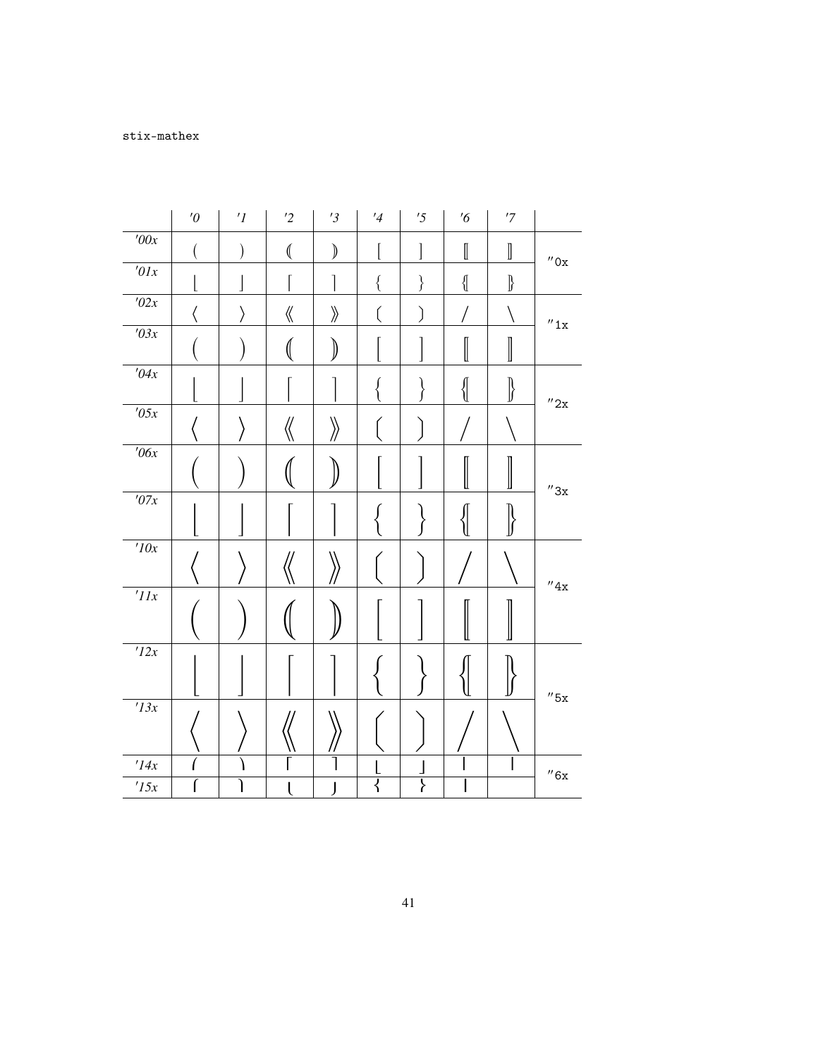|                        | $^{\prime}0$ | $^\prime I$ | $\overline{2}$     | '3                                | $\frac{1}{4}$ | '5                 | $\frac{7}{6}$        | $^\prime 7$        |                      |
|------------------------|--------------|-------------|--------------------|-----------------------------------|---------------|--------------------|----------------------|--------------------|----------------------|
| '00x                   |              |             | $\big($            | $\big)$                           |               | ]                  | $\llbracket$         | $\rrbracket$       | $^{\prime\prime}$ Ox |
| $\overline{201x}$      |              |             |                    | 1                                 | {             | $\left\{ \right\}$ | $\big\{\! \! \big\{$ | $\Bigr\}$          |                      |
| $\sqrt{02x}$           |              | ⟩           | $\langle\!\langle$ | $\rangle\!\rangle$                | l             | )                  |                      |                    | $^{\prime\prime}1x$  |
| $\overline{103x}$      |              |             |                    | 》                                 |               |                    |                      |                    |                      |
| $\overline{04x}$       |              |             |                    |                                   |               |                    | {                    | $\left\{ \right\}$ | $^{\prime\prime}2x$  |
| $\overline{705x}$      |              |             | 《                  | $\left\langle \!\! \right\rangle$ |               |                    |                      |                    |                      |
| $\overline{706x}$      |              |             |                    |                                   |               |                    |                      |                    | $^{\prime\prime}3x$  |
| $\overline{107x}$      |              |             |                    |                                   |               |                    |                      |                    |                      |
| 10x                    |              |             |                    |                                   |               |                    |                      |                    | $^{\prime\prime}4x$  |
| $^{\prime}$ IIx        |              |             |                    |                                   |               |                    |                      |                    |                      |
| $\overline{12x}$       |              |             |                    |                                   |               |                    |                      |                    | $^{\prime\prime}$ 5x |
| 13x                    |              |             |                    |                                   |               |                    |                      |                    |                      |
| $^\prime\!14x$<br>'15x |              |             |                    |                                   | ₹             | ∤                  |                      |                    | $^{\prime\prime}6x$  |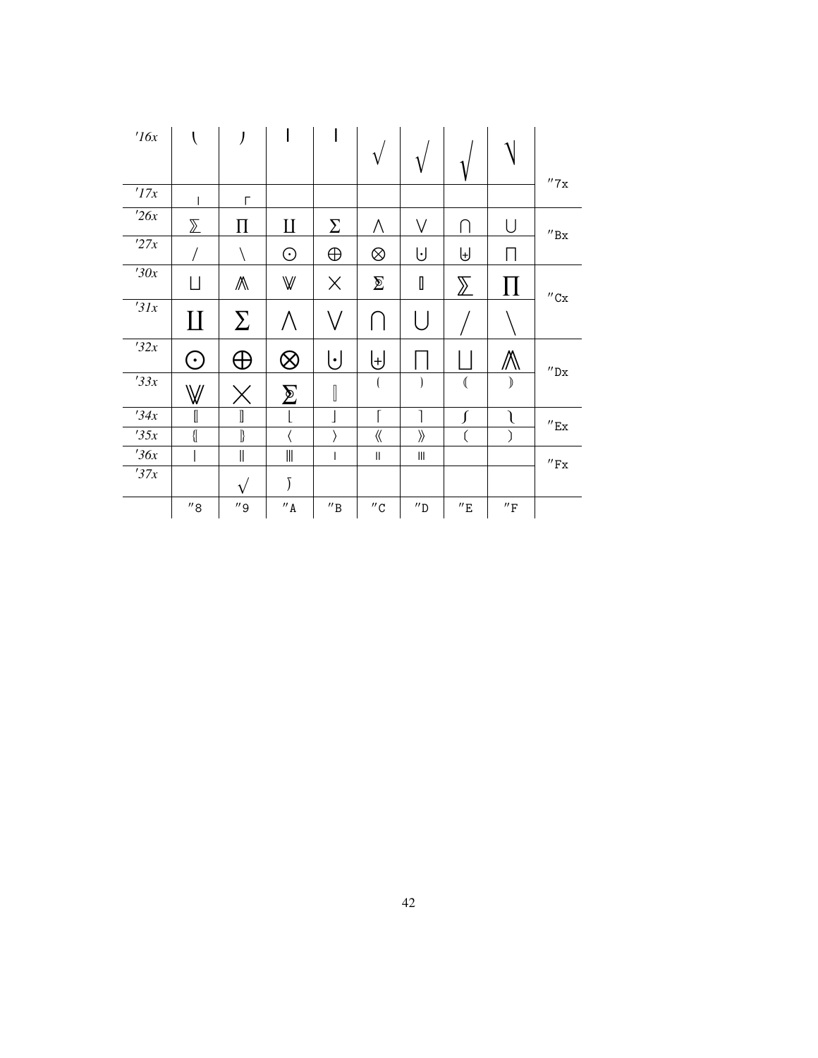| 16x  |                     |                     |                                       |                                            |                     |                                    |                         |                             |                              |
|------|---------------------|---------------------|---------------------------------------|--------------------------------------------|---------------------|------------------------------------|-------------------------|-----------------------------|------------------------------|
|      |                     |                     |                                       |                                            | $\mathbf{v}$        |                                    |                         |                             | $^{\prime\prime}7\mathrm{x}$ |
| '17x |                     | Г                   |                                       |                                            |                     |                                    |                         |                             |                              |
| '26x | $\sum$              | П                   | П                                     | Σ                                          | Λ                   | V                                  | ⋂                       |                             | $^{\prime\prime} \text{Bx}$  |
| '27x |                     |                     | ⊙                                     | $\oplus$                                   | $\otimes$           | Ū                                  | ⊎                       |                             |                              |
| '30x | Ц                   | ∧                   | $\mathbb {W}$                         | $\times$                                   | $\sum$              | I                                  | $\sum$                  | 11                          | $^{\prime\prime}$ Cx         |
| 31x  | $\amalg$            | $\sum$              | Λ                                     |                                            |                     | $\lfloor \ \rfloor$                |                         |                             |                              |
| '32x | ۰                   | $\oplus$            | $\otimes$                             | $\lfloor \cdot \rfloor$                    | ⊎                   |                                    |                         | Ѧ                           | $^{\prime\prime}$ Dx         |
| 33x  | W                   |                     | $\bm{\Sigma}$                         | $\begin{bmatrix} \phantom{-}\end{bmatrix}$ |                     |                                    | $\overline{\mathbb{C}}$ | $\mathcal{I}$               |                              |
| 34x  | I                   | I                   |                                       |                                            |                     |                                    |                         |                             | $^{\prime\prime}$ Ex         |
| 35x  | $\{\mskip-5mu\}$    | $\rrbracket$        |                                       |                                            | $\langle\!\langle$  | $\overline{\mathcal{Y}}$           | (                       |                             |                              |
| 36x  |                     | $\parallel$         | $\begin{array}{c} \hline \end{array}$ | $\overline{\phantom{a}}$                   | $\sf II$            | $\ensuremath{\mathsf{III}}\xspace$ |                         |                             | $^{\prime\prime}\mathrm{Fx}$ |
| '37x |                     | $\mathbf{v}$        | Ĵ                                     |                                            |                     |                                    |                         |                             |                              |
|      | $^{\prime\prime}$ 8 | $^{\prime\prime}$ 9 | $^{\prime\prime}$ A                   | $^{\prime\prime} \texttt{B}$               | $^{\prime\prime}$ C | $^{\prime\prime}$ D                | $^{\prime\prime}$ E     | $^{\prime\prime}\mathrm{F}$ |                              |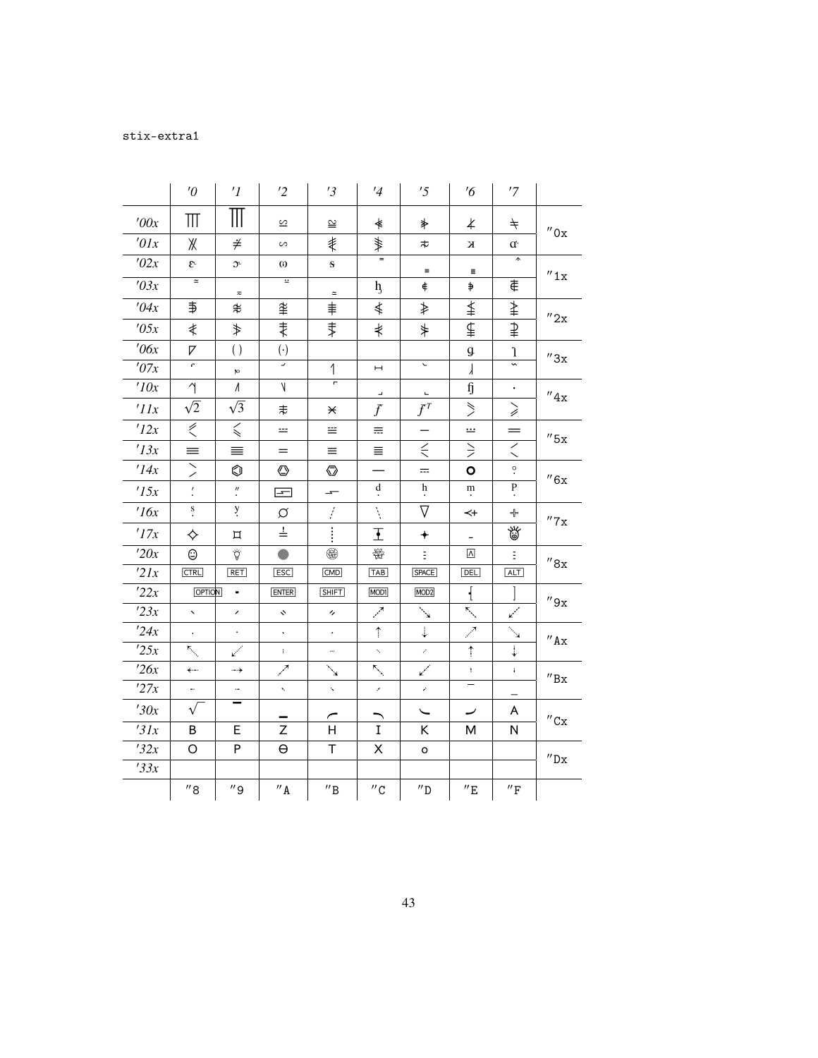## stix-extra1

|             | $\theta$                              | $\prime$ <sup>1</sup>         | $\overline{2}$      | '3                           | $\frac{1}{4}$            | '5                       | $\frac{7}{6}$            | '7                                    |                           |
|-------------|---------------------------------------|-------------------------------|---------------------|------------------------------|--------------------------|--------------------------|--------------------------|---------------------------------------|---------------------------|
| '00x        | $\mathbb H$                           | $\mathbb H$                   | S                   | ≌                            |                          |                          |                          |                                       |                           |
| $\iota$ 01x |                                       |                               |                     |                              | ≰                        | ⋡                        | $\overline{\mathcal{X}}$ | $\neq$                                | $^{\prime\prime}$ Ox      |
|             | Ж                                     | ≠                             | $\sim$              | ≹                            | ₩                        | ゃ                        | К                        | $\mathfrak{a}$<br>$\hat{\phantom{a}}$ |                           |
| '02x        | $\mathfrak{E}$<br>$\simeq$            | $\mathfrak{I}^{\mathfrak{c}}$ | $\omega$<br>Ξ       | $\mathbf{s}$                 |                          | $\equiv$                 | $\equiv$                 |                                       | ''1x                      |
| '03x        |                                       | $\eqsim$                      |                     | $\simeq$                     | $h_{\rm j}$              | $\ddagger$               | $\Rightarrow$            | €                                     |                           |
| '04x        | ₿                                     | ≉                             | 夆                   | ≢                            | ≰                        | ≱                        | ≰                        | ⇞                                     | $^{\prime\prime}$ 2x      |
| '05x        | ≹                                     | ⇟                             | ⇟                   | ⇟                            | ⋠                        | $\ast$                   | ⊈                        | ₽                                     |                           |
| $\theta$ 6x | 7                                     | $\left( \right)$              | $(\cdot)$           |                              |                          |                          | g                        | $\mathbf{1}$                          | $^{\prime\prime}3x$       |
| '07x        | c,                                    | p                             | U,                  | 1                            | $\vdash$                 | $\overline{\phantom{0}}$ | $\lambda$                | $\overline{\phantom{0}}$              |                           |
| '10x        | $\gamma$                              | $\Lambda$                     | $\vee$              | Ξ                            | $\overline{\phantom{a}}$ | $\Box$                   | fj                       | $\bullet$                             | ''4x                      |
| 'IIx        | $\sqrt{2}$                            | $\sqrt{3}$                    | ≢                   | ¥                            | $\overline{f}$           | $f^T$                    | $\geqslant$              | $\geqslant$                           |                           |
| '12x        | $\stackrel{\mathcal{L}}{\mathcal{L}}$ | $\leqslant$                   | ÷                   | m.                           | 击                        |                          | <u></u>                  | $=$                                   | $''$ 5x                   |
| '13x        | $\equiv$                              | ≡                             | $=$                 | II.                          | 亖                        | $\leq$                   | $\geq$                   | $\breve{\phantom{0}}$                 |                           |
| '14x        | ╱                                     | ⊙                             | ◔                   | ல                            |                          | $=$                      | O                        | $\ddot{\circ}$                        | ''6x                      |
| '15x        | $\overline{\mathcal{L}}$              | $\rlap{.}''$ .                | 로                   | ÷                            | d                        | h                        | ${\rm m}$                | $\mathbf{P}$                          |                           |
| 16x         | $\overset{\mathbf{S}}{\cdot}$         | y.                            | Ø                   | f,                           | Ņ                        | $\nabla$                 | ↢                        | ╬                                     | $^{\prime\prime}7x$       |
| '17x        | ♦                                     | 耳                             | $\stackrel{!}{=}$   | $\vdots$                     | $\mathbf{I}$             | $\ddotmark$              |                          | 當                                     |                           |
| '20x        | ☺                                     | Ÿ                             | ⋒                   | ❀                            | ₩                        | Ė.                       | $\Lambda$                | E.                                    | ''8x                      |
| 2lx         | <b>CTRL</b>                           | <b>RET</b>                    | <b>ESC</b>          | <b>CMD</b>                   | <b>TAB</b>               | <b>SPACE</b>             | DEL                      | <b>ALT</b>                            |                           |
| 22x         | <b>OPTION</b>                         | ٠                             | <b>ENTER</b>        | <b>SHIFT</b>                 | MOD1                     | MOD <sub>2</sub>         | ┦                        |                                       | ''9x                      |
| 23x         | $\ddot{\phantom{0}}$                  | $\overline{\phantom{a}}$      | $\ddot{\mathbf{v}}$ | $^\prime\!\prime$            | العمر                    | $\mathcal{L}^{\prime}$   | بعمير                    | المتميمة                              |                           |
| '24x        | k.                                    | $\cdot$                       | $\hat{\mathbf{v}}$  | $\epsilon$                   | $\hat{\mathbb{I}}$       | $\downarrow$             | ↗                        | $\mathcal{A}$                         | '' A x                    |
| 25x         | $\mathbb{F}_{\mathbb{Q}}$             | ↙                             | $\ddot{\mathrm{r}}$ |                              | K.                       | z,                       | $\uparrow$               | $\ddot{\dot{*}}$                      |                           |
| 26x         | ←…                                    | ⊶→                            | ↗                   | $\mathbf{r}$                 | $\mathbf{K}_{\infty}$    | مسميا                    | ŧ.                       | t.                                    | $^{\prime\prime}{\rm Bx}$ |
| '27x        | ٠.                                    | $\overline{\phantom{a}}$      | k,                  | Ń.                           | k,                       | k,                       | $\qquad \qquad -$        |                                       |                           |
| '30x        | $\sqrt{}$                             |                               |                     |                              |                          |                          |                          | A                                     | $^{\prime\prime}$ Cx      |
| 31x         | B                                     | E                             | Z                   | H.                           | $\mathbf I$              | K                        | М                        | N                                     |                           |
| 32x         | O                                     | P                             | $\Theta$            | T.                           | X                        | o                        |                          |                                       | $^{\prime\prime}{\rm Dx}$ |
| 33x         |                                       |                               |                     |                              |                          |                          |                          |                                       |                           |
|             | $^{\prime\prime}$ 8                   | $^{\prime\prime}$ 9           | $^{\prime\prime}$ A | $^{\prime\prime} \texttt{B}$ | $^{\prime\prime}$ C      | $^{\prime\prime}$ D      | $^{\prime\prime}$ E      | $^{\prime\prime}\mathrm{F}$           |                           |